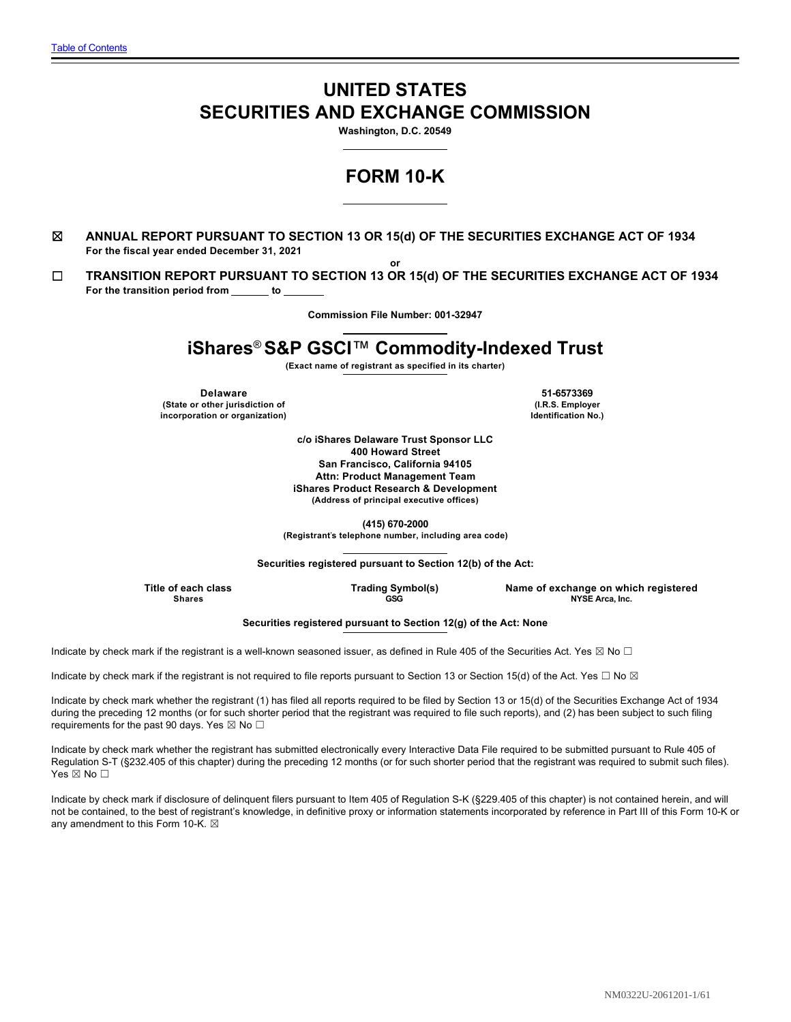# **UNITED STATES SECURITIES AND EXCHANGE COMMISSION**

**Washington, D.C. 20549**

# **FORM 10-K**

☒ **ANNUAL REPORT PURSUANT TO SECTION 13 OR 15(d) OF THE SECURITIES EXCHANGE ACT OF 1934 For the fiscal year ended December 31, 2021**

☐ **TRANSITION REPORT PURSUANT TO SECTION 13 OR 15(d) OF THE SECURITIES EXCHANGE ACT OF 1934** For the transition period from \_\_\_\_\_\_ to \_

**Commission File Number: 001-32947**

**or**

# **iShares**® **S&P GSCI**™ **Commodity-Indexed Trust**

**(Exact name of registrant as specified in its charter)**

**Delaware 51-6573369 (State or other jurisdiction of (I.R.S. Employer incorporation or organization) Identification No.)**

**c/o iShares Delaware Trust Sponsor LLC 400 Howard Street San Francisco, California 94105 Attn: Product Management Team iShares Product Research & Development (Address of principal executive offices)**

**(415) 670-2000**

**(Registrant**'**s telephone number, including area code)**

**Securities registered pursuant to Section 12(b) of the Act:**

**Title of each class Trading Symbol(s) Name of exchange on which registered NYSE Arca, Inc.** 

# **Securities registered pursuant to Section 12(g) of the Act: None**

Indicate by check mark if the registrant is a well-known seasoned issuer, as defined in Rule 405 of the Securities Act. Yes  $\boxtimes$  No  $\Box$ 

Indicate by check mark if the registrant is not required to file reports pursuant to Section 13 or Section 15(d) of the Act. Yes  $\Box$  No  $\boxtimes$ 

Indicate by check mark whether the registrant (1) has filed all reports required to be filed by Section 13 or 15(d) of the Securities Exchange Act of 1934 during the preceding 12 months (or for such shorter period that the registrant was required to file such reports), and (2) has been subject to such filing requirements for the past 90 days. Yes  $\boxtimes$  No  $\Box$ 

Indicate by check mark whether the registrant has submitted electronically every Interactive Data File required to be submitted pursuant to Rule 405 of Regulation S-T (§232.405 of this chapter) during the preceding 12 months (or for such shorter period that the registrant was required to submit such files). Yes ⊠ No □

Indicate by check mark if disclosure of delinquent filers pursuant to Item 405 of Regulation S-K (§229.405 of this chapter) is not contained herein, and will not be contained, to the best of registrant's knowledge, in definitive proxy or information statements incorporated by reference in Part III of this Form 10-K or any amendment to this Form 10-K.  $\boxtimes$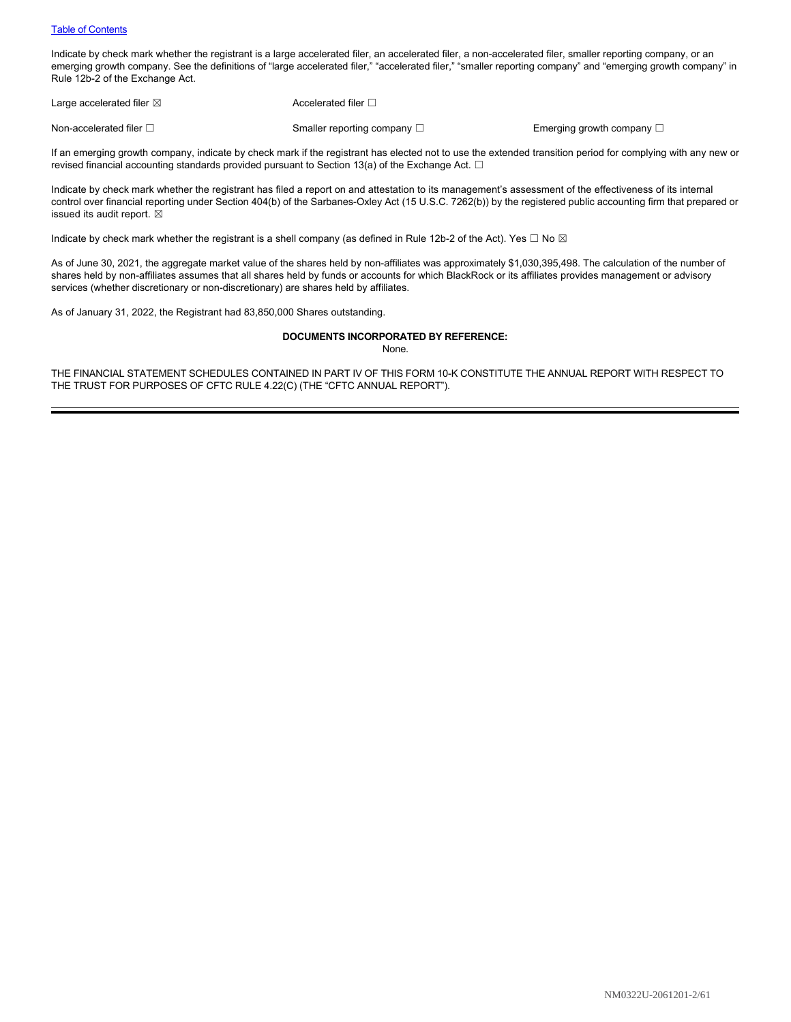# **[Table of Contents](#page-3-0)**

Indicate by check mark whether the registrant is a large accelerated filer, an accelerated filer, a non-accelerated filer, smaller reporting company, or an emerging growth company. See the definitions of "large accelerated filer," "accelerated filer," "smaller reporting company" and "emerging growth company" in Rule 12b-2 of the Exchange Act.

Large accelerated filer ⊠ and a set of Accelerated filer **□** 

Non-accelerated filer □ state of the Smaller reporting company □ state of the Emerging growth company □

If an emerging growth company, indicate by check mark if the registrant has elected not to use the extended transition period for complying with any new or revised financial accounting standards provided pursuant to Section 13(a) of the Exchange Act. □

Indicate by check mark whether the registrant has filed a report on and attestation to its management's assessment of the effectiveness of its internal control over financial reporting under Section 404(b) of the Sarbanes-Oxley Act (15 U.S.C. 7262(b)) by the registered public accounting firm that prepared or issued its audit report.  $\boxtimes$ 

Indicate by check mark whether the registrant is a shell company (as defined in Rule 12b-2 of the Act). Yes  $\Box$  No  $\boxtimes$ 

As of June 30, 2021, the aggregate market value of the shares held by non-affiliates was approximately \$1,030,395,498. The calculation of the number of shares held by non-affiliates assumes that all shares held by funds or accounts for which BlackRock or its affiliates provides management or advisory services (whether discretionary or non-discretionary) are shares held by affiliates.

As of January 31, 2022, the Registrant had 83,850,000 Shares outstanding.

# **DOCUMENTS INCORPORATED BY REFERENCE:**

None.

THE FINANCIAL STATEMENT SCHEDULES CONTAINED IN PART IV OF THIS FORM 10-K CONSTITUTE THE ANNUAL REPORT WITH RESPECT TO THE TRUST FOR PURPOSES OF CFTC RULE 4.22(C) (THE "CFTC ANNUAL REPORT").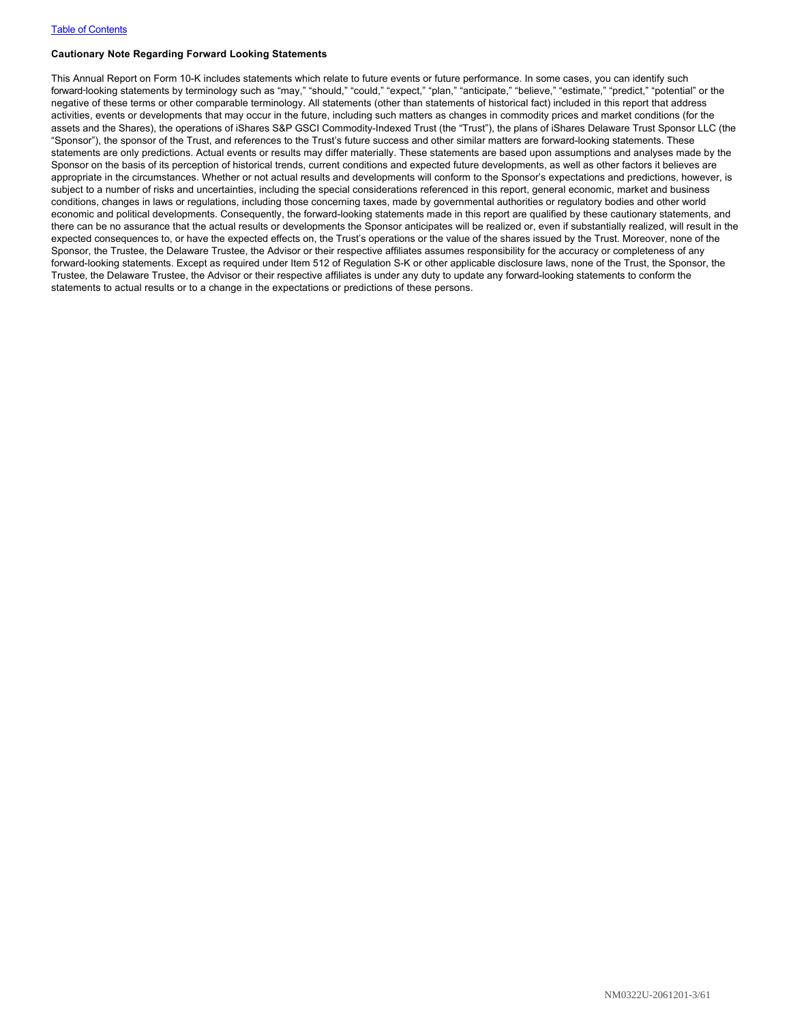# **Cautionary Note Regarding Forward Looking Statements**

This Annual Report on Form 10-K includes statements which relate to future events or future performance. In some cases, you can identify such forward-looking statements by terminology such as "may," "should," "could," "expect," "plan," "anticipate," "believe," "estimate," "predict," "potential" or the negative of these terms or other comparable terminology. All statements (other than statements of historical fact) included in this report that address activities, events or developments that may occur in the future, including such matters as changes in commodity prices and market conditions (for the assets and the Shares), the operations of iShares S&P GSCI Commodity-Indexed Trust (the "Trust"), the plans of iShares Delaware Trust Sponsor LLC (the "Sponsor"), the sponsor of the Trust, and references to the Trust's future success and other similar matters are forward-looking statements. These statements are only predictions. Actual events or results may differ materially. These statements are based upon assumptions and analyses made by the Sponsor on the basis of its perception of historical trends, current conditions and expected future developments, as well as other factors it believes are appropriate in the circumstances. Whether or not actual results and developments will conform to the Sponsor's expectations and predictions, however, is subject to a number of risks and uncertainties, including the special considerations referenced in this report, general economic, market and business conditions, changes in laws or regulations, including those concerning taxes, made by governmental authorities or regulatory bodies and other world economic and political developments. Consequently, the forward-looking statements made in this report are qualified by these cautionary statements, and there can be no assurance that the actual results or developments the Sponsor anticipates will be realized or, even if substantially realized, will result in the expected consequences to, or have the expected effects on, the Trust's operations or the value of the shares issued by the Trust. Moreover, none of the Sponsor, the Trustee, the Delaware Trustee, the Advisor or their respective affiliates assumes responsibility for the accuracy or completeness of any forward-looking statements. Except as required under Item 512 of Regulation S-K or other applicable disclosure laws, none of the Trust, the Sponsor, the Trustee, the Delaware Trustee, the Advisor or their respective affiliates is under any duty to update any forward-looking statements to conform the statements to actual results or to a change in the expectations or predictions of these persons.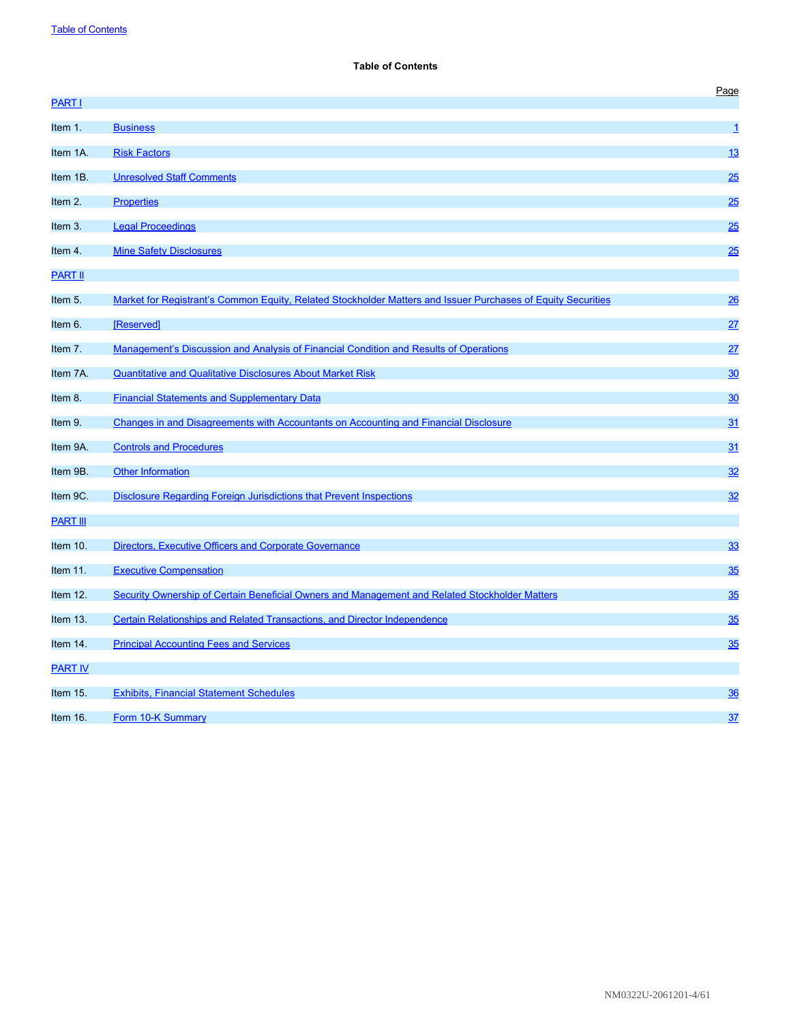# <span id="page-3-0"></span>**Table of Contents**

|                 |                                                                                                              | Page           |
|-----------------|--------------------------------------------------------------------------------------------------------------|----------------|
| <b>PART I</b>   |                                                                                                              |                |
| Item 1.         | <b>Business</b>                                                                                              | $\overline{1}$ |
| Item 1A.        | <b>Risk Factors</b>                                                                                          | 13             |
| Item 1B.        | <b>Unresolved Staff Comments</b>                                                                             | 25             |
| Item 2.         | <b>Properties</b>                                                                                            | 25             |
| Item 3.         | <b>Legal Proceedings</b>                                                                                     | 25             |
| Item 4.         | <b>Mine Safety Disclosures</b>                                                                               | 25             |
| <b>PART II</b>  |                                                                                                              |                |
| Item 5.         | Market for Registrant's Common Equity, Related Stockholder Matters and Issuer Purchases of Equity Securities | $\frac{26}{5}$ |
| Item 6.         | [Reserved]                                                                                                   | 27             |
| Item 7.         | <b>Management's Discussion and Analysis of Financial Condition and Results of Operations</b>                 | 27             |
| Item 7A.        | <b>Quantitative and Qualitative Disclosures About Market Risk</b>                                            | 30             |
| Item 8.         | <b>Financial Statements and Supplementary Data</b>                                                           | 30             |
| Item 9.         | Changes in and Disagreements with Accountants on Accounting and Financial Disclosure                         | 31             |
| Item 9A.        | <b>Controls and Procedures</b>                                                                               | 31             |
| Item 9B.        | <b>Other Information</b>                                                                                     | 32             |
| Item 9C.        | Disclosure Regarding Foreign Jurisdictions that Prevent Inspections                                          | 32             |
| <b>PART III</b> |                                                                                                              |                |
| Item 10.        | Directors, Executive Officers and Corporate Governance                                                       | 33             |
| Item 11.        | <b>Executive Compensation</b>                                                                                | 35             |
| Item 12.        | Security Ownership of Certain Beneficial Owners and Management and Related Stockholder Matters               | 35             |
| Item 13.        | Certain Relationships and Related Transactions, and Director Independence                                    | 35             |
| Item 14.        | <b>Principal Accounting Fees and Services</b>                                                                | 35             |
| <b>PART IV</b>  |                                                                                                              |                |
| Item 15.        | <b>Exhibits, Financial Statement Schedules</b>                                                               | 36             |
| Item 16.        | Form 10-K Summary                                                                                            | 37             |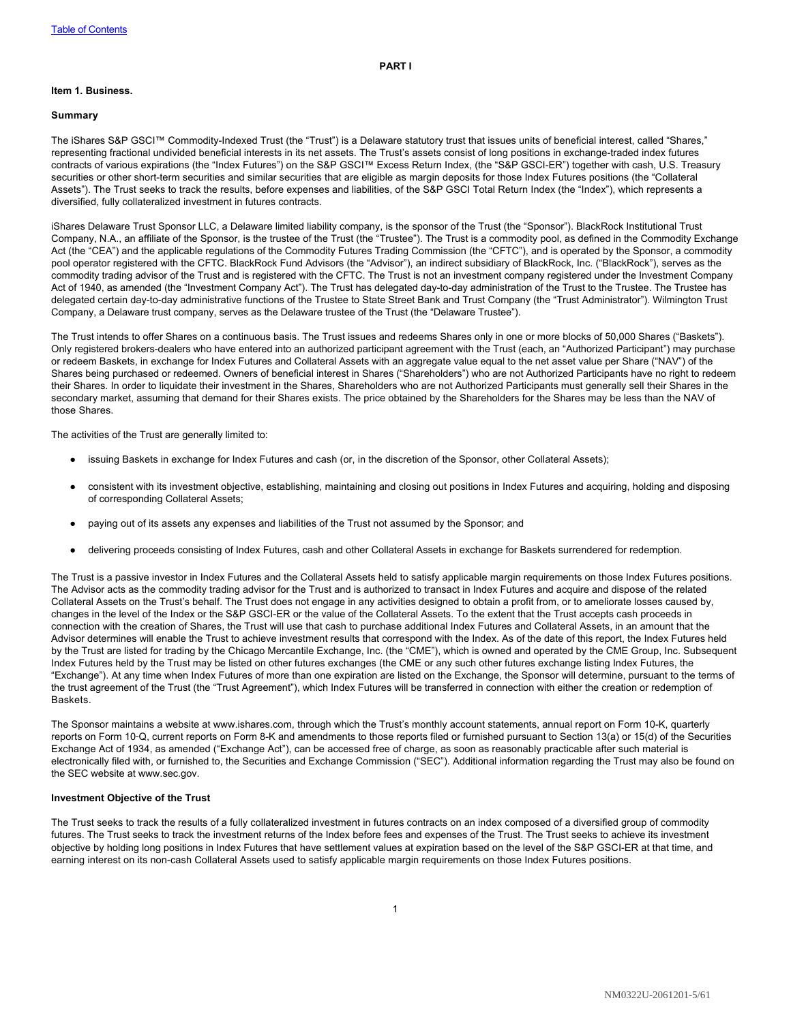# <span id="page-4-1"></span><span id="page-4-0"></span>**Item 1. Business.**

# **Summary**

The iShares S&P GSCI™ Commodity-Indexed Trust (the "Trust") is a Delaware statutory trust that issues units of beneficial interest, called "Shares," representing fractional undivided beneficial interests in its net assets. The Trust's assets consist of long positions in exchange-traded index futures contracts of various expirations (the "Index Futures") on the S&P GSCI™ Excess Return Index, (the "S&P GSCI-ER") together with cash, U.S. Treasury securities or other short-term securities and similar securities that are eligible as margin deposits for those Index Futures positions (the "Collateral Assets"). The Trust seeks to track the results, before expenses and liabilities, of the S&P GSCI Total Return Index (the "Index"), which represents a diversified, fully collateralized investment in futures contracts.

iShares Delaware Trust Sponsor LLC, a Delaware limited liability company, is the sponsor of the Trust (the "Sponsor"). BlackRock Institutional Trust Company, N.A., an affiliate of the Sponsor, is the trustee of the Trust (the "Trustee"). The Trust is a commodity pool, as defined in the Commodity Exchange Act (the "CEA") and the applicable regulations of the Commodity Futures Trading Commission (the "CFTC"), and is operated by the Sponsor, a commodity pool operator registered with the CFTC. BlackRock Fund Advisors (the "Advisor"), an indirect subsidiary of BlackRock, Inc. ("BlackRock"), serves as the commodity trading advisor of the Trust and is registered with the CFTC. The Trust is not an investment company registered under the Investment Company Act of 1940, as amended (the "Investment Company Act"). The Trust has delegated day-to-day administration of the Trust to the Trustee. The Trustee has delegated certain day-to-day administrative functions of the Trustee to State Street Bank and Trust Company (the "Trust Administrator"). Wilmington Trust Company, a Delaware trust company, serves as the Delaware trustee of the Trust (the "Delaware Trustee").

The Trust intends to offer Shares on a continuous basis. The Trust issues and redeems Shares only in one or more blocks of 50,000 Shares ("Baskets"). Only registered brokers-dealers who have entered into an authorized participant agreement with the Trust (each, an "Authorized Participant") may purchase or redeem Baskets, in exchange for Index Futures and Collateral Assets with an aggregate value equal to the net asset value per Share ("NAV") of the Shares being purchased or redeemed. Owners of beneficial interest in Shares ("Shareholders") who are not Authorized Participants have no right to redeem their Shares. In order to liquidate their investment in the Shares, Shareholders who are not Authorized Participants must generally sell their Shares in the secondary market, assuming that demand for their Shares exists. The price obtained by the Shareholders for the Shares may be less than the NAV of those Shares.

The activities of the Trust are generally limited to:

- issuing Baskets in exchange for Index Futures and cash (or, in the discretion of the Sponsor, other Collateral Assets);
- consistent with its investment objective, establishing, maintaining and closing out positions in Index Futures and acquiring, holding and disposing of corresponding Collateral Assets;
- paying out of its assets any expenses and liabilities of the Trust not assumed by the Sponsor; and
- delivering proceeds consisting of Index Futures, cash and other Collateral Assets in exchange for Baskets surrendered for redemption.

The Trust is a passive investor in Index Futures and the Collateral Assets held to satisfy applicable margin requirements on those Index Futures positions. The Advisor acts as the commodity trading advisor for the Trust and is authorized to transact in Index Futures and acquire and dispose of the related Collateral Assets on the Trust's behalf. The Trust does not engage in any activities designed to obtain a profit from, or to ameliorate losses caused by, changes in the level of the Index or the S&P GSCI-ER or the value of the Collateral Assets. To the extent that the Trust accepts cash proceeds in connection with the creation of Shares, the Trust will use that cash to purchase additional Index Futures and Collateral Assets, in an amount that the Advisor determines will enable the Trust to achieve investment results that correspond with the Index. As of the date of this report, the Index Futures held by the Trust are listed for trading by the Chicago Mercantile Exchange, Inc. (the "CME"), which is owned and operated by the CME Group, Inc. Subsequent Index Futures held by the Trust may be listed on other futures exchanges (the CME or any such other futures exchange listing Index Futures, the "Exchange"). At any time when Index Futures of more than one expiration are listed on the Exchange, the Sponsor will determine, pursuant to the terms of the trust agreement of the Trust (the "Trust Agreement"), which Index Futures will be transferred in connection with either the creation or redemption of **Baskets** 

The Sponsor maintains a website at www.ishares.com, through which the Trust's monthly account statements, annual report on Form 10-K, quarterly reports on Form 10‑Q, current reports on Form 8-K and amendments to those reports filed or furnished pursuant to Section 13(a) or 15(d) of the Securities Exchange Act of 1934, as amended ("Exchange Act"), can be accessed free of charge, as soon as reasonably practicable after such material is electronically filed with, or furnished to, the Securities and Exchange Commission ("SEC"). Additional information regarding the Trust may also be found on the SEC website at www.sec.gov.

# **Investment Objective of the Trust**

The Trust seeks to track the results of a fully collateralized investment in futures contracts on an index composed of a diversified group of commodity futures. The Trust seeks to track the investment returns of the Index before fees and expenses of the Trust. The Trust seeks to achieve its investment objective by holding long positions in Index Futures that have settlement values at expiration based on the level of the S&P GSCI-ER at that time, and earning interest on its non-cash Collateral Assets used to satisfy applicable margin requirements on those Index Futures positions.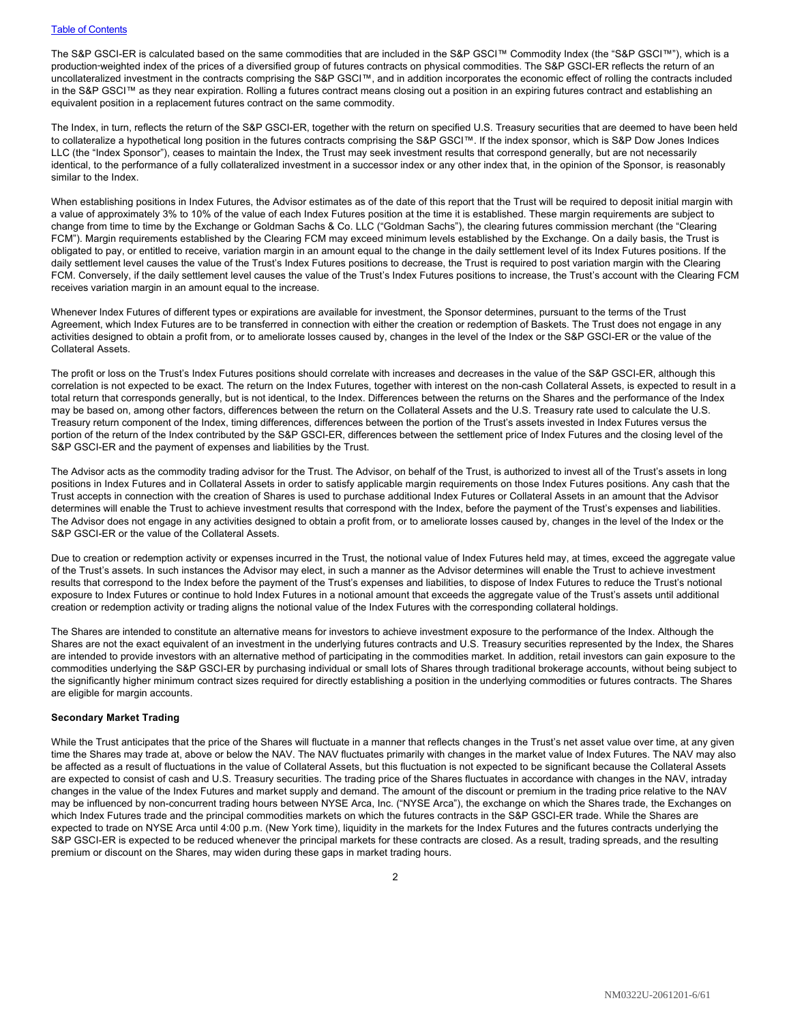The S&P GSCI-ER is calculated based on the same commodities that are included in the S&P GSCI™ Commodity Index (the "S&P GSCI™"), which is a production-weighted index of the prices of a diversified group of futures contracts on physical commodities. The S&P GSCI-ER reflects the return of an uncollateralized investment in the contracts comprising the S&P GSCI™, and in addition incorporates the economic effect of rolling the contracts included in the S&P GSCI™ as they near expiration. Rolling a futures contract means closing out a position in an expiring futures contract and establishing an equivalent position in a replacement futures contract on the same commodity.

The Index, in turn, reflects the return of the S&P GSCI-ER, together with the return on specified U.S. Treasury securities that are deemed to have been held to collateralize a hypothetical long position in the futures contracts comprising the S&P GSCI™. If the index sponsor, which is S&P Dow Jones Indices LLC (the "Index Sponsor"), ceases to maintain the Index, the Trust may seek investment results that correspond generally, but are not necessarily identical, to the performance of a fully collateralized investment in a successor index or any other index that, in the opinion of the Sponsor, is reasonably similar to the Index.

When establishing positions in Index Futures, the Advisor estimates as of the date of this report that the Trust will be required to deposit initial margin with a value of approximately 3% to 10% of the value of each Index Futures position at the time it is established. These margin requirements are subject to change from time to time by the Exchange or Goldman Sachs & Co. LLC ("Goldman Sachs"), the clearing futures commission merchant (the "Clearing FCM"). Margin requirements established by the Clearing FCM may exceed minimum levels established by the Exchange. On a daily basis, the Trust is obligated to pay, or entitled to receive, variation margin in an amount equal to the change in the daily settlement level of its Index Futures positions. If the daily settlement level causes the value of the Trust's Index Futures positions to decrease, the Trust is required to post variation margin with the Clearing FCM. Conversely, if the daily settlement level causes the value of the Trust's Index Futures positions to increase, the Trust's account with the Clearing FCM receives variation margin in an amount equal to the increase.

Whenever Index Futures of different types or expirations are available for investment, the Sponsor determines, pursuant to the terms of the Trust Agreement, which Index Futures are to be transferred in connection with either the creation or redemption of Baskets. The Trust does not engage in any activities designed to obtain a profit from, or to ameliorate losses caused by, changes in the level of the Index or the S&P GSCI-ER or the value of the Collateral Assets.

The profit or loss on the Trust's Index Futures positions should correlate with increases and decreases in the value of the S&P GSCI-ER, although this correlation is not expected to be exact. The return on the Index Futures, together with interest on the non-cash Collateral Assets, is expected to result in a total return that corresponds generally, but is not identical, to the Index. Differences between the returns on the Shares and the performance of the Index may be based on, among other factors, differences between the return on the Collateral Assets and the U.S. Treasury rate used to calculate the U.S. Treasury return component of the Index, timing differences, differences between the portion of the Trust's assets invested in Index Futures versus the portion of the return of the Index contributed by the S&P GSCI-ER, differences between the settlement price of Index Futures and the closing level of the S&P GSCI-ER and the payment of expenses and liabilities by the Trust.

The Advisor acts as the commodity trading advisor for the Trust. The Advisor, on behalf of the Trust, is authorized to invest all of the Trust's assets in long positions in Index Futures and in Collateral Assets in order to satisfy applicable margin requirements on those Index Futures positions. Any cash that the Trust accepts in connection with the creation of Shares is used to purchase additional Index Futures or Collateral Assets in an amount that the Advisor determines will enable the Trust to achieve investment results that correspond with the Index, before the payment of the Trust's expenses and liabilities. The Advisor does not engage in any activities designed to obtain a profit from, or to ameliorate losses caused by, changes in the level of the Index or the S&P GSCI-ER or the value of the Collateral Assets.

Due to creation or redemption activity or expenses incurred in the Trust, the notional value of Index Futures held may, at times, exceed the aggregate value of the Trust's assets. In such instances the Advisor may elect, in such a manner as the Advisor determines will enable the Trust to achieve investment results that correspond to the Index before the payment of the Trust's expenses and liabilities, to dispose of Index Futures to reduce the Trust's notional exposure to Index Futures or continue to hold Index Futures in a notional amount that exceeds the aggregate value of the Trust's assets until additional creation or redemption activity or trading aligns the notional value of the Index Futures with the corresponding collateral holdings.

The Shares are intended to constitute an alternative means for investors to achieve investment exposure to the performance of the Index. Although the Shares are not the exact equivalent of an investment in the underlying futures contracts and U.S. Treasury securities represented by the Index, the Shares are intended to provide investors with an alternative method of participating in the commodities market. In addition, retail investors can gain exposure to the commodities underlying the S&P GSCI-ER by purchasing individual or small lots of Shares through traditional brokerage accounts, without being subject to the significantly higher minimum contract sizes required for directly establishing a position in the underlying commodities or futures contracts. The Shares are eligible for margin accounts.

# **Secondary Market Trading**

While the Trust anticipates that the price of the Shares will fluctuate in a manner that reflects changes in the Trust's net asset value over time, at any given time the Shares may trade at, above or below the NAV. The NAV fluctuates primarily with changes in the market value of Index Futures. The NAV may also be affected as a result of fluctuations in the value of Collateral Assets, but this fluctuation is not expected to be significant because the Collateral Assets are expected to consist of cash and U.S. Treasury securities. The trading price of the Shares fluctuates in accordance with changes in the NAV, intraday changes in the value of the Index Futures and market supply and demand. The amount of the discount or premium in the trading price relative to the NAV may be influenced by non-concurrent trading hours between NYSE Arca, Inc. ("NYSE Arca"), the exchange on which the Shares trade, the Exchanges on which Index Futures trade and the principal commodities markets on which the futures contracts in the S&P GSCI-ER trade. While the Shares are expected to trade on NYSE Arca until 4:00 p.m. (New York time), liquidity in the markets for the Index Futures and the futures contracts underlying the S&P GSCI-ER is expected to be reduced whenever the principal markets for these contracts are closed. As a result, trading spreads, and the resulting premium or discount on the Shares, may widen during these gaps in market trading hours.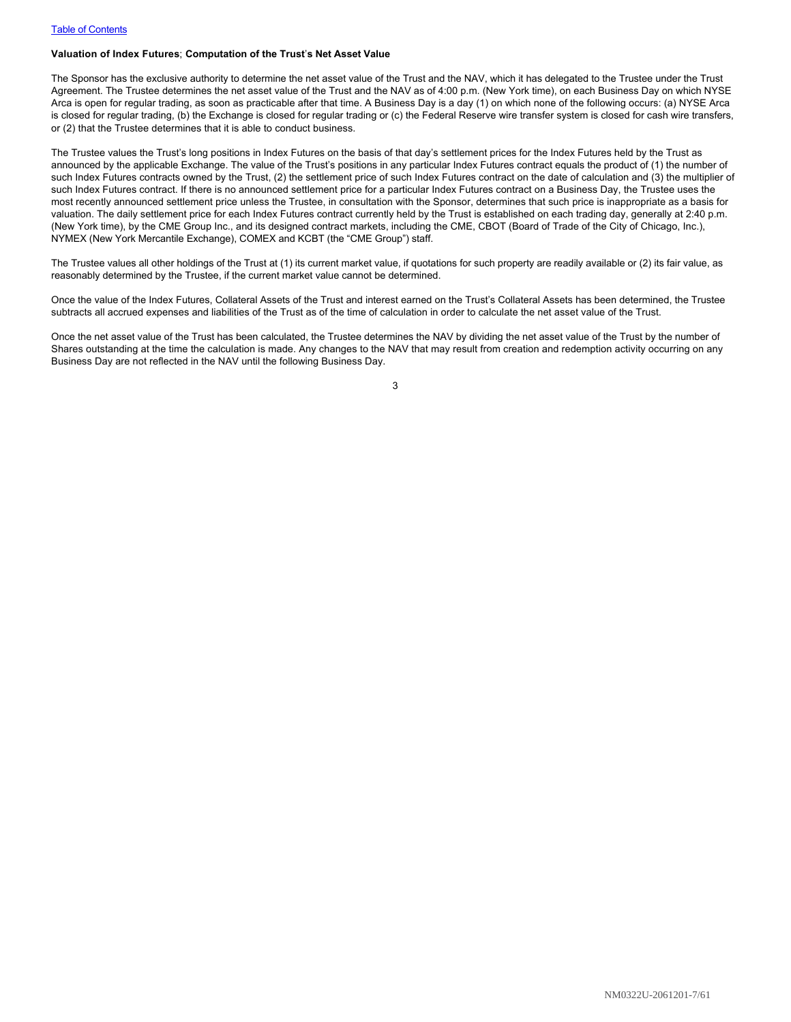# **Valuation of Index Futures**; **Computation of the Trust**'**s Net Asset Value**

The Sponsor has the exclusive authority to determine the net asset value of the Trust and the NAV, which it has delegated to the Trustee under the Trust Agreement. The Trustee determines the net asset value of the Trust and the NAV as of 4:00 p.m. (New York time), on each Business Day on which NYSE Arca is open for regular trading, as soon as practicable after that time. A Business Day is a day (1) on which none of the following occurs: (a) NYSE Arca is closed for regular trading, (b) the Exchange is closed for regular trading or (c) the Federal Reserve wire transfer system is closed for cash wire transfers, or (2) that the Trustee determines that it is able to conduct business.

The Trustee values the Trust's long positions in Index Futures on the basis of that day's settlement prices for the Index Futures held by the Trust as announced by the applicable Exchange. The value of the Trust's positions in any particular Index Futures contract equals the product of (1) the number of such Index Futures contracts owned by the Trust, (2) the settlement price of such Index Futures contract on the date of calculation and (3) the multiplier of such Index Futures contract. If there is no announced settlement price for a particular Index Futures contract on a Business Day, the Trustee uses the most recently announced settlement price unless the Trustee, in consultation with the Sponsor, determines that such price is inappropriate as a basis for valuation. The daily settlement price for each Index Futures contract currently held by the Trust is established on each trading day, generally at 2:40 p.m. (New York time), by the CME Group Inc., and its designed contract markets, including the CME, CBOT (Board of Trade of the City of Chicago, Inc.), NYMEX (New York Mercantile Exchange), COMEX and KCBT (the "CME Group") staff.

The Trustee values all other holdings of the Trust at (1) its current market value, if quotations for such property are readily available or (2) its fair value, as reasonably determined by the Trustee, if the current market value cannot be determined.

Once the value of the Index Futures, Collateral Assets of the Trust and interest earned on the Trust's Collateral Assets has been determined, the Trustee subtracts all accrued expenses and liabilities of the Trust as of the time of calculation in order to calculate the net asset value of the Trust.

Once the net asset value of the Trust has been calculated, the Trustee determines the NAV by dividing the net asset value of the Trust by the number of Shares outstanding at the time the calculation is made. Any changes to the NAV that may result from creation and redemption activity occurring on any Business Day are not reflected in the NAV until the following Business Day.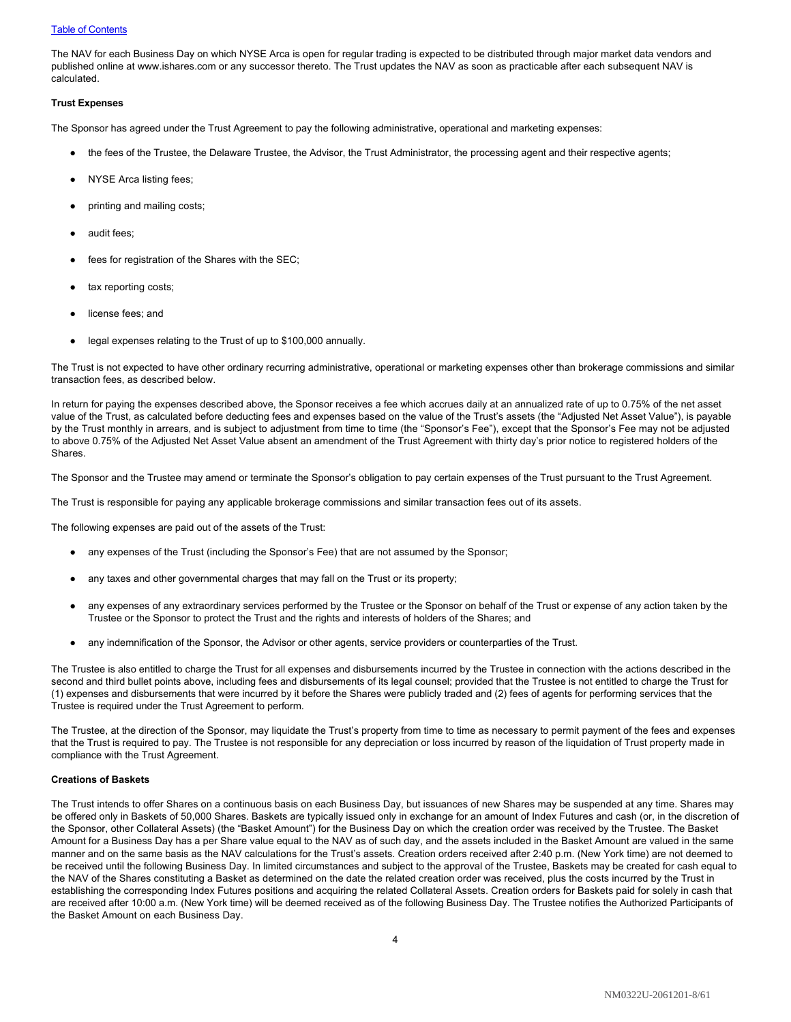# **[Table of Contents](#page-3-0)**

The NAV for each Business Day on which NYSE Arca is open for regular trading is expected to be distributed through major market data vendors and published online at www.ishares.com or any successor thereto. The Trust updates the NAV as soon as practicable after each subsequent NAV is calculated.

# **Trust Expenses**

The Sponsor has agreed under the Trust Agreement to pay the following administrative, operational and marketing expenses:

- the fees of the Trustee, the Delaware Trustee, the Advisor, the Trust Administrator, the processing agent and their respective agents;
- **NYSE Arca listing fees;**
- printing and mailing costs;
- audit fees;
- fees for registration of the Shares with the SEC;
- tax reporting costs:
- license fees; and
- legal expenses relating to the Trust of up to \$100,000 annually.

The Trust is not expected to have other ordinary recurring administrative, operational or marketing expenses other than brokerage commissions and similar transaction fees, as described below.

In return for paying the expenses described above, the Sponsor receives a fee which accrues daily at an annualized rate of up to 0.75% of the net asset value of the Trust, as calculated before deducting fees and expenses based on the value of the Trust's assets (the "Adjusted Net Asset Value"), is payable by the Trust monthly in arrears, and is subject to adjustment from time to time (the "Sponsor's Fee"), except that the Sponsor's Fee may not be adjusted to above 0.75% of the Adjusted Net Asset Value absent an amendment of the Trust Agreement with thirty day's prior notice to registered holders of the Shares.

The Sponsor and the Trustee may amend or terminate the Sponsor's obligation to pay certain expenses of the Trust pursuant to the Trust Agreement.

The Trust is responsible for paying any applicable brokerage commissions and similar transaction fees out of its assets.

The following expenses are paid out of the assets of the Trust:

- any expenses of the Trust (including the Sponsor's Fee) that are not assumed by the Sponsor;
- any taxes and other governmental charges that may fall on the Trust or its property;
- any expenses of any extraordinary services performed by the Trustee or the Sponsor on behalf of the Trust or expense of any action taken by the Trustee or the Sponsor to protect the Trust and the rights and interests of holders of the Shares; and
- any indemnification of the Sponsor, the Advisor or other agents, service providers or counterparties of the Trust.

The Trustee is also entitled to charge the Trust for all expenses and disbursements incurred by the Trustee in connection with the actions described in the second and third bullet points above, including fees and disbursements of its legal counsel; provided that the Trustee is not entitled to charge the Trust for (1) expenses and disbursements that were incurred by it before the Shares were publicly traded and (2) fees of agents for performing services that the Trustee is required under the Trust Agreement to perform.

The Trustee, at the direction of the Sponsor, may liquidate the Trust's property from time to time as necessary to permit payment of the fees and expenses that the Trust is required to pay. The Trustee is not responsible for any depreciation or loss incurred by reason of the liquidation of Trust property made in compliance with the Trust Agreement.

#### **Creations of Baskets**

The Trust intends to offer Shares on a continuous basis on each Business Day, but issuances of new Shares may be suspended at any time. Shares may be offered only in Baskets of 50,000 Shares. Baskets are typically issued only in exchange for an amount of Index Futures and cash (or, in the discretion of the Sponsor, other Collateral Assets) (the "Basket Amount") for the Business Day on which the creation order was received by the Trustee. The Basket Amount for a Business Day has a per Share value equal to the NAV as of such day, and the assets included in the Basket Amount are valued in the same manner and on the same basis as the NAV calculations for the Trust's assets. Creation orders received after 2:40 p.m. (New York time) are not deemed to be received until the following Business Day. In limited circumstances and subject to the approval of the Trustee, Baskets may be created for cash equal to the NAV of the Shares constituting a Basket as determined on the date the related creation order was received, plus the costs incurred by the Trust in establishing the corresponding Index Futures positions and acquiring the related Collateral Assets. Creation orders for Baskets paid for solely in cash that are received after 10:00 a.m. (New York time) will be deemed received as of the following Business Day. The Trustee notifies the Authorized Participants of the Basket Amount on each Business Day.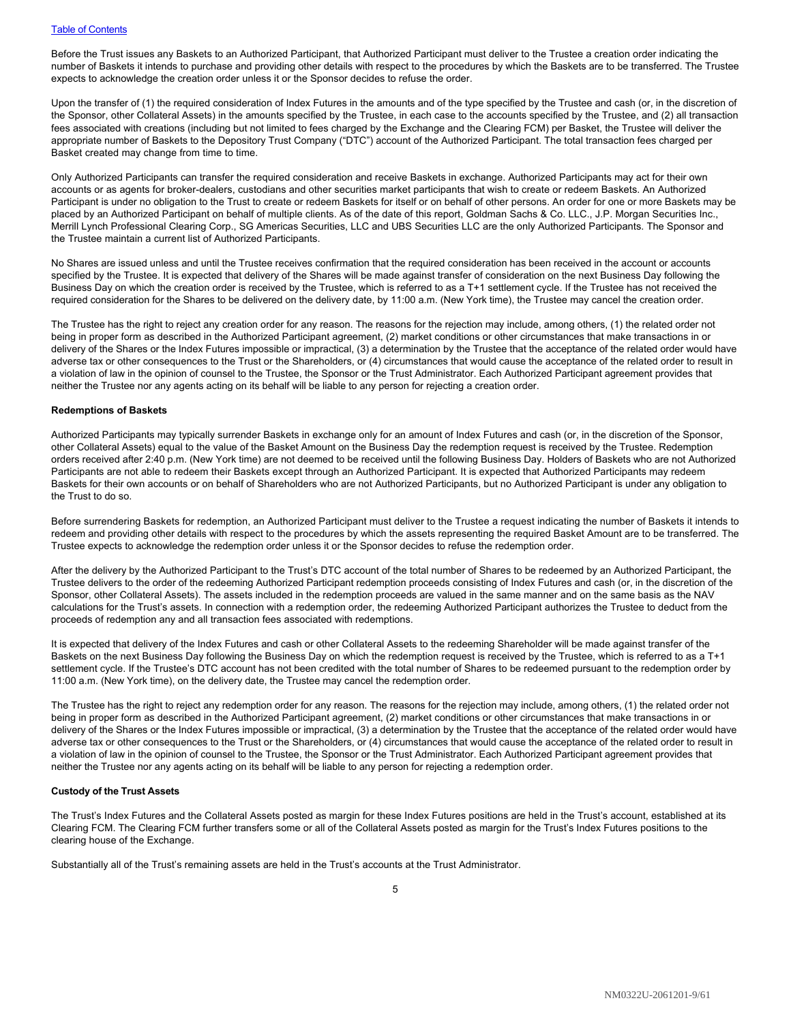Before the Trust issues any Baskets to an Authorized Participant, that Authorized Participant must deliver to the Trustee a creation order indicating the number of Baskets it intends to purchase and providing other details with respect to the procedures by which the Baskets are to be transferred. The Trustee expects to acknowledge the creation order unless it or the Sponsor decides to refuse the order.

Upon the transfer of (1) the required consideration of Index Futures in the amounts and of the type specified by the Trustee and cash (or, in the discretion of the Sponsor, other Collateral Assets) in the amounts specified by the Trustee, in each case to the accounts specified by the Trustee, and (2) all transaction fees associated with creations (including but not limited to fees charged by the Exchange and the Clearing FCM) per Basket, the Trustee will deliver the appropriate number of Baskets to the Depository Trust Company ("DTC") account of the Authorized Participant. The total transaction fees charged per Basket created may change from time to time.

Only Authorized Participants can transfer the required consideration and receive Baskets in exchange. Authorized Participants may act for their own accounts or as agents for broker-dealers, custodians and other securities market participants that wish to create or redeem Baskets. An Authorized Participant is under no obligation to the Trust to create or redeem Baskets for itself or on behalf of other persons. An order for one or more Baskets may be placed by an Authorized Participant on behalf of multiple clients. As of the date of this report, Goldman Sachs & Co. LLC., J.P. Morgan Securities Inc., Merrill Lynch Professional Clearing Corp., SG Americas Securities, LLC and UBS Securities LLC are the only Authorized Participants. The Sponsor and the Trustee maintain a current list of Authorized Participants.

No Shares are issued unless and until the Trustee receives confirmation that the required consideration has been received in the account or accounts specified by the Trustee. It is expected that delivery of the Shares will be made against transfer of consideration on the next Business Day following the Business Day on which the creation order is received by the Trustee, which is referred to as a T+1 settlement cycle. If the Trustee has not received the required consideration for the Shares to be delivered on the delivery date, by 11:00 a.m. (New York time), the Trustee may cancel the creation order.

The Trustee has the right to reject any creation order for any reason. The reasons for the rejection may include, among others, (1) the related order not being in proper form as described in the Authorized Participant agreement, (2) market conditions or other circumstances that make transactions in or delivery of the Shares or the Index Futures impossible or impractical, (3) a determination by the Trustee that the acceptance of the related order would have adverse tax or other consequences to the Trust or the Shareholders, or (4) circumstances that would cause the acceptance of the related order to result in a violation of law in the opinion of counsel to the Trustee, the Sponsor or the Trust Administrator. Each Authorized Participant agreement provides that neither the Trustee nor any agents acting on its behalf will be liable to any person for rejecting a creation order.

# **Redemptions of Baskets**

Authorized Participants may typically surrender Baskets in exchange only for an amount of Index Futures and cash (or, in the discretion of the Sponsor, other Collateral Assets) equal to the value of the Basket Amount on the Business Day the redemption request is received by the Trustee. Redemption orders received after 2:40 p.m. (New York time) are not deemed to be received until the following Business Day. Holders of Baskets who are not Authorized Participants are not able to redeem their Baskets except through an Authorized Participant. It is expected that Authorized Participants may redeem Baskets for their own accounts or on behalf of Shareholders who are not Authorized Participants, but no Authorized Participant is under any obligation to the Trust to do so.

Before surrendering Baskets for redemption, an Authorized Participant must deliver to the Trustee a request indicating the number of Baskets it intends to redeem and providing other details with respect to the procedures by which the assets representing the required Basket Amount are to be transferred. The Trustee expects to acknowledge the redemption order unless it or the Sponsor decides to refuse the redemption order.

After the delivery by the Authorized Participant to the Trust's DTC account of the total number of Shares to be redeemed by an Authorized Participant, the Trustee delivers to the order of the redeeming Authorized Participant redemption proceeds consisting of Index Futures and cash (or, in the discretion of the Sponsor, other Collateral Assets). The assets included in the redemption proceeds are valued in the same manner and on the same basis as the NAV calculations for the Trust's assets. In connection with a redemption order, the redeeming Authorized Participant authorizes the Trustee to deduct from the proceeds of redemption any and all transaction fees associated with redemptions.

It is expected that delivery of the Index Futures and cash or other Collateral Assets to the redeeming Shareholder will be made against transfer of the Baskets on the next Business Day following the Business Day on which the redemption request is received by the Trustee, which is referred to as a T+1 settlement cycle. If the Trustee's DTC account has not been credited with the total number of Shares to be redeemed pursuant to the redemption order by 11:00 a.m. (New York time), on the delivery date, the Trustee may cancel the redemption order.

The Trustee has the right to reject any redemption order for any reason. The reasons for the rejection may include, among others, (1) the related order not being in proper form as described in the Authorized Participant agreement, (2) market conditions or other circumstances that make transactions in or delivery of the Shares or the Index Futures impossible or impractical, (3) a determination by the Trustee that the acceptance of the related order would have adverse tax or other consequences to the Trust or the Shareholders, or (4) circumstances that would cause the acceptance of the related order to result in a violation of law in the opinion of counsel to the Trustee, the Sponsor or the Trust Administrator. Each Authorized Participant agreement provides that neither the Trustee nor any agents acting on its behalf will be liable to any person for rejecting a redemption order.

# **Custody of the Trust Assets**

The Trust's Index Futures and the Collateral Assets posted as margin for these Index Futures positions are held in the Trust's account, established at its Clearing FCM. The Clearing FCM further transfers some or all of the Collateral Assets posted as margin for the Trust's Index Futures positions to the clearing house of the Exchange.

Substantially all of the Trust's remaining assets are held in the Trust's accounts at the Trust Administrator.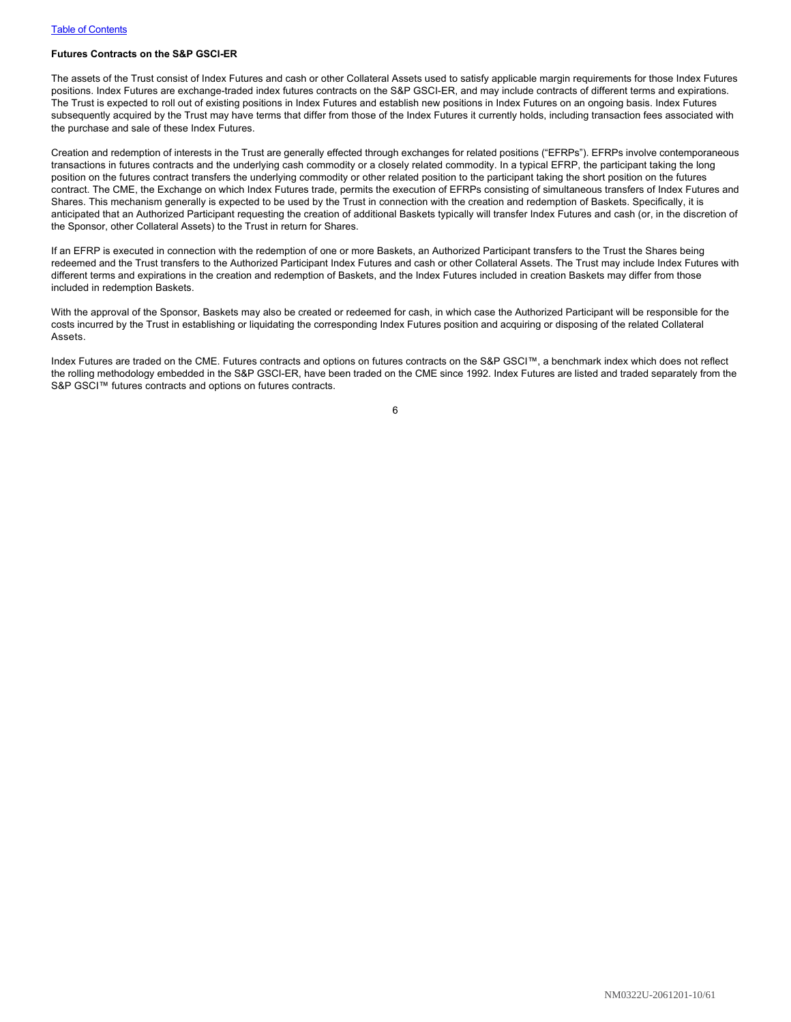# **Futures Contracts on the S&P GSCI-ER**

The assets of the Trust consist of Index Futures and cash or other Collateral Assets used to satisfy applicable margin requirements for those Index Futures positions. Index Futures are exchange-traded index futures contracts on the S&P GSCI-ER, and may include contracts of different terms and expirations. The Trust is expected to roll out of existing positions in Index Futures and establish new positions in Index Futures on an ongoing basis. Index Futures subsequently acquired by the Trust may have terms that differ from those of the Index Futures it currently holds, including transaction fees associated with the purchase and sale of these Index Futures.

Creation and redemption of interests in the Trust are generally effected through exchanges for related positions ("EFRPs"). EFRPs involve contemporaneous transactions in futures contracts and the underlying cash commodity or a closely related commodity. In a typical EFRP, the participant taking the long position on the futures contract transfers the underlying commodity or other related position to the participant taking the short position on the futures contract. The CME, the Exchange on which Index Futures trade, permits the execution of EFRPs consisting of simultaneous transfers of Index Futures and Shares. This mechanism generally is expected to be used by the Trust in connection with the creation and redemption of Baskets. Specifically, it is anticipated that an Authorized Participant requesting the creation of additional Baskets typically will transfer Index Futures and cash (or, in the discretion of the Sponsor, other Collateral Assets) to the Trust in return for Shares.

If an EFRP is executed in connection with the redemption of one or more Baskets, an Authorized Participant transfers to the Trust the Shares being redeemed and the Trust transfers to the Authorized Participant Index Futures and cash or other Collateral Assets. The Trust may include Index Futures with different terms and expirations in the creation and redemption of Baskets, and the Index Futures included in creation Baskets may differ from those included in redemption Baskets.

With the approval of the Sponsor, Baskets may also be created or redeemed for cash, in which case the Authorized Participant will be responsible for the costs incurred by the Trust in establishing or liquidating the corresponding Index Futures position and acquiring or disposing of the related Collateral Assets.

Index Futures are traded on the CME. Futures contracts and options on futures contracts on the S&P GSCI™, a benchmark index which does not reflect the rolling methodology embedded in the S&P GSCI-ER, have been traded on the CME since 1992. Index Futures are listed and traded separately from the S&P GSCI™ futures contracts and options on futures contracts.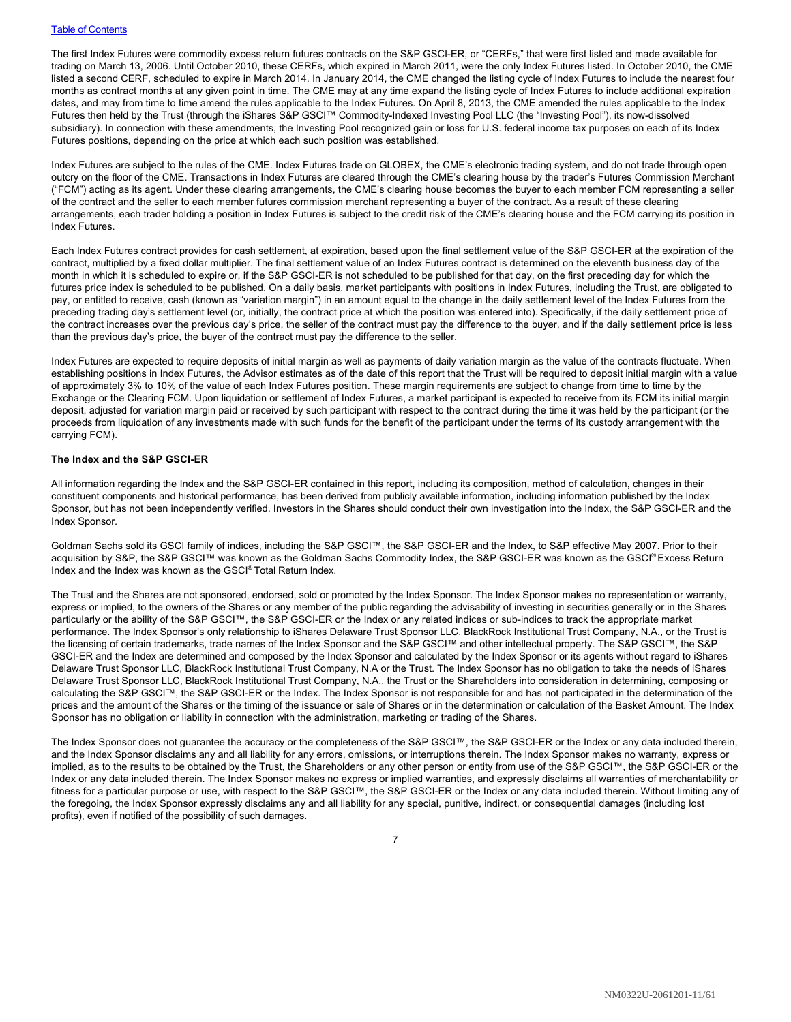The first Index Futures were commodity excess return futures contracts on the S&P GSCI-ER, or "CERFs," that were first listed and made available for trading on March 13, 2006. Until October 2010, these CERFs, which expired in March 2011, were the only Index Futures listed. In October 2010, the CME listed a second CERF, scheduled to expire in March 2014. In January 2014, the CME changed the listing cycle of Index Futures to include the nearest four months as contract months at any given point in time. The CME may at any time expand the listing cycle of Index Futures to include additional expiration dates, and may from time to time amend the rules applicable to the Index Futures. On April 8, 2013, the CME amended the rules applicable to the Index Futures then held by the Trust (through the iShares S&P GSCI™ Commodity-Indexed Investing Pool LLC (the "Investing Pool"), its now-dissolved subsidiary). In connection with these amendments, the Investing Pool recognized gain or loss for U.S. federal income tax purposes on each of its Index Futures positions, depending on the price at which each such position was established.

Index Futures are subject to the rules of the CME. Index Futures trade on GLOBEX, the CME's electronic trading system, and do not trade through open outcry on the floor of the CME. Transactions in Index Futures are cleared through the CME's clearing house by the trader's Futures Commission Merchant ("FCM") acting as its agent. Under these clearing arrangements, the CME's clearing house becomes the buyer to each member FCM representing a seller of the contract and the seller to each member futures commission merchant representing a buyer of the contract. As a result of these clearing arrangements, each trader holding a position in Index Futures is subject to the credit risk of the CME's clearing house and the FCM carrying its position in Index Futures.

Each Index Futures contract provides for cash settlement, at expiration, based upon the final settlement value of the S&P GSCI-ER at the expiration of the contract, multiplied by a fixed dollar multiplier. The final settlement value of an Index Futures contract is determined on the eleventh business day of the month in which it is scheduled to expire or, if the S&P GSCI-ER is not scheduled to be published for that day, on the first preceding day for which the futures price index is scheduled to be published. On a daily basis, market participants with positions in Index Futures, including the Trust, are obligated to pay, or entitled to receive, cash (known as "variation margin") in an amount equal to the change in the daily settlement level of the Index Futures from the preceding trading day's settlement level (or, initially, the contract price at which the position was entered into). Specifically, if the daily settlement price of the contract increases over the previous day's price, the seller of the contract must pay the difference to the buyer, and if the daily settlement price is less than the previous day's price, the buyer of the contract must pay the difference to the seller.

Index Futures are expected to require deposits of initial margin as well as payments of daily variation margin as the value of the contracts fluctuate. When establishing positions in Index Futures, the Advisor estimates as of the date of this report that the Trust will be required to deposit initial margin with a value of approximately 3% to 10% of the value of each Index Futures position. These margin requirements are subject to change from time to time by the Exchange or the Clearing FCM. Upon liquidation or settlement of Index Futures, a market participant is expected to receive from its FCM its initial margin deposit, adjusted for variation margin paid or received by such participant with respect to the contract during the time it was held by the participant (or the proceeds from liquidation of any investments made with such funds for the benefit of the participant under the terms of its custody arrangement with the carrying FCM).

# **The Index and the S&P GSCI-ER**

All information regarding the Index and the S&P GSCI-ER contained in this report, including its composition, method of calculation, changes in their constituent components and historical performance, has been derived from publicly available information, including information published by the Index Sponsor, but has not been independently verified. Investors in the Shares should conduct their own investigation into the Index, the S&P GSCI-ER and the Index Sponsor.

Goldman Sachs sold its GSCI family of indices, including the S&P GSCI™, the S&P GSCI-ER and the Index, to S&P effective May 2007. Prior to their acquisition by S&P, the S&P GSCI™ was known as the Goldman Sachs Commodity Index, the S&P GSCI-ER was known as the GSCI® Excess Return Index and the Index was known as the GSCI® Total Return Index.

The Trust and the Shares are not sponsored, endorsed, sold or promoted by the Index Sponsor. The Index Sponsor makes no representation or warranty, express or implied, to the owners of the Shares or any member of the public regarding the advisability of investing in securities generally or in the Shares particularly or the ability of the S&P GSCI™, the S&P GSCI-ER or the Index or any related indices or sub-indices to track the appropriate market performance. The Index Sponsor's only relationship to iShares Delaware Trust Sponsor LLC, BlackRock Institutional Trust Company, N.A., or the Trust is the licensing of certain trademarks, trade names of the Index Sponsor and the S&P GSCI™ and other intellectual property. The S&P GSCI™, the S&P GSCI-ER and the Index are determined and composed by the Index Sponsor and calculated by the Index Sponsor or its agents without regard to iShares Delaware Trust Sponsor LLC, BlackRock Institutional Trust Company, N.A or the Trust. The Index Sponsor has no obligation to take the needs of iShares Delaware Trust Sponsor LLC, BlackRock Institutional Trust Company, N.A., the Trust or the Shareholders into consideration in determining, composing or calculating the S&P GSCI™, the S&P GSCI-ER or the Index. The Index Sponsor is not responsible for and has not participated in the determination of the prices and the amount of the Shares or the timing of the issuance or sale of Shares or in the determination or calculation of the Basket Amount. The Index Sponsor has no obligation or liability in connection with the administration, marketing or trading of the Shares.

The Index Sponsor does not guarantee the accuracy or the completeness of the S&P GSCI™, the S&P GSCI-ER or the Index or any data included therein, and the Index Sponsor disclaims any and all liability for any errors, omissions, or interruptions therein. The Index Sponsor makes no warranty, express or implied, as to the results to be obtained by the Trust, the Shareholders or any other person or entity from use of the S&P GSCI™, the S&P GSCI-ER or the Index or any data included therein. The Index Sponsor makes no express or implied warranties, and expressly disclaims all warranties of merchantability or fitness for a particular purpose or use, with respect to the S&P GSCI™, the S&P GSCI-ER or the Index or any data included therein. Without limiting any of the foregoing, the Index Sponsor expressly disclaims any and all liability for any special, punitive, indirect, or consequential damages (including lost profits), even if notified of the possibility of such damages.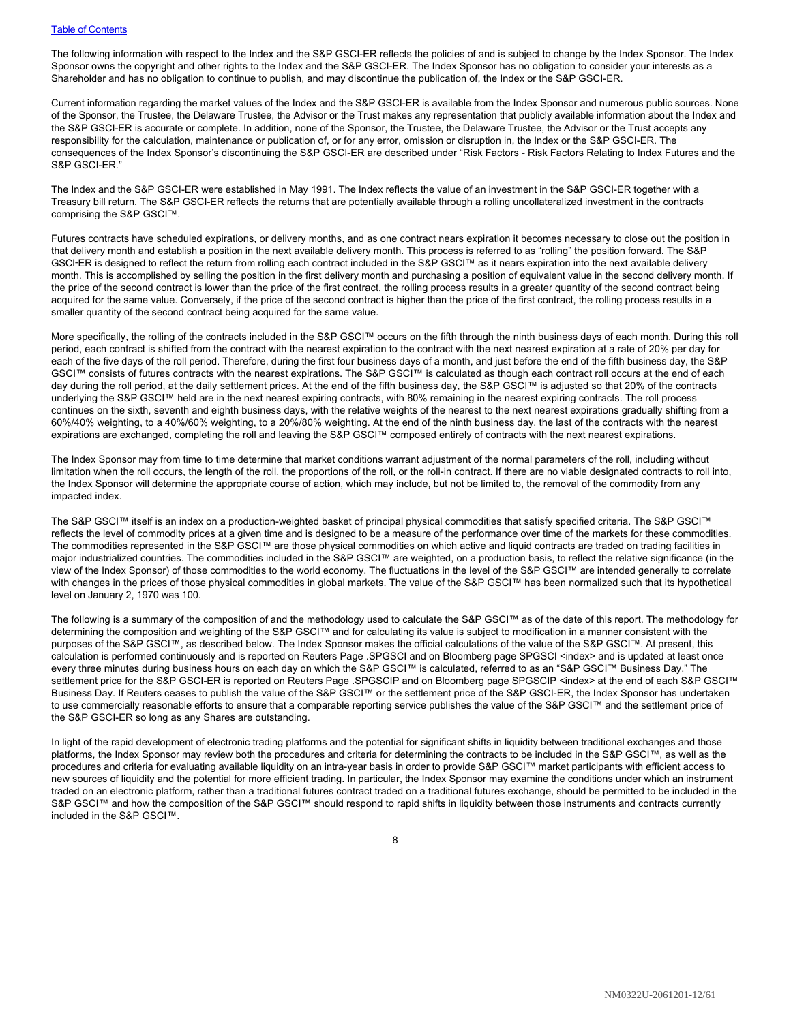The following information with respect to the Index and the S&P GSCI-ER reflects the policies of and is subject to change by the Index Sponsor. The Index Sponsor owns the copyright and other rights to the Index and the S&P GSCI-ER. The Index Sponsor has no obligation to consider your interests as a Shareholder and has no obligation to continue to publish, and may discontinue the publication of, the Index or the S&P GSCI-ER.

Current information regarding the market values of the Index and the S&P GSCI-ER is available from the Index Sponsor and numerous public sources. None of the Sponsor, the Trustee, the Delaware Trustee, the Advisor or the Trust makes any representation that publicly available information about the Index and the S&P GSCI-ER is accurate or complete. In addition, none of the Sponsor, the Trustee, the Delaware Trustee, the Advisor or the Trust accepts any responsibility for the calculation, maintenance or publication of, or for any error, omission or disruption in, the Index or the S&P GSCI-ER. The consequences of the Index Sponsor's discontinuing the S&P GSCI-ER are described under "Risk Factors - Risk Factors Relating to Index Futures and the S&P GSCI-ER."

The Index and the S&P GSCI-ER were established in May 1991. The Index reflects the value of an investment in the S&P GSCI-ER together with a Treasury bill return. The S&P GSCI-ER reflects the returns that are potentially available through a rolling uncollateralized investment in the contracts comprising the S&P GSCI™.

Futures contracts have scheduled expirations, or delivery months, and as one contract nears expiration it becomes necessary to close out the position in that delivery month and establish a position in the next available delivery month. This process is referred to as "rolling" the position forward. The S&P GSCI-ER is designed to reflect the return from rolling each contract included in the S&P GSCI™ as it nears expiration into the next available delivery month. This is accomplished by selling the position in the first delivery month and purchasing a position of equivalent value in the second delivery month. If the price of the second contract is lower than the price of the first contract, the rolling process results in a greater quantity of the second contract being acquired for the same value. Conversely, if the price of the second contract is higher than the price of the first contract, the rolling process results in a smaller quantity of the second contract being acquired for the same value.

More specifically, the rolling of the contracts included in the S&P GSCI™ occurs on the fifth through the ninth business days of each month. During this roll period, each contract is shifted from the contract with the nearest expiration to the contract with the next nearest expiration at a rate of 20% per day for each of the five days of the roll period. Therefore, during the first four business days of a month, and just before the end of the fifth business day, the S&P GSCI™ consists of futures contracts with the nearest expirations. The S&P GSCI™ is calculated as though each contract roll occurs at the end of each day during the roll period, at the daily settlement prices. At the end of the fifth business day, the S&P GSCI™ is adjusted so that 20% of the contracts underlying the S&P GSCI™ held are in the next nearest expiring contracts, with 80% remaining in the nearest expiring contracts. The roll process continues on the sixth, seventh and eighth business days, with the relative weights of the nearest to the next nearest expirations gradually shifting from a 60%/40% weighting, to a 40%/60% weighting, to a 20%/80% weighting. At the end of the ninth business day, the last of the contracts with the nearest expirations are exchanged, completing the roll and leaving the S&P GSCI™ composed entirely of contracts with the next nearest expirations.

The Index Sponsor may from time to time determine that market conditions warrant adjustment of the normal parameters of the roll, including without limitation when the roll occurs, the length of the roll, the proportions of the roll, or the roll-in contract. If there are no viable designated contracts to roll into, the Index Sponsor will determine the appropriate course of action, which may include, but not be limited to, the removal of the commodity from any impacted index.

The S&P GSCI™ itself is an index on a production-weighted basket of principal physical commodities that satisfy specified criteria. The S&P GSCI™ reflects the level of commodity prices at a given time and is designed to be a measure of the performance over time of the markets for these commodities. The commodities represented in the S&P GSCI™ are those physical commodities on which active and liquid contracts are traded on trading facilities in major industrialized countries. The commodities included in the S&P GSCI™ are weighted, on a production basis, to reflect the relative significance (in the view of the Index Sponsor) of those commodities to the world economy. The fluctuations in the level of the S&P GSCI™ are intended generally to correlate with changes in the prices of those physical commodities in global markets. The value of the S&P GSCI™ has been normalized such that its hypothetical level on January 2, 1970 was 100.

The following is a summary of the composition of and the methodology used to calculate the S&P GSCI™ as of the date of this report. The methodology for determining the composition and weighting of the S&P GSCI™ and for calculating its value is subject to modification in a manner consistent with the purposes of the S&P GSCI™, as described below. The Index Sponsor makes the official calculations of the value of the S&P GSCI™. At present, this calculation is performed continuously and is reported on Reuters Page .SPGSCI and on Bloomberg page SPGSCI <index> and is updated at least once every three minutes during business hours on each day on which the S&P GSCI™ is calculated, referred to as an "S&P GSCI™ Business Day." The settlement price for the S&P GSCI-ER is reported on Reuters Page .SPGSCIP and on Bloomberg page SPGSCIP <index> at the end of each S&P GSCI™ Business Day. If Reuters ceases to publish the value of the S&P GSCI™ or the settlement price of the S&P GSCI-ER, the Index Sponsor has undertaken to use commercially reasonable efforts to ensure that a comparable reporting service publishes the value of the S&P GSCI™ and the settlement price of the S&P GSCI-ER so long as any Shares are outstanding.

In light of the rapid development of electronic trading platforms and the potential for significant shifts in liquidity between traditional exchanges and those platforms, the Index Sponsor may review both the procedures and criteria for determining the contracts to be included in the S&P GSCI™, as well as the procedures and criteria for evaluating available liquidity on an intra-year basis in order to provide S&P GSCI™ market participants with efficient access to new sources of liquidity and the potential for more efficient trading. In particular, the Index Sponsor may examine the conditions under which an instrument traded on an electronic platform, rather than a traditional futures contract traded on a traditional futures exchange, should be permitted to be included in the S&P GSCI™ and how the composition of the S&P GSCI™ should respond to rapid shifts in liquidity between those instruments and contracts currently included in the S&P GSCI™.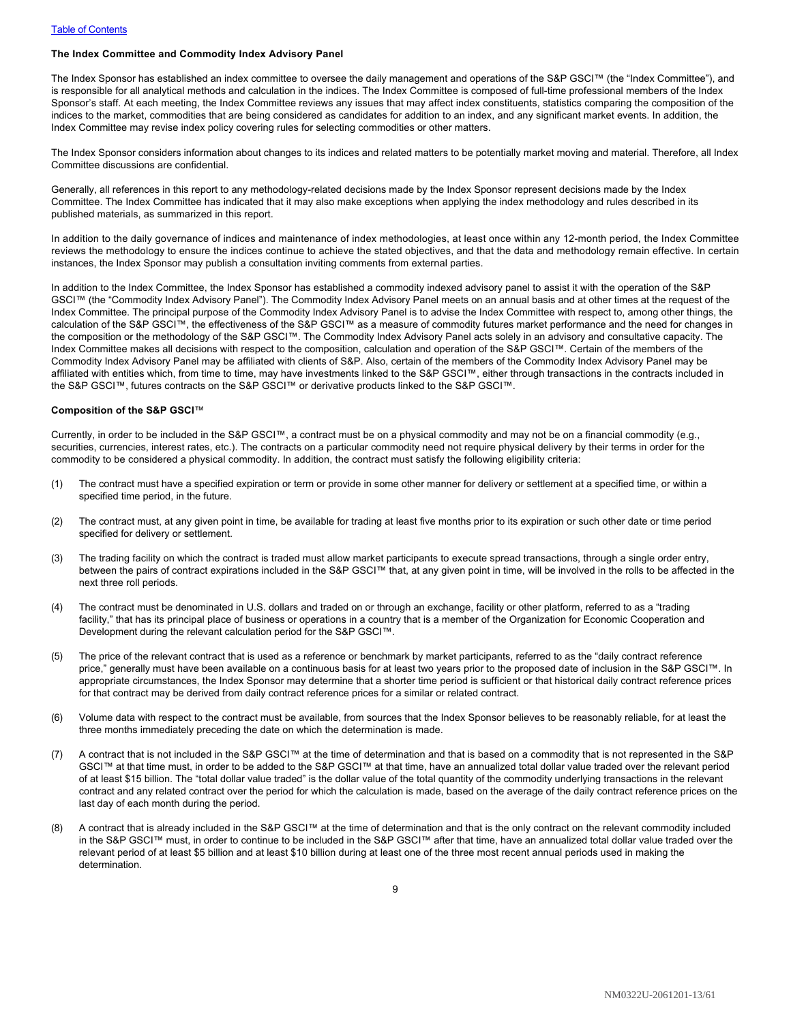# **The Index Committee and Commodity Index Advisory Panel**

The Index Sponsor has established an index committee to oversee the daily management and operations of the S&P GSCI™ (the "Index Committee"), and is responsible for all analytical methods and calculation in the indices. The Index Committee is composed of full-time professional members of the Index Sponsor's staff. At each meeting, the Index Committee reviews any issues that may affect index constituents, statistics comparing the composition of the indices to the market, commodities that are being considered as candidates for addition to an index, and any significant market events. In addition, the Index Committee may revise index policy covering rules for selecting commodities or other matters.

The Index Sponsor considers information about changes to its indices and related matters to be potentially market moving and material. Therefore, all Index Committee discussions are confidential.

Generally, all references in this report to any methodology-related decisions made by the Index Sponsor represent decisions made by the Index Committee. The Index Committee has indicated that it may also make exceptions when applying the index methodology and rules described in its published materials, as summarized in this report.

In addition to the daily governance of indices and maintenance of index methodologies, at least once within any 12-month period, the Index Committee reviews the methodology to ensure the indices continue to achieve the stated objectives, and that the data and methodology remain effective. In certain instances, the Index Sponsor may publish a consultation inviting comments from external parties.

In addition to the Index Committee, the Index Sponsor has established a commodity indexed advisory panel to assist it with the operation of the S&P GSCI™ (the "Commodity Index Advisory Panel"). The Commodity Index Advisory Panel meets on an annual basis and at other times at the request of the Index Committee. The principal purpose of the Commodity Index Advisory Panel is to advise the Index Committee with respect to, among other things, the calculation of the S&P GSCI™, the effectiveness of the S&P GSCI™ as a measure of commodity futures market performance and the need for changes in the composition or the methodology of the S&P GSCI™. The Commodity Index Advisory Panel acts solely in an advisory and consultative capacity. The Index Committee makes all decisions with respect to the composition, calculation and operation of the S&P GSCI™. Certain of the members of the Commodity Index Advisory Panel may be affiliated with clients of S&P. Also, certain of the members of the Commodity Index Advisory Panel may be affiliated with entities which, from time to time, may have investments linked to the S&P GSCI™, either through transactions in the contracts included in the S&P GSCI™, futures contracts on the S&P GSCI™ or derivative products linked to the S&P GSCI™.

# **Composition of the S&P GSCI**™

Currently, in order to be included in the S&P GSCI™, a contract must be on a physical commodity and may not be on a financial commodity (e.g., securities, currencies, interest rates, etc.). The contracts on a particular commodity need not require physical delivery by their terms in order for the commodity to be considered a physical commodity. In addition, the contract must satisfy the following eligibility criteria:

- (1) The contract must have a specified expiration or term or provide in some other manner for delivery or settlement at a specified time, or within a specified time period, in the future.
- (2) The contract must, at any given point in time, be available for trading at least five months prior to its expiration or such other date or time period specified for delivery or settlement.
- (3) The trading facility on which the contract is traded must allow market participants to execute spread transactions, through a single order entry, between the pairs of contract expirations included in the S&P GSCI™ that, at any given point in time, will be involved in the rolls to be affected in the next three roll periods.
- (4) The contract must be denominated in U.S. dollars and traded on or through an exchange, facility or other platform, referred to as a "trading facility," that has its principal place of business or operations in a country that is a member of the Organization for Economic Cooperation and Development during the relevant calculation period for the S&P GSCI™.
- (5) The price of the relevant contract that is used as a reference or benchmark by market participants, referred to as the "daily contract reference price," generally must have been available on a continuous basis for at least two years prior to the proposed date of inclusion in the S&P GSCI™. In appropriate circumstances, the Index Sponsor may determine that a shorter time period is sufficient or that historical daily contract reference prices for that contract may be derived from daily contract reference prices for a similar or related contract.
- (6) Volume data with respect to the contract must be available, from sources that the Index Sponsor believes to be reasonably reliable, for at least the three months immediately preceding the date on which the determination is made.
- (7) A contract that is not included in the S&P GSCI™ at the time of determination and that is based on a commodity that is not represented in the S&P GSCI™ at that time must, in order to be added to the S&P GSCI™ at that time, have an annualized total dollar value traded over the relevant period of at least \$15 billion. The "total dollar value traded" is the dollar value of the total quantity of the commodity underlying transactions in the relevant contract and any related contract over the period for which the calculation is made, based on the average of the daily contract reference prices on the last day of each month during the period.
- (8) A contract that is already included in the S&P GSCI™ at the time of determination and that is the only contract on the relevant commodity included in the S&P GSCI™ must, in order to continue to be included in the S&P GSCI™ after that time, have an annualized total dollar value traded over the relevant period of at least \$5 billion and at least \$10 billion during at least one of the three most recent annual periods used in making the determination.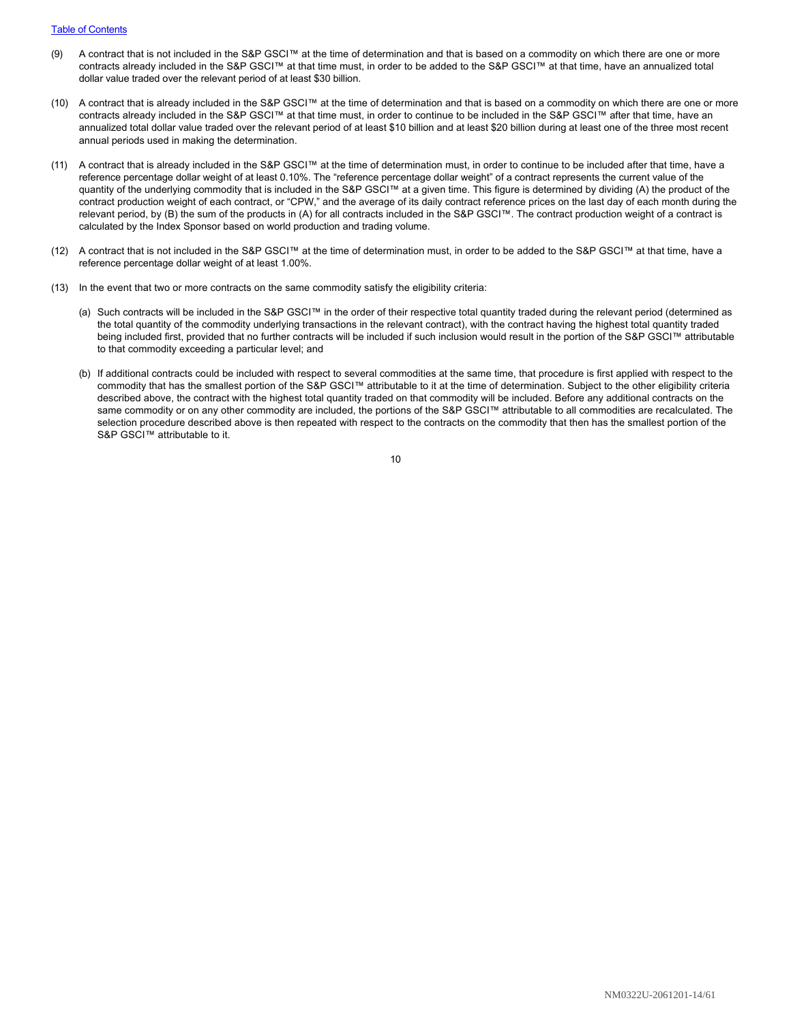# **[Table of Contents](#page-3-0)**

- (9) A contract that is not included in the S&P GSCI™ at the time of determination and that is based on a commodity on which there are one or more contracts already included in the S&P GSCI™ at that time must, in order to be added to the S&P GSCI™ at that time, have an annualized total dollar value traded over the relevant period of at least \$30 billion.
- (10) A contract that is already included in the S&P GSCI™ at the time of determination and that is based on a commodity on which there are one or more contracts already included in the S&P GSCI™ at that time must, in order to continue to be included in the S&P GSCI™ after that time, have an annualized total dollar value traded over the relevant period of at least \$10 billion and at least \$20 billion during at least one of the three most recent annual periods used in making the determination.
- (11) A contract that is already included in the S&P GSCI™ at the time of determination must, in order to continue to be included after that time, have a reference percentage dollar weight of at least 0.10%. The "reference percentage dollar weight" of a contract represents the current value of the quantity of the underlying commodity that is included in the S&P GSCI™ at a given time. This figure is determined by dividing (A) the product of the contract production weight of each contract, or "CPW," and the average of its daily contract reference prices on the last day of each month during the relevant period, by (B) the sum of the products in (A) for all contracts included in the S&P GSCI™. The contract production weight of a contract is calculated by the Index Sponsor based on world production and trading volume.
- (12) A contract that is not included in the S&P GSCI™ at the time of determination must, in order to be added to the S&P GSCI™ at that time, have a reference percentage dollar weight of at least 1.00%.
- (13) In the event that two or more contracts on the same commodity satisfy the eligibility criteria:
	- (a) Such contracts will be included in the S&P GSCI™ in the order of their respective total quantity traded during the relevant period (determined as the total quantity of the commodity underlying transactions in the relevant contract), with the contract having the highest total quantity traded being included first, provided that no further contracts will be included if such inclusion would result in the portion of the S&P GSCI™ attributable to that commodity exceeding a particular level; and
	- (b) If additional contracts could be included with respect to several commodities at the same time, that procedure is first applied with respect to the commodity that has the smallest portion of the S&P GSCI™ attributable to it at the time of determination. Subject to the other eligibility criteria described above, the contract with the highest total quantity traded on that commodity will be included. Before any additional contracts on the same commodity or on any other commodity are included, the portions of the S&P GSCI™ attributable to all commodities are recalculated. The selection procedure described above is then repeated with respect to the contracts on the commodity that then has the smallest portion of the S&P GSCI™ attributable to it.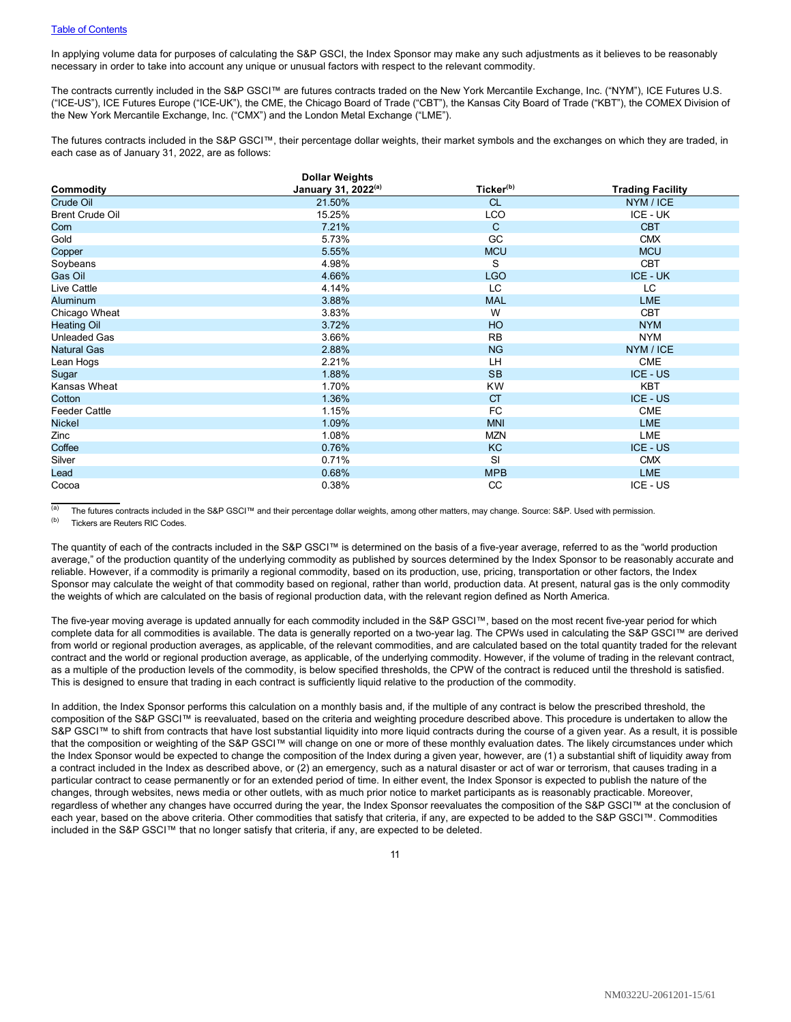In applying volume data for purposes of calculating the S&P GSCI, the Index Sponsor may make any such adjustments as it believes to be reasonably necessary in order to take into account any unique or unusual factors with respect to the relevant commodity.

The contracts currently included in the S&P GSCI™ are futures contracts traded on the New York Mercantile Exchange, Inc. ("NYM"), ICE Futures U.S. ("ICE-US"), ICE Futures Europe ("ICE-UK"), the CME, the Chicago Board of Trade ("CBT"), the Kansas City Board of Trade ("KBT"), the COMEX Division of the New York Mercantile Exchange, Inc. ("CMX") and the London Metal Exchange ("LME").

The futures contracts included in the S&P GSCI™, their percentage dollar weights, their market symbols and the exchanges on which they are traded, in each case as of January 31, 2022, are as follows:

|                        | <b>Dollar Weights</b>           |                       |                         |
|------------------------|---------------------------------|-----------------------|-------------------------|
| Commodity              | January 31, 2022 <sup>(a)</sup> | Ticker <sup>(b)</sup> | <b>Trading Facility</b> |
| Crude Oil              | 21.50%                          | CL                    | NYM / ICE               |
| <b>Brent Crude Oil</b> | 15.25%                          | LCO                   | ICE - UK                |
| Corn                   | 7.21%                           | $\mathsf{C}$          | <b>CBT</b>              |
| Gold                   | 5.73%                           | GC                    | <b>CMX</b>              |
| Copper                 | 5.55%                           | <b>MCU</b>            | <b>MCU</b>              |
| Soybeans               | 4.98%                           | S                     | <b>CBT</b>              |
| Gas Oil                | 4.66%                           | <b>LGO</b>            | ICE - UK                |
| Live Cattle            | 4.14%                           | LC                    | LC                      |
| <b>Aluminum</b>        | 3.88%                           | <b>MAL</b>            | <b>LME</b>              |
| Chicago Wheat          | 3.83%                           | W                     | <b>CBT</b>              |
| <b>Heating Oil</b>     | 3.72%                           | <b>HO</b>             | <b>NYM</b>              |
| <b>Unleaded Gas</b>    | 3.66%                           | RB                    | <b>NYM</b>              |
| <b>Natural Gas</b>     | 2.88%                           | <b>NG</b>             | NYM / ICE               |
| Lean Hogs              | 2.21%                           | LH                    | <b>CME</b>              |
| Sugar                  | 1.88%                           | <b>SB</b>             | ICE - US                |
| Kansas Wheat           | 1.70%                           | <b>KW</b>             | <b>KBT</b>              |
| Cotton                 | 1.36%                           | CT                    | ICE - US                |
| <b>Feeder Cattle</b>   | 1.15%                           | FC                    | <b>CME</b>              |
| <b>Nickel</b>          | 1.09%                           | <b>MNI</b>            | <b>LME</b>              |
| Zinc                   | 1.08%                           | <b>MZN</b>            | LME                     |
| Coffee                 | 0.76%                           | KC                    | ICE - US                |
| Silver                 | 0.71%                           | SI                    | <b>CMX</b>              |
| Lead                   | 0.68%                           | <b>MPB</b>            | <b>LME</b>              |
| Cocoa                  | 0.38%                           | CC                    | ICE - US                |

(a) The futures contracts included in the S&P GSCI™ and their percentage dollar weights, among other matters, may change. Source: S&P. Used with permission.

(b) Tickers are Reuters RIC Codes.

The quantity of each of the contracts included in the S&P GSCI™ is determined on the basis of a five-year average, referred to as the "world production average," of the production quantity of the underlying commodity as published by sources determined by the Index Sponsor to be reasonably accurate and reliable. However, if a commodity is primarily a regional commodity, based on its production, use, pricing, transportation or other factors, the Index Sponsor may calculate the weight of that commodity based on regional, rather than world, production data. At present, natural gas is the only commodity the weights of which are calculated on the basis of regional production data, with the relevant region defined as North America.

The five-year moving average is updated annually for each commodity included in the S&P GSCI™, based on the most recent five-year period for which complete data for all commodities is available. The data is generally reported on a two-year lag. The CPWs used in calculating the S&P GSCI™ are derived from world or regional production averages, as applicable, of the relevant commodities, and are calculated based on the total quantity traded for the relevant contract and the world or regional production average, as applicable, of the underlying commodity. However, if the volume of trading in the relevant contract, as a multiple of the production levels of the commodity, is below specified thresholds, the CPW of the contract is reduced until the threshold is satisfied. This is designed to ensure that trading in each contract is sufficiently liquid relative to the production of the commodity.

In addition, the Index Sponsor performs this calculation on a monthly basis and, if the multiple of any contract is below the prescribed threshold, the composition of the S&P GSCI™ is reevaluated, based on the criteria and weighting procedure described above. This procedure is undertaken to allow the S&P GSCI™ to shift from contracts that have lost substantial liquidity into more liquid contracts during the course of a given year. As a result, it is possible that the composition or weighting of the S&P GSCI™ will change on one or more of these monthly evaluation dates. The likely circumstances under which the Index Sponsor would be expected to change the composition of the Index during a given year, however, are (1) a substantial shift of liquidity away from a contract included in the Index as described above, or (2) an emergency, such as a natural disaster or act of war or terrorism, that causes trading in a particular contract to cease permanently or for an extended period of time. In either event, the Index Sponsor is expected to publish the nature of the changes, through websites, news media or other outlets, with as much prior notice to market participants as is reasonably practicable. Moreover, regardless of whether any changes have occurred during the year, the Index Sponsor reevaluates the composition of the S&P GSCI™ at the conclusion of each year, based on the above criteria. Other commodities that satisfy that criteria, if any, are expected to be added to the S&P GSCI™. Commodities included in the S&P GSCI™ that no longer satisfy that criteria, if any, are expected to be deleted.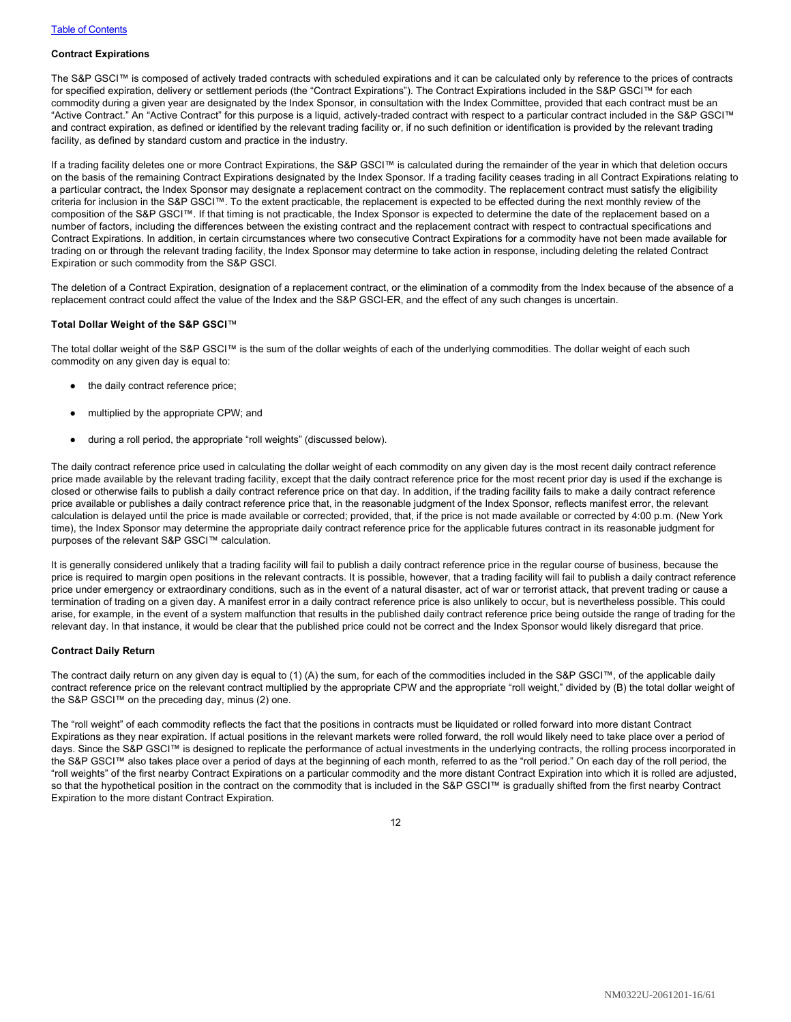# **Contract Expirations**

The S&P GSCI™ is composed of actively traded contracts with scheduled expirations and it can be calculated only by reference to the prices of contracts for specified expiration, delivery or settlement periods (the "Contract Expirations"). The Contract Expirations included in the S&P GSCI™ for each commodity during a given year are designated by the Index Sponsor, in consultation with the Index Committee, provided that each contract must be an "Active Contract." An "Active Contract" for this purpose is a liquid, actively-traded contract with respect to a particular contract included in the S&P GSCI™ and contract expiration, as defined or identified by the relevant trading facility or, if no such definition or identification is provided by the relevant trading facility, as defined by standard custom and practice in the industry.

If a trading facility deletes one or more Contract Expirations, the S&P GSCI™ is calculated during the remainder of the year in which that deletion occurs on the basis of the remaining Contract Expirations designated by the Index Sponsor. If a trading facility ceases trading in all Contract Expirations relating to a particular contract, the Index Sponsor may designate a replacement contract on the commodity. The replacement contract must satisfy the eligibility criteria for inclusion in the S&P GSCI™. To the extent practicable, the replacement is expected to be effected during the next monthly review of the composition of the S&P GSCI™. If that timing is not practicable, the Index Sponsor is expected to determine the date of the replacement based on a number of factors, including the differences between the existing contract and the replacement contract with respect to contractual specifications and Contract Expirations. In addition, in certain circumstances where two consecutive Contract Expirations for a commodity have not been made available for trading on or through the relevant trading facility, the Index Sponsor may determine to take action in response, including deleting the related Contract Expiration or such commodity from the S&P GSCI.

The deletion of a Contract Expiration, designation of a replacement contract, or the elimination of a commodity from the Index because of the absence of a replacement contract could affect the value of the Index and the S&P GSCI-ER, and the effect of any such changes is uncertain.

# **Total Dollar Weight of the S&P GSCI**™

The total dollar weight of the S&P GSCI™ is the sum of the dollar weights of each of the underlying commodities. The dollar weight of each such commodity on any given day is equal to:

- the daily contract reference price;
- multiplied by the appropriate CPW; and
- during a roll period, the appropriate "roll weights" (discussed below).

The daily contract reference price used in calculating the dollar weight of each commodity on any given day is the most recent daily contract reference price made available by the relevant trading facility, except that the daily contract reference price for the most recent prior day is used if the exchange is closed or otherwise fails to publish a daily contract reference price on that day. In addition, if the trading facility fails to make a daily contract reference price available or publishes a daily contract reference price that, in the reasonable judgment of the Index Sponsor, reflects manifest error, the relevant calculation is delayed until the price is made available or corrected; provided, that, if the price is not made available or corrected by 4:00 p.m. (New York time), the Index Sponsor may determine the appropriate daily contract reference price for the applicable futures contract in its reasonable judgment for purposes of the relevant S&P GSCI™ calculation.

It is generally considered unlikely that a trading facility will fail to publish a daily contract reference price in the regular course of business, because the price is required to margin open positions in the relevant contracts. It is possible, however, that a trading facility will fail to publish a daily contract reference price under emergency or extraordinary conditions, such as in the event of a natural disaster, act of war or terrorist attack, that prevent trading or cause a termination of trading on a given day. A manifest error in a daily contract reference price is also unlikely to occur, but is nevertheless possible. This could arise, for example, in the event of a system malfunction that results in the published daily contract reference price being outside the range of trading for the relevant day. In that instance, it would be clear that the published price could not be correct and the Index Sponsor would likely disregard that price.

# **Contract Daily Return**

The contract daily return on any given day is equal to (1) (A) the sum, for each of the commodities included in the S&P GSCI™, of the applicable daily contract reference price on the relevant contract multiplied by the appropriate CPW and the appropriate "roll weight," divided by (B) the total dollar weight of the S&P GSCI™ on the preceding day, minus (2) one.

The "roll weight" of each commodity reflects the fact that the positions in contracts must be liquidated or rolled forward into more distant Contract Expirations as they near expiration. If actual positions in the relevant markets were rolled forward, the roll would likely need to take place over a period of days. Since the S&P GSCI™ is designed to replicate the performance of actual investments in the underlying contracts, the rolling process incorporated in the S&P GSCI™ also takes place over a period of days at the beginning of each month, referred to as the "roll period." On each day of the roll period, the "roll weights" of the first nearby Contract Expirations on a particular commodity and the more distant Contract Expiration into which it is rolled are adjusted, so that the hypothetical position in the contract on the commodity that is included in the S&P GSCI™ is gradually shifted from the first nearby Contract Expiration to the more distant Contract Expiration.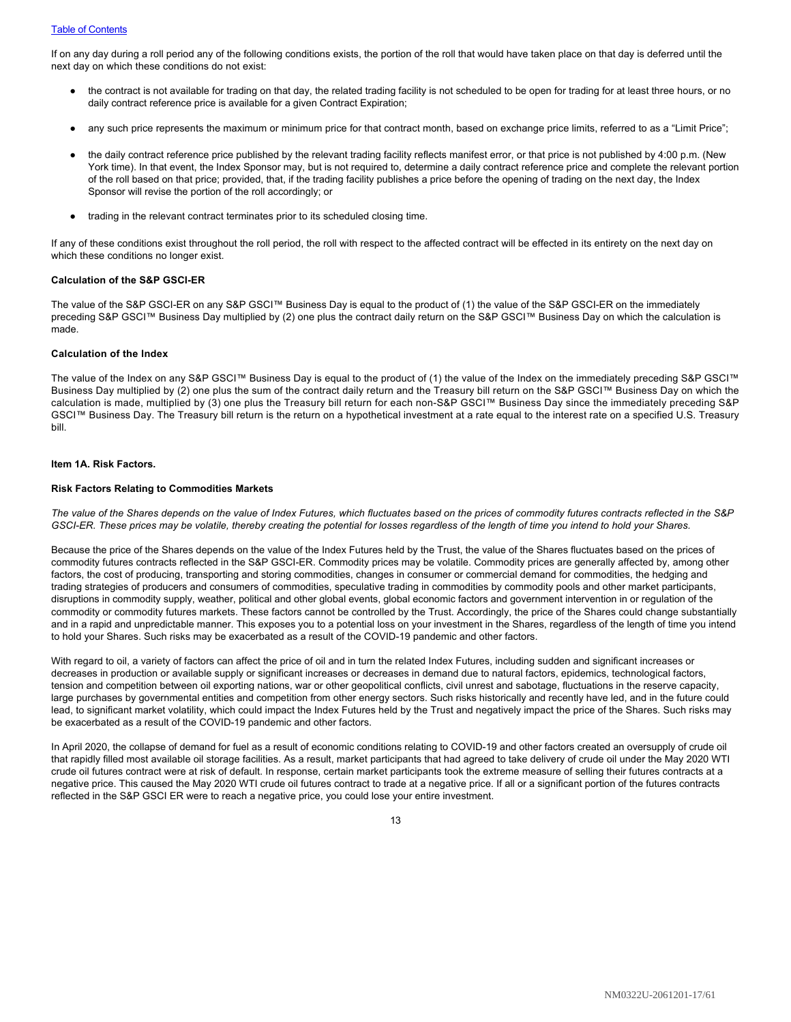If on any day during a roll period any of the following conditions exists, the portion of the roll that would have taken place on that day is deferred until the next day on which these conditions do not exist:

- the contract is not available for trading on that day, the related trading facility is not scheduled to be open for trading for at least three hours, or no daily contract reference price is available for a given Contract Expiration;
- any such price represents the maximum or minimum price for that contract month, based on exchange price limits, referred to as a "Limit Price";
- the daily contract reference price published by the relevant trading facility reflects manifest error, or that price is not published by 4:00 p.m. (New York time). In that event, the Index Sponsor may, but is not required to, determine a daily contract reference price and complete the relevant portion of the roll based on that price; provided, that, if the trading facility publishes a price before the opening of trading on the next day, the Index Sponsor will revise the portion of the roll accordingly; or
- trading in the relevant contract terminates prior to its scheduled closing time.

If any of these conditions exist throughout the roll period, the roll with respect to the affected contract will be effected in its entirety on the next day on which these conditions no longer exist.

#### **Calculation of the S&P GSCI-ER**

The value of the S&P GSCI-ER on any S&P GSCI™ Business Day is equal to the product of (1) the value of the S&P GSCI-ER on the immediately preceding S&P GSCI™ Business Day multiplied by (2) one plus the contract daily return on the S&P GSCI™ Business Day on which the calculation is made.

#### **Calculation of the Index**

The value of the Index on any S&P GSCI™ Business Day is equal to the product of (1) the value of the Index on the immediately preceding S&P GSCI™ Business Day multiplied by (2) one plus the sum of the contract daily return and the Treasury bill return on the S&P GSCI™ Business Day on which the calculation is made, multiplied by (3) one plus the Treasury bill return for each non-S&P GSCI™ Business Day since the immediately preceding S&P GSCI™ Business Day. The Treasury bill return is the return on a hypothetical investment at a rate equal to the interest rate on a specified U.S. Treasury bill.

#### <span id="page-16-0"></span>**Item 1A. Risk Factors.**

#### **Risk Factors Relating to Commodities Markets**

*The value of the Shares depends on the value of Index Futures, which fluctuates based on the prices of commodity futures contracts reflected in the S&P GSCI-ER. These prices may be volatile, thereby creating the potential for losses regardless of the length of time you intend to hold your Shares.*

Because the price of the Shares depends on the value of the Index Futures held by the Trust, the value of the Shares fluctuates based on the prices of commodity futures contracts reflected in the S&P GSCI-ER. Commodity prices may be volatile. Commodity prices are generally affected by, among other factors, the cost of producing, transporting and storing commodities, changes in consumer or commercial demand for commodities, the hedging and trading strategies of producers and consumers of commodities, speculative trading in commodities by commodity pools and other market participants, disruptions in commodity supply, weather, political and other global events, global economic factors and government intervention in or regulation of the commodity or commodity futures markets. These factors cannot be controlled by the Trust. Accordingly, the price of the Shares could change substantially and in a rapid and unpredictable manner. This exposes you to a potential loss on your investment in the Shares, regardless of the length of time you intend to hold your Shares. Such risks may be exacerbated as a result of the COVID-19 pandemic and other factors.

With regard to oil, a variety of factors can affect the price of oil and in turn the related Index Futures, including sudden and significant increases or decreases in production or available supply or significant increases or decreases in demand due to natural factors, epidemics, technological factors, tension and competition between oil exporting nations, war or other geopolitical conflicts, civil unrest and sabotage, fluctuations in the reserve capacity, large purchases by governmental entities and competition from other energy sectors. Such risks historically and recently have led, and in the future could lead, to significant market volatility, which could impact the Index Futures held by the Trust and negatively impact the price of the Shares. Such risks may be exacerbated as a result of the COVID-19 pandemic and other factors.

In April 2020, the collapse of demand for fuel as a result of economic conditions relating to COVID-19 and other factors created an oversupply of crude oil that rapidly filled most available oil storage facilities. As a result, market participants that had agreed to take delivery of crude oil under the May 2020 WTI crude oil futures contract were at risk of default. In response, certain market participants took the extreme measure of selling their futures contracts at a negative price. This caused the May 2020 WTI crude oil futures contract to trade at a negative price. If all or a significant portion of the futures contracts reflected in the S&P GSCI ER were to reach a negative price, you could lose your entire investment.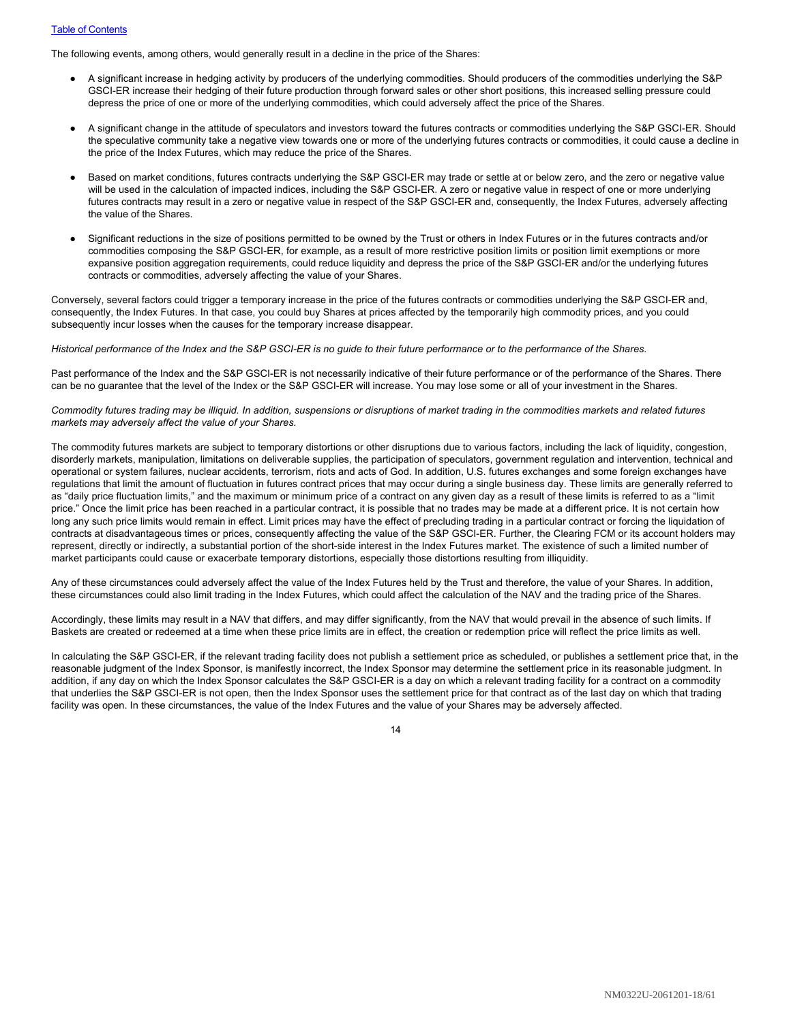The following events, among others, would generally result in a decline in the price of the Shares:

- A significant increase in hedging activity by producers of the underlying commodities. Should producers of the commodities underlying the S&P GSCI-ER increase their hedging of their future production through forward sales or other short positions, this increased selling pressure could depress the price of one or more of the underlying commodities, which could adversely affect the price of the Shares.
- A significant change in the attitude of speculators and investors toward the futures contracts or commodities underlying the S&P GSCI-ER. Should the speculative community take a negative view towards one or more of the underlying futures contracts or commodities, it could cause a decline in the price of the Index Futures, which may reduce the price of the Shares.
- Based on market conditions, futures contracts underlying the S&P GSCI-ER may trade or settle at or below zero, and the zero or negative value will be used in the calculation of impacted indices, including the S&P GSCI-ER. A zero or negative value in respect of one or more underlying futures contracts may result in a zero or negative value in respect of the S&P GSCI-ER and, consequently, the Index Futures, adversely affecting the value of the Shares.
- Significant reductions in the size of positions permitted to be owned by the Trust or others in Index Futures or in the futures contracts and/or commodities composing the S&P GSCI-ER, for example, as a result of more restrictive position limits or position limit exemptions or more expansive position aggregation requirements, could reduce liquidity and depress the price of the S&P GSCI-ER and/or the underlying futures contracts or commodities, adversely affecting the value of your Shares.

Conversely, several factors could trigger a temporary increase in the price of the futures contracts or commodities underlying the S&P GSCI-ER and, consequently, the Index Futures. In that case, you could buy Shares at prices affected by the temporarily high commodity prices, and you could subsequently incur losses when the causes for the temporary increase disappear.

*Historical performance of the Index and the S&P GSCI-ER is no guide to their future performance or to the performance of the Shares.*

Past performance of the Index and the S&P GSCI-ER is not necessarily indicative of their future performance or of the performance of the Shares. There can be no guarantee that the level of the Index or the S&P GSCI-ER will increase. You may lose some or all of your investment in the Shares.

*Commodity futures trading may be illiquid. In addition, suspensions or disruptions of market trading in the commodities markets and related futures markets may adversely affect the value of your Shares.*

The commodity futures markets are subject to temporary distortions or other disruptions due to various factors, including the lack of liquidity, congestion, disorderly markets, manipulation, limitations on deliverable supplies, the participation of speculators, government regulation and intervention, technical and operational or system failures, nuclear accidents, terrorism, riots and acts of God. In addition, U.S. futures exchanges and some foreign exchanges have regulations that limit the amount of fluctuation in futures contract prices that may occur during a single business day. These limits are generally referred to as "daily price fluctuation limits," and the maximum or minimum price of a contract on any given day as a result of these limits is referred to as a "limit price." Once the limit price has been reached in a particular contract, it is possible that no trades may be made at a different price. It is not certain how long any such price limits would remain in effect. Limit prices may have the effect of precluding trading in a particular contract or forcing the liquidation of contracts at disadvantageous times or prices, consequently affecting the value of the S&P GSCI-ER. Further, the Clearing FCM or its account holders may represent, directly or indirectly, a substantial portion of the short-side interest in the Index Futures market. The existence of such a limited number of market participants could cause or exacerbate temporary distortions, especially those distortions resulting from illiquidity.

Any of these circumstances could adversely affect the value of the Index Futures held by the Trust and therefore, the value of your Shares. In addition, these circumstances could also limit trading in the Index Futures, which could affect the calculation of the NAV and the trading price of the Shares.

Accordingly, these limits may result in a NAV that differs, and may differ significantly, from the NAV that would prevail in the absence of such limits. If Baskets are created or redeemed at a time when these price limits are in effect, the creation or redemption price will reflect the price limits as well.

In calculating the S&P GSCI-ER, if the relevant trading facility does not publish a settlement price as scheduled, or publishes a settlement price that, in the reasonable judgment of the Index Sponsor, is manifestly incorrect, the Index Sponsor may determine the settlement price in its reasonable judgment. In addition, if any day on which the Index Sponsor calculates the S&P GSCI-ER is a day on which a relevant trading facility for a contract on a commodity that underlies the S&P GSCI-ER is not open, then the Index Sponsor uses the settlement price for that contract as of the last day on which that trading facility was open. In these circumstances, the value of the Index Futures and the value of your Shares may be adversely affected.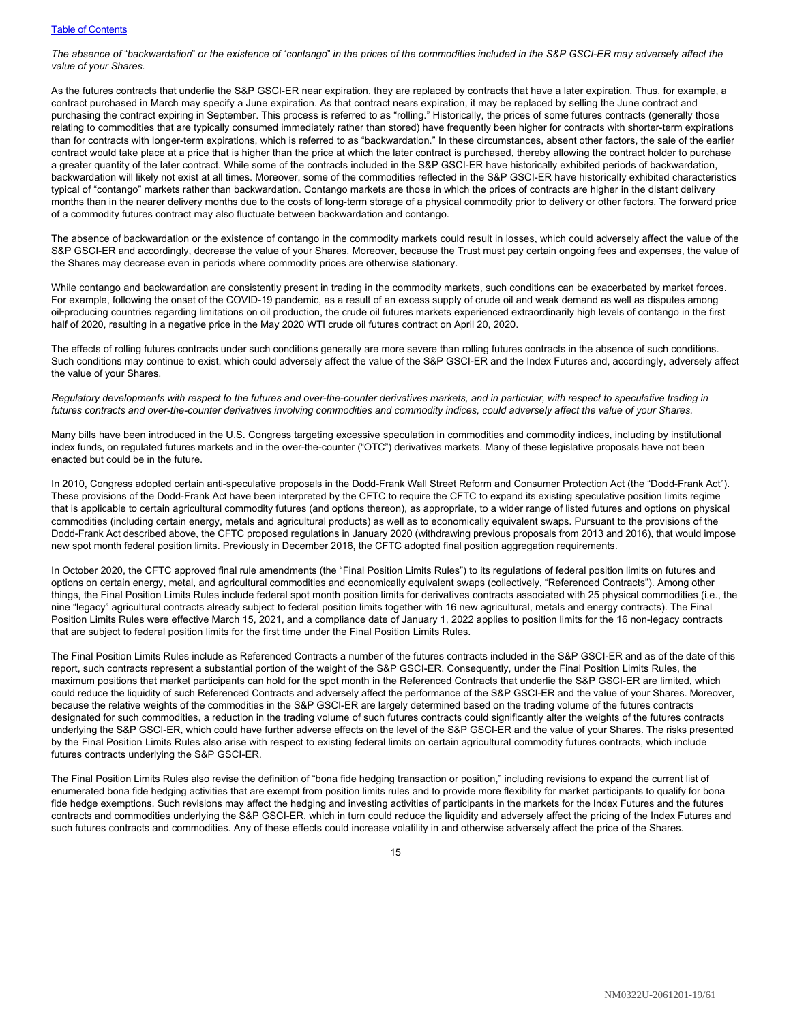*The absence of* "*backwardation*" *or the existence of* "*contango*" *in the prices of the commodities included in the S&P GSCI-ER may adversely affect the value of your Shares.*

As the futures contracts that underlie the S&P GSCI-ER near expiration, they are replaced by contracts that have a later expiration. Thus, for example, a contract purchased in March may specify a June expiration. As that contract nears expiration, it may be replaced by selling the June contract and purchasing the contract expiring in September. This process is referred to as "rolling." Historically, the prices of some futures contracts (generally those relating to commodities that are typically consumed immediately rather than stored) have frequently been higher for contracts with shorter-term expirations than for contracts with longer-term expirations, which is referred to as "backwardation." In these circumstances, absent other factors, the sale of the earlier contract would take place at a price that is higher than the price at which the later contract is purchased, thereby allowing the contract holder to purchase a greater quantity of the later contract. While some of the contracts included in the S&P GSCI-ER have historically exhibited periods of backwardation, backwardation will likely not exist at all times. Moreover, some of the commodities reflected in the S&P GSCI-ER have historically exhibited characteristics typical of "contango" markets rather than backwardation. Contango markets are those in which the prices of contracts are higher in the distant delivery months than in the nearer delivery months due to the costs of long-term storage of a physical commodity prior to delivery or other factors. The forward price of a commodity futures contract may also fluctuate between backwardation and contango.

The absence of backwardation or the existence of contango in the commodity markets could result in losses, which could adversely affect the value of the S&P GSCI-ER and accordingly, decrease the value of your Shares. Moreover, because the Trust must pay certain ongoing fees and expenses, the value of the Shares may decrease even in periods where commodity prices are otherwise stationary.

While contango and backwardation are consistently present in trading in the commodity markets, such conditions can be exacerbated by market forces. For example, following the onset of the COVID-19 pandemic, as a result of an excess supply of crude oil and weak demand as well as disputes among oil‑producing countries regarding limitations on oil production, the crude oil futures markets experienced extraordinarily high levels of contango in the first half of 2020, resulting in a negative price in the May 2020 WTI crude oil futures contract on April 20, 2020.

The effects of rolling futures contracts under such conditions generally are more severe than rolling futures contracts in the absence of such conditions. Such conditions may continue to exist, which could adversely affect the value of the S&P GSCI-ER and the Index Futures and, accordingly, adversely affect the value of your Shares.

*Regulatory developments with respect to the futures and over-the-counter derivatives markets, and in particular, with respect to speculative trading in futures contracts and over-the-counter derivatives involving commodities and commodity indices, could adversely affect the value of your Shares.*

Many bills have been introduced in the U.S. Congress targeting excessive speculation in commodities and commodity indices, including by institutional index funds, on regulated futures markets and in the over-the-counter ("OTC") derivatives markets. Many of these legislative proposals have not been enacted but could be in the future.

In 2010, Congress adopted certain anti-speculative proposals in the Dodd-Frank Wall Street Reform and Consumer Protection Act (the "Dodd-Frank Act"). These provisions of the Dodd-Frank Act have been interpreted by the CFTC to require the CFTC to expand its existing speculative position limits regime that is applicable to certain agricultural commodity futures (and options thereon), as appropriate, to a wider range of listed futures and options on physical commodities (including certain energy, metals and agricultural products) as well as to economically equivalent swaps. Pursuant to the provisions of the Dodd-Frank Act described above, the CFTC proposed regulations in January 2020 (withdrawing previous proposals from 2013 and 2016), that would impose new spot month federal position limits. Previously in December 2016, the CFTC adopted final position aggregation requirements.

In October 2020, the CFTC approved final rule amendments (the "Final Position Limits Rules") to its regulations of federal position limits on futures and options on certain energy, metal, and agricultural commodities and economically equivalent swaps (collectively, "Referenced Contracts"). Among other things, the Final Position Limits Rules include federal spot month position limits for derivatives contracts associated with 25 physical commodities (i.e., the nine "legacy" agricultural contracts already subject to federal position limits together with 16 new agricultural, metals and energy contracts). The Final Position Limits Rules were effective March 15, 2021, and a compliance date of January 1, 2022 applies to position limits for the 16 non-legacy contracts that are subject to federal position limits for the first time under the Final Position Limits Rules.

The Final Position Limits Rules include as Referenced Contracts a number of the futures contracts included in the S&P GSCI-ER and as of the date of this report, such contracts represent a substantial portion of the weight of the S&P GSCI-ER. Consequently, under the Final Position Limits Rules, the maximum positions that market participants can hold for the spot month in the Referenced Contracts that underlie the S&P GSCI-ER are limited, which could reduce the liquidity of such Referenced Contracts and adversely affect the performance of the S&P GSCI-ER and the value of your Shares. Moreover, because the relative weights of the commodities in the S&P GSCI-ER are largely determined based on the trading volume of the futures contracts designated for such commodities, a reduction in the trading volume of such futures contracts could significantly alter the weights of the futures contracts underlying the S&P GSCI-ER, which could have further adverse effects on the level of the S&P GSCI-ER and the value of your Shares. The risks presented by the Final Position Limits Rules also arise with respect to existing federal limits on certain agricultural commodity futures contracts, which include futures contracts underlying the S&P GSCI-ER.

The Final Position Limits Rules also revise the definition of "bona fide hedging transaction or position," including revisions to expand the current list of enumerated bona fide hedging activities that are exempt from position limits rules and to provide more flexibility for market participants to qualify for bona fide hedge exemptions. Such revisions may affect the hedging and investing activities of participants in the markets for the Index Futures and the futures contracts and commodities underlying the S&P GSCI-ER, which in turn could reduce the liquidity and adversely affect the pricing of the Index Futures and such futures contracts and commodities. Any of these effects could increase volatility in and otherwise adversely affect the price of the Shares.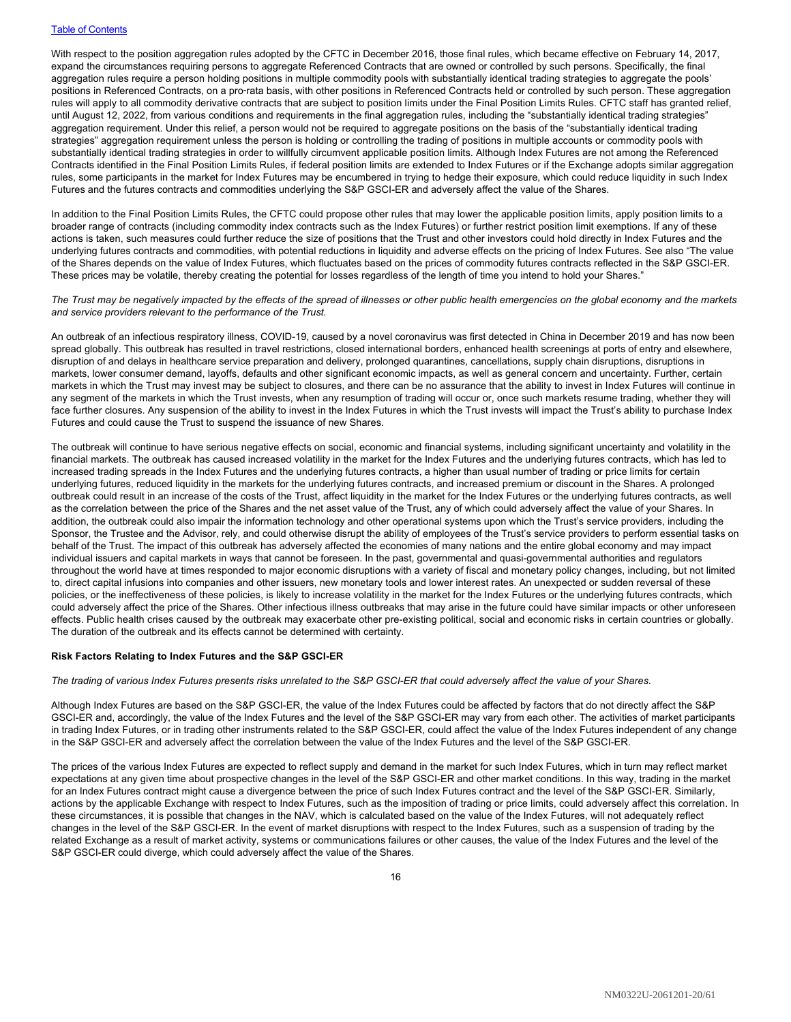With respect to the position aggregation rules adopted by the CFTC in December 2016, those final rules, which became effective on February 14, 2017, expand the circumstances requiring persons to aggregate Referenced Contracts that are owned or controlled by such persons. Specifically, the final aggregation rules require a person holding positions in multiple commodity pools with substantially identical trading strategies to aggregate the pools' positions in Referenced Contracts, on a pro-rata basis, with other positions in Referenced Contracts held or controlled by such person. These aggregation rules will apply to all commodity derivative contracts that are subject to position limits under the Final Position Limits Rules. CFTC staff has granted relief, until August 12, 2022, from various conditions and requirements in the final aggregation rules, including the "substantially identical trading strategies" aggregation requirement. Under this relief, a person would not be required to aggregate positions on the basis of the "substantially identical trading strategies" aggregation requirement unless the person is holding or controlling the trading of positions in multiple accounts or commodity pools with substantially identical trading strategies in order to willfully circumvent applicable position limits. Although Index Futures are not among the Referenced Contracts identified in the Final Position Limits Rules, if federal position limits are extended to Index Futures or if the Exchange adopts similar aggregation rules, some participants in the market for Index Futures may be encumbered in trying to hedge their exposure, which could reduce liquidity in such Index Futures and the futures contracts and commodities underlying the S&P GSCI-ER and adversely affect the value of the Shares.

In addition to the Final Position Limits Rules, the CFTC could propose other rules that may lower the applicable position limits, apply position limits to a broader range of contracts (including commodity index contracts such as the Index Futures) or further restrict position limit exemptions. If any of these actions is taken, such measures could further reduce the size of positions that the Trust and other investors could hold directly in Index Futures and the underlying futures contracts and commodities, with potential reductions in liquidity and adverse effects on the pricing of Index Futures. See also "The value of the Shares depends on the value of Index Futures, which fluctuates based on the prices of commodity futures contracts reflected in the S&P GSCI-ER. These prices may be volatile, thereby creating the potential for losses regardless of the length of time you intend to hold your Shares."

#### *The Trust may be negatively impacted by the effects of the spread of illnesses or other public health emergencies on the global economy and the markets and service providers relevant to the performance of the Trust.*

An outbreak of an infectious respiratory illness, COVID-19, caused by a novel coronavirus was first detected in China in December 2019 and has now been spread globally. This outbreak has resulted in travel restrictions, closed international borders, enhanced health screenings at ports of entry and elsewhere, disruption of and delays in healthcare service preparation and delivery, prolonged quarantines, cancellations, supply chain disruptions, disruptions in markets, lower consumer demand, layoffs, defaults and other significant economic impacts, as well as general concern and uncertainty. Further, certain markets in which the Trust may invest may be subject to closures, and there can be no assurance that the ability to invest in Index Futures will continue in any segment of the markets in which the Trust invests, when any resumption of trading will occur or, once such markets resume trading, whether they will face further closures. Any suspension of the ability to invest in the Index Futures in which the Trust invests will impact the Trust's ability to purchase Index Futures and could cause the Trust to suspend the issuance of new Shares.

The outbreak will continue to have serious negative effects on social, economic and financial systems, including significant uncertainty and volatility in the financial markets. The outbreak has caused increased volatility in the market for the Index Futures and the underlying futures contracts, which has led to increased trading spreads in the Index Futures and the underlying futures contracts, a higher than usual number of trading or price limits for certain underlying futures, reduced liquidity in the markets for the underlying futures contracts, and increased premium or discount in the Shares. A prolonged outbreak could result in an increase of the costs of the Trust, affect liquidity in the market for the Index Futures or the underlying futures contracts, as well as the correlation between the price of the Shares and the net asset value of the Trust, any of which could adversely affect the value of your Shares. In addition, the outbreak could also impair the information technology and other operational systems upon which the Trust's service providers, including the Sponsor, the Trustee and the Advisor, rely, and could otherwise disrupt the ability of employees of the Trust's service providers to perform essential tasks on behalf of the Trust. The impact of this outbreak has adversely affected the economies of many nations and the entire global economy and may impact individual issuers and capital markets in ways that cannot be foreseen. In the past, governmental and quasi-governmental authorities and regulators throughout the world have at times responded to major economic disruptions with a variety of fiscal and monetary policy changes, including, but not limited to, direct capital infusions into companies and other issuers, new monetary tools and lower interest rates. An unexpected or sudden reversal of these policies, or the ineffectiveness of these policies, is likely to increase volatility in the market for the Index Futures or the underlying futures contracts, which could adversely affect the price of the Shares. Other infectious illness outbreaks that may arise in the future could have similar impacts or other unforeseen effects. Public health crises caused by the outbreak may exacerbate other pre-existing political, social and economic risks in certain countries or globally. The duration of the outbreak and its effects cannot be determined with certainty.

# **Risk Factors Relating to Index Futures and the S&P GSCI-ER**

*The trading of various Index Futures presents risks unrelated to the S&P GSCI-ER that could adversely affect the value of your Shares*.

Although Index Futures are based on the S&P GSCI-ER, the value of the Index Futures could be affected by factors that do not directly affect the S&P GSCI-ER and, accordingly, the value of the Index Futures and the level of the S&P GSCI-ER may vary from each other. The activities of market participants in trading Index Futures, or in trading other instruments related to the S&P GSCI-ER, could affect the value of the Index Futures independent of any change in the S&P GSCI-ER and adversely affect the correlation between the value of the Index Futures and the level of the S&P GSCI-ER.

The prices of the various Index Futures are expected to reflect supply and demand in the market for such Index Futures, which in turn may reflect market expectations at any given time about prospective changes in the level of the S&P GSCI-ER and other market conditions. In this way, trading in the market for an Index Futures contract might cause a divergence between the price of such Index Futures contract and the level of the S&P GSCI-ER. Similarly, actions by the applicable Exchange with respect to Index Futures, such as the imposition of trading or price limits, could adversely affect this correlation. In these circumstances, it is possible that changes in the NAV, which is calculated based on the value of the Index Futures, will not adequately reflect changes in the level of the S&P GSCI-ER. In the event of market disruptions with respect to the Index Futures, such as a suspension of trading by the related Exchange as a result of market activity, systems or communications failures or other causes, the value of the Index Futures and the level of the S&P GSCI-ER could diverge, which could adversely affect the value of the Shares.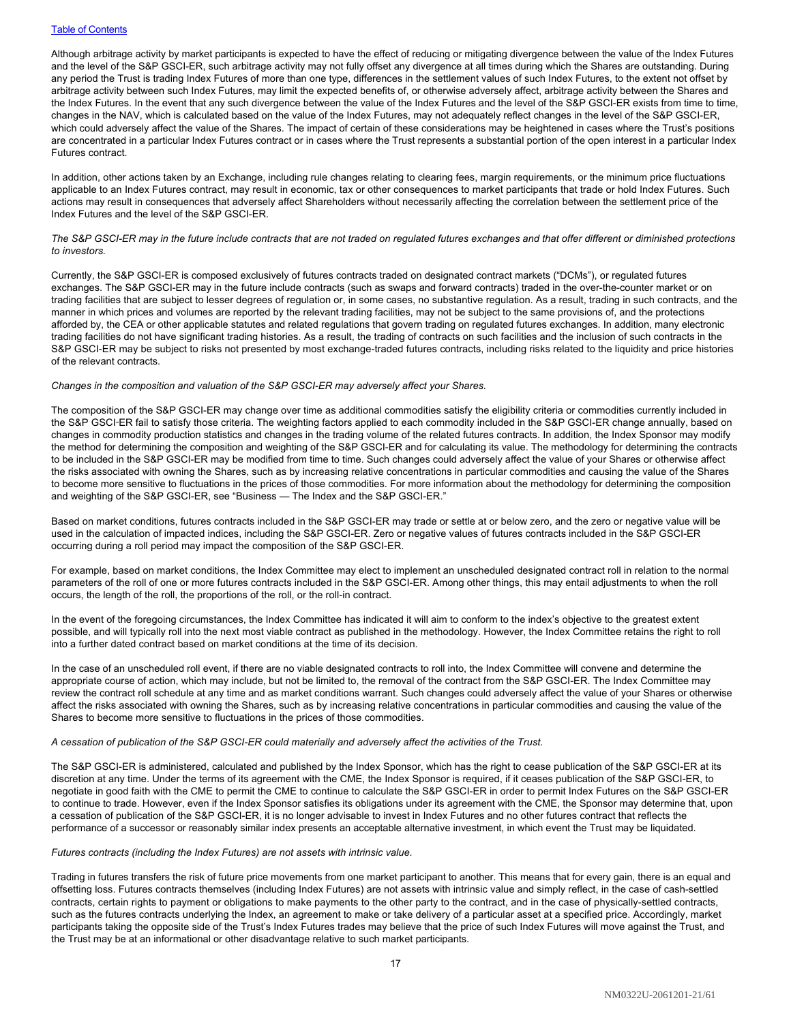Although arbitrage activity by market participants is expected to have the effect of reducing or mitigating divergence between the value of the Index Futures and the level of the S&P GSCI-ER, such arbitrage activity may not fully offset any divergence at all times during which the Shares are outstanding. During any period the Trust is trading Index Futures of more than one type, differences in the settlement values of such Index Futures, to the extent not offset by arbitrage activity between such Index Futures, may limit the expected benefits of, or otherwise adversely affect, arbitrage activity between the Shares and the Index Futures. In the event that any such divergence between the value of the Index Futures and the level of the S&P GSCI-ER exists from time to time, changes in the NAV, which is calculated based on the value of the Index Futures, may not adequately reflect changes in the level of the S&P GSCI-ER, which could adversely affect the value of the Shares. The impact of certain of these considerations may be heightened in cases where the Trust's positions are concentrated in a particular Index Futures contract or in cases where the Trust represents a substantial portion of the open interest in a particular Index Futures contract.

In addition, other actions taken by an Exchange, including rule changes relating to clearing fees, margin requirements, or the minimum price fluctuations applicable to an Index Futures contract, may result in economic, tax or other consequences to market participants that trade or hold Index Futures. Such actions may result in consequences that adversely affect Shareholders without necessarily affecting the correlation between the settlement price of the Index Futures and the level of the S&P GSCI-ER.

# *The S&P GSCI-ER may in the future include contracts that are not traded on regulated futures exchanges and that offer different or diminished protections to investors.*

Currently, the S&P GSCI-ER is composed exclusively of futures contracts traded on designated contract markets ("DCMs"), or regulated futures exchanges. The S&P GSCI-ER may in the future include contracts (such as swaps and forward contracts) traded in the over-the-counter market or on trading facilities that are subject to lesser degrees of regulation or, in some cases, no substantive regulation. As a result, trading in such contracts, and the manner in which prices and volumes are reported by the relevant trading facilities, may not be subject to the same provisions of, and the protections afforded by, the CEA or other applicable statutes and related regulations that govern trading on regulated futures exchanges. In addition, many electronic trading facilities do not have significant trading histories. As a result, the trading of contracts on such facilities and the inclusion of such contracts in the S&P GSCI-ER may be subject to risks not presented by most exchange-traded futures contracts, including risks related to the liquidity and price histories of the relevant contracts.

# *Changes in the composition and valuation of the S&P GSCI-ER may adversely affect your Shares.*

The composition of the S&P GSCI-ER may change over time as additional commodities satisfy the eligibility criteria or commodities currently included in the S&P GSCI-ER fail to satisfy those criteria. The weighting factors applied to each commodity included in the S&P GSCI-ER change annually, based on changes in commodity production statistics and changes in the trading volume of the related futures contracts. In addition, the Index Sponsor may modify the method for determining the composition and weighting of the S&P GSCI-ER and for calculating its value. The methodology for determining the contracts to be included in the S&P GSCI-ER may be modified from time to time. Such changes could adversely affect the value of your Shares or otherwise affect the risks associated with owning the Shares, such as by increasing relative concentrations in particular commodities and causing the value of the Shares to become more sensitive to fluctuations in the prices of those commodities. For more information about the methodology for determining the composition and weighting of the S&P GSCI-ER, see "Business — The Index and the S&P GSCI-ER."

Based on market conditions, futures contracts included in the S&P GSCI-ER may trade or settle at or below zero, and the zero or negative value will be used in the calculation of impacted indices, including the S&P GSCI-ER. Zero or negative values of futures contracts included in the S&P GSCI-ER occurring during a roll period may impact the composition of the S&P GSCI-ER.

For example, based on market conditions, the Index Committee may elect to implement an unscheduled designated contract roll in relation to the normal parameters of the roll of one or more futures contracts included in the S&P GSCI-ER. Among other things, this may entail adjustments to when the roll occurs, the length of the roll, the proportions of the roll, or the roll-in contract.

In the event of the foregoing circumstances, the Index Committee has indicated it will aim to conform to the index's objective to the greatest extent possible, and will typically roll into the next most viable contract as published in the methodology. However, the Index Committee retains the right to roll into a further dated contract based on market conditions at the time of its decision.

In the case of an unscheduled roll event, if there are no viable designated contracts to roll into, the Index Committee will convene and determine the appropriate course of action, which may include, but not be limited to, the removal of the contract from the S&P GSCI-ER. The Index Committee may review the contract roll schedule at any time and as market conditions warrant. Such changes could adversely affect the value of your Shares or otherwise affect the risks associated with owning the Shares, such as by increasing relative concentrations in particular commodities and causing the value of the Shares to become more sensitive to fluctuations in the prices of those commodities.

# *A cessation of publication of the S&P GSCI-ER could materially and adversely affect the activities of the Trust.*

The S&P GSCI-ER is administered, calculated and published by the Index Sponsor, which has the right to cease publication of the S&P GSCI-ER at its discretion at any time. Under the terms of its agreement with the CME, the Index Sponsor is required, if it ceases publication of the S&P GSCI-ER, to negotiate in good faith with the CME to permit the CME to continue to calculate the S&P GSCI-ER in order to permit Index Futures on the S&P GSCI-ER to continue to trade. However, even if the Index Sponsor satisfies its obligations under its agreement with the CME, the Sponsor may determine that, upon a cessation of publication of the S&P GSCI-ER, it is no longer advisable to invest in Index Futures and no other futures contract that reflects the performance of a successor or reasonably similar index presents an acceptable alternative investment, in which event the Trust may be liquidated.

# *Futures contracts (including the Index Futures) are not assets with intrinsic value.*

Trading in futures transfers the risk of future price movements from one market participant to another. This means that for every gain, there is an equal and offsetting loss. Futures contracts themselves (including Index Futures) are not assets with intrinsic value and simply reflect, in the case of cash-settled contracts, certain rights to payment or obligations to make payments to the other party to the contract, and in the case of physically-settled contracts, such as the futures contracts underlying the Index, an agreement to make or take delivery of a particular asset at a specified price. Accordingly, market participants taking the opposite side of the Trust's Index Futures trades may believe that the price of such Index Futures will move against the Trust, and the Trust may be at an informational or other disadvantage relative to such market participants.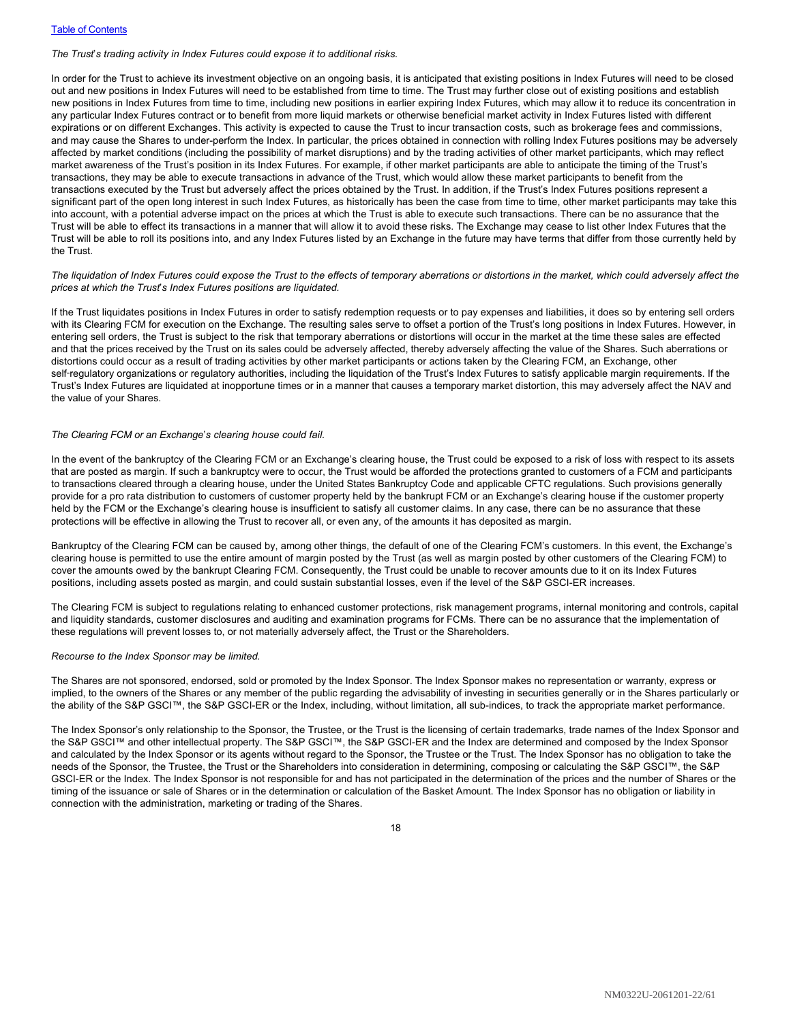*The Trust*'*s trading activity in Index Futures could expose it to additional risks.*

In order for the Trust to achieve its investment objective on an ongoing basis, it is anticipated that existing positions in Index Futures will need to be closed out and new positions in Index Futures will need to be established from time to time. The Trust may further close out of existing positions and establish new positions in Index Futures from time to time, including new positions in earlier expiring Index Futures, which may allow it to reduce its concentration in any particular Index Futures contract or to benefit from more liquid markets or otherwise beneficial market activity in Index Futures listed with different expirations or on different Exchanges. This activity is expected to cause the Trust to incur transaction costs, such as brokerage fees and commissions, and may cause the Shares to under-perform the Index. In particular, the prices obtained in connection with rolling Index Futures positions may be adversely affected by market conditions (including the possibility of market disruptions) and by the trading activities of other market participants, which may reflect market awareness of the Trust's position in its Index Futures. For example, if other market participants are able to anticipate the timing of the Trust's transactions, they may be able to execute transactions in advance of the Trust, which would allow these market participants to benefit from the transactions executed by the Trust but adversely affect the prices obtained by the Trust. In addition, if the Trust's Index Futures positions represent a significant part of the open long interest in such Index Futures, as historically has been the case from time to time, other market participants may take this into account, with a potential adverse impact on the prices at which the Trust is able to execute such transactions. There can be no assurance that the Trust will be able to effect its transactions in a manner that will allow it to avoid these risks. The Exchange may cease to list other Index Futures that the Trust will be able to roll its positions into, and any Index Futures listed by an Exchange in the future may have terms that differ from those currently held by the Trust.

*The liquidation of Index Futures could expose the Trust to the effects of temporary aberrations or distortions in the market, which could adversely affect the prices at which the Trust*'*s Index Futures positions are liquidated.*

If the Trust liquidates positions in Index Futures in order to satisfy redemption requests or to pay expenses and liabilities, it does so by entering sell orders with its Clearing FCM for execution on the Exchange. The resulting sales serve to offset a portion of the Trust's long positions in Index Futures. However, in entering sell orders, the Trust is subject to the risk that temporary aberrations or distortions will occur in the market at the time these sales are effected and that the prices received by the Trust on its sales could be adversely affected, thereby adversely affecting the value of the Shares. Such aberrations or distortions could occur as a result of trading activities by other market participants or actions taken by the Clearing FCM, an Exchange, other self-regulatory organizations or regulatory authorities, including the liquidation of the Trust's Index Futures to satisfy applicable margin requirements. If the Trust's Index Futures are liquidated at inopportune times or in a manner that causes a temporary market distortion, this may adversely affect the NAV and the value of your Shares.

# *The Clearing FCM or an Exchange*'*s clearing house could fail.*

In the event of the bankruptcy of the Clearing FCM or an Exchange's clearing house, the Trust could be exposed to a risk of loss with respect to its assets that are posted as margin. If such a bankruptcy were to occur, the Trust would be afforded the protections granted to customers of a FCM and participants to transactions cleared through a clearing house, under the United States Bankruptcy Code and applicable CFTC regulations. Such provisions generally provide for a pro rata distribution to customers of customer property held by the bankrupt FCM or an Exchange's clearing house if the customer property held by the FCM or the Exchange's clearing house is insufficient to satisfy all customer claims. In any case, there can be no assurance that these protections will be effective in allowing the Trust to recover all, or even any, of the amounts it has deposited as margin.

Bankruptcy of the Clearing FCM can be caused by, among other things, the default of one of the Clearing FCM's customers. In this event, the Exchange's clearing house is permitted to use the entire amount of margin posted by the Trust (as well as margin posted by other customers of the Clearing FCM) to cover the amounts owed by the bankrupt Clearing FCM. Consequently, the Trust could be unable to recover amounts due to it on its Index Futures positions, including assets posted as margin, and could sustain substantial losses, even if the level of the S&P GSCI-ER increases.

The Clearing FCM is subject to regulations relating to enhanced customer protections, risk management programs, internal monitoring and controls, capital and liquidity standards, customer disclosures and auditing and examination programs for FCMs. There can be no assurance that the implementation of these regulations will prevent losses to, or not materially adversely affect, the Trust or the Shareholders.

# *Recourse to the Index Sponsor may be limited.*

The Shares are not sponsored, endorsed, sold or promoted by the Index Sponsor. The Index Sponsor makes no representation or warranty, express or implied, to the owners of the Shares or any member of the public regarding the advisability of investing in securities generally or in the Shares particularly or the ability of the S&P GSCI™, the S&P GSCI-ER or the Index, including, without limitation, all sub-indices, to track the appropriate market performance.

The Index Sponsor's only relationship to the Sponsor, the Trustee, or the Trust is the licensing of certain trademarks, trade names of the Index Sponsor and the S&P GSCI™ and other intellectual property. The S&P GSCI™, the S&P GSCI-ER and the Index are determined and composed by the Index Sponsor and calculated by the Index Sponsor or its agents without regard to the Sponsor, the Trustee or the Trust. The Index Sponsor has no obligation to take the needs of the Sponsor, the Trustee, the Trust or the Shareholders into consideration in determining, composing or calculating the S&P GSCI™, the S&P GSCI-ER or the Index. The Index Sponsor is not responsible for and has not participated in the determination of the prices and the number of Shares or the timing of the issuance or sale of Shares or in the determination or calculation of the Basket Amount. The Index Sponsor has no obligation or liability in connection with the administration, marketing or trading of the Shares.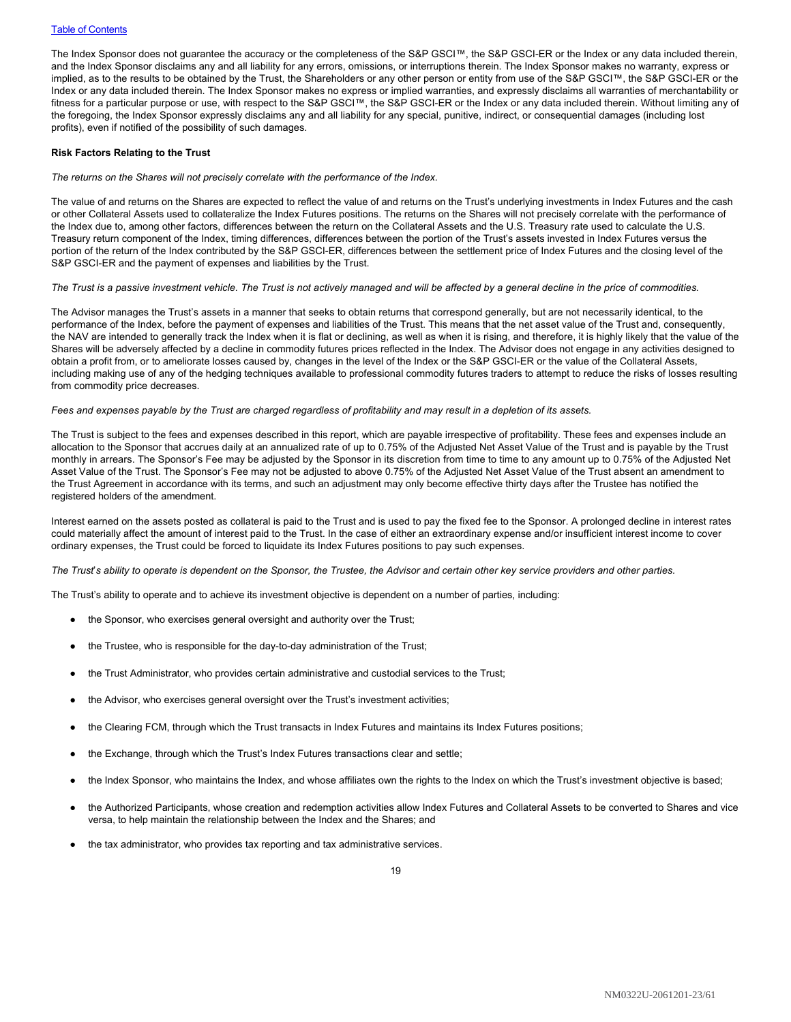The Index Sponsor does not guarantee the accuracy or the completeness of the S&P GSCI™, the S&P GSCI-ER or the Index or any data included therein, and the Index Sponsor disclaims any and all liability for any errors, omissions, or interruptions therein. The Index Sponsor makes no warranty, express or implied, as to the results to be obtained by the Trust, the Shareholders or any other person or entity from use of the S&P GSCI™, the S&P GSCI-ER or the Index or any data included therein. The Index Sponsor makes no express or implied warranties, and expressly disclaims all warranties of merchantability or fitness for a particular purpose or use, with respect to the S&P GSCI™, the S&P GSCI-ER or the Index or any data included therein. Without limiting any of the foregoing, the Index Sponsor expressly disclaims any and all liability for any special, punitive, indirect, or consequential damages (including lost profits), even if notified of the possibility of such damages.

# **Risk Factors Relating to the Trust**

*The returns on the Shares will not precisely correlate with the performance of the Index.*

The value of and returns on the Shares are expected to reflect the value of and returns on the Trust's underlying investments in Index Futures and the cash or other Collateral Assets used to collateralize the Index Futures positions. The returns on the Shares will not precisely correlate with the performance of the Index due to, among other factors, differences between the return on the Collateral Assets and the U.S. Treasury rate used to calculate the U.S. Treasury return component of the Index, timing differences, differences between the portion of the Trust's assets invested in Index Futures versus the portion of the return of the Index contributed by the S&P GSCI-ER, differences between the settlement price of Index Futures and the closing level of the S&P GSCI-ER and the payment of expenses and liabilities by the Trust.

*The Trust is a passive investment vehicle. The Trust is not actively managed and will be affected by a general decline in the price of commodities.*

The Advisor manages the Trust's assets in a manner that seeks to obtain returns that correspond generally, but are not necessarily identical, to the performance of the Index, before the payment of expenses and liabilities of the Trust. This means that the net asset value of the Trust and, consequently, the NAV are intended to generally track the Index when it is flat or declining, as well as when it is rising, and therefore, it is highly likely that the value of the Shares will be adversely affected by a decline in commodity futures prices reflected in the Index. The Advisor does not engage in any activities designed to obtain a profit from, or to ameliorate losses caused by, changes in the level of the Index or the S&P GSCI-ER or the value of the Collateral Assets, including making use of any of the hedging techniques available to professional commodity futures traders to attempt to reduce the risks of losses resulting from commodity price decreases.

# *Fees and expenses payable by the Trust are charged regardless of profitability and may result in a depletion of its assets.*

The Trust is subject to the fees and expenses described in this report, which are payable irrespective of profitability. These fees and expenses include an allocation to the Sponsor that accrues daily at an annualized rate of up to 0.75% of the Adjusted Net Asset Value of the Trust and is payable by the Trust monthly in arrears. The Sponsor's Fee may be adjusted by the Sponsor in its discretion from time to time to any amount up to 0.75% of the Adjusted Net Asset Value of the Trust. The Sponsor's Fee may not be adjusted to above 0.75% of the Adjusted Net Asset Value of the Trust absent an amendment to the Trust Agreement in accordance with its terms, and such an adjustment may only become effective thirty days after the Trustee has notified the registered holders of the amendment.

Interest earned on the assets posted as collateral is paid to the Trust and is used to pay the fixed fee to the Sponsor. A prolonged decline in interest rates could materially affect the amount of interest paid to the Trust. In the case of either an extraordinary expense and/or insufficient interest income to cover ordinary expenses, the Trust could be forced to liquidate its Index Futures positions to pay such expenses.

*The Trust*'*s ability to operate is dependent on the Sponsor, the Trustee, the Advisor and certain other key service providers and other parties.*

The Trust's ability to operate and to achieve its investment objective is dependent on a number of parties, including:

- the Sponsor, who exercises general oversight and authority over the Trust;
- the Trustee, who is responsible for the day-to-day administration of the Trust;
- the Trust Administrator, who provides certain administrative and custodial services to the Trust;
- the Advisor, who exercises general oversight over the Trust's investment activities;
- the Clearing FCM, through which the Trust transacts in Index Futures and maintains its Index Futures positions;
- the Exchange, through which the Trust's Index Futures transactions clear and settle;
- the Index Sponsor, who maintains the Index, and whose affiliates own the rights to the Index on which the Trust's investment objective is based;
- the Authorized Participants, whose creation and redemption activities allow Index Futures and Collateral Assets to be converted to Shares and vice versa, to help maintain the relationship between the Index and the Shares; and
- the tax administrator, who provides tax reporting and tax administrative services.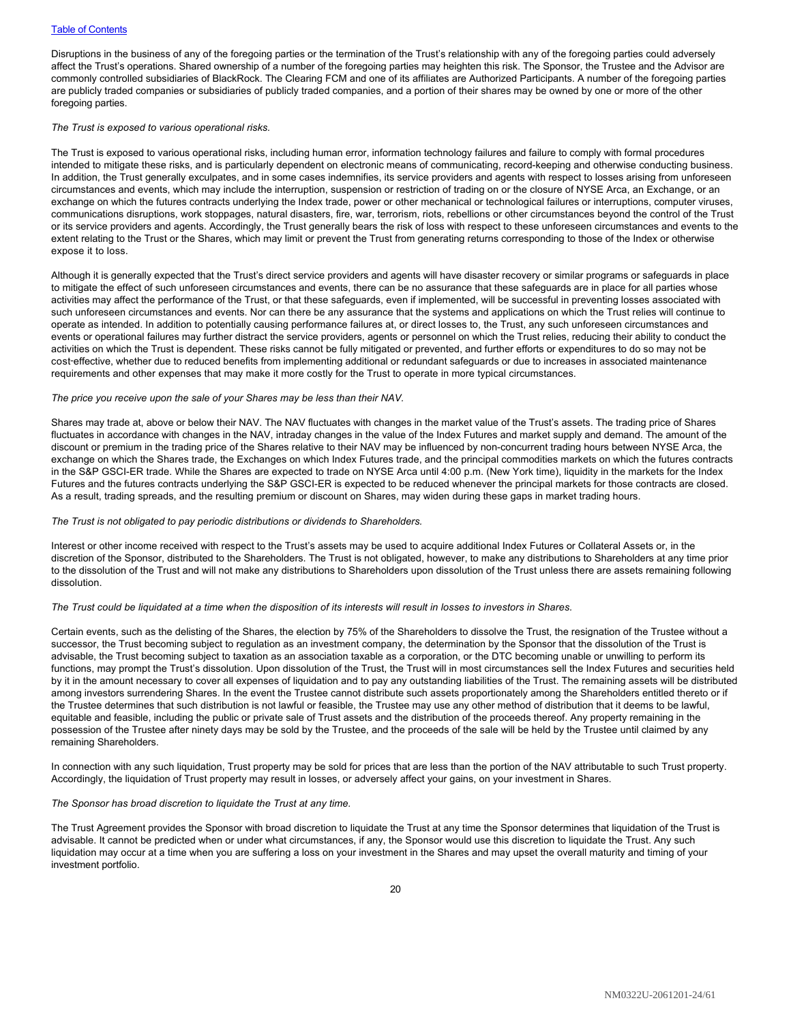Disruptions in the business of any of the foregoing parties or the termination of the Trust's relationship with any of the foregoing parties could adversely affect the Trust's operations. Shared ownership of a number of the foregoing parties may heighten this risk. The Sponsor, the Trustee and the Advisor are commonly controlled subsidiaries of BlackRock. The Clearing FCM and one of its affiliates are Authorized Participants. A number of the foregoing parties are publicly traded companies or subsidiaries of publicly traded companies, and a portion of their shares may be owned by one or more of the other foregoing parties.

# *The Trust is exposed to various operational risks.*

The Trust is exposed to various operational risks, including human error, information technology failures and failure to comply with formal procedures intended to mitigate these risks, and is particularly dependent on electronic means of communicating, record-keeping and otherwise conducting business. In addition, the Trust generally exculpates, and in some cases indemnifies, its service providers and agents with respect to losses arising from unforeseen circumstances and events, which may include the interruption, suspension or restriction of trading on or the closure of NYSE Arca, an Exchange, or an exchange on which the futures contracts underlying the Index trade, power or other mechanical or technological failures or interruptions, computer viruses, communications disruptions, work stoppages, natural disasters, fire, war, terrorism, riots, rebellions or other circumstances beyond the control of the Trust or its service providers and agents. Accordingly, the Trust generally bears the risk of loss with respect to these unforeseen circumstances and events to the extent relating to the Trust or the Shares, which may limit or prevent the Trust from generating returns corresponding to those of the Index or otherwise expose it to loss.

Although it is generally expected that the Trust's direct service providers and agents will have disaster recovery or similar programs or safeguards in place to mitigate the effect of such unforeseen circumstances and events, there can be no assurance that these safeguards are in place for all parties whose activities may affect the performance of the Trust, or that these safeguards, even if implemented, will be successful in preventing losses associated with such unforeseen circumstances and events. Nor can there be any assurance that the systems and applications on which the Trust relies will continue to operate as intended. In addition to potentially causing performance failures at, or direct losses to, the Trust, any such unforeseen circumstances and events or operational failures may further distract the service providers, agents or personnel on which the Trust relies, reducing their ability to conduct the activities on which the Trust is dependent. These risks cannot be fully mitigated or prevented, and further efforts or expenditures to do so may not be cost‑effective, whether due to reduced benefits from implementing additional or redundant safeguards or due to increases in associated maintenance requirements and other expenses that may make it more costly for the Trust to operate in more typical circumstances.

#### *The price you receive upon the sale of your Shares may be less than their NAV.*

Shares may trade at, above or below their NAV. The NAV fluctuates with changes in the market value of the Trust's assets. The trading price of Shares fluctuates in accordance with changes in the NAV, intraday changes in the value of the Index Futures and market supply and demand. The amount of the discount or premium in the trading price of the Shares relative to their NAV may be influenced by non-concurrent trading hours between NYSE Arca, the exchange on which the Shares trade, the Exchanges on which Index Futures trade, and the principal commodities markets on which the futures contracts in the S&P GSCI-ER trade. While the Shares are expected to trade on NYSE Arca until 4:00 p.m. (New York time), liquidity in the markets for the Index Futures and the futures contracts underlying the S&P GSCI-ER is expected to be reduced whenever the principal markets for those contracts are closed. As a result, trading spreads, and the resulting premium or discount on Shares, may widen during these gaps in market trading hours.

#### *The Trust is not obligated to pay periodic distributions or dividends to Shareholders.*

Interest or other income received with respect to the Trust's assets may be used to acquire additional Index Futures or Collateral Assets or, in the discretion of the Sponsor, distributed to the Shareholders. The Trust is not obligated, however, to make any distributions to Shareholders at any time prior to the dissolution of the Trust and will not make any distributions to Shareholders upon dissolution of the Trust unless there are assets remaining following dissolution.

# *The Trust could be liquidated at a time when the disposition of its interests will result in losses to investors in Shares.*

Certain events, such as the delisting of the Shares, the election by 75% of the Shareholders to dissolve the Trust, the resignation of the Trustee without a successor, the Trust becoming subject to regulation as an investment company, the determination by the Sponsor that the dissolution of the Trust is advisable, the Trust becoming subject to taxation as an association taxable as a corporation, or the DTC becoming unable or unwilling to perform its functions, may prompt the Trust's dissolution. Upon dissolution of the Trust, the Trust will in most circumstances sell the Index Futures and securities held by it in the amount necessary to cover all expenses of liquidation and to pay any outstanding liabilities of the Trust. The remaining assets will be distributed among investors surrendering Shares. In the event the Trustee cannot distribute such assets proportionately among the Shareholders entitled thereto or if the Trustee determines that such distribution is not lawful or feasible, the Trustee may use any other method of distribution that it deems to be lawful, equitable and feasible, including the public or private sale of Trust assets and the distribution of the proceeds thereof. Any property remaining in the possession of the Trustee after ninety days may be sold by the Trustee, and the proceeds of the sale will be held by the Trustee until claimed by any remaining Shareholders.

In connection with any such liquidation, Trust property may be sold for prices that are less than the portion of the NAV attributable to such Trust property. Accordingly, the liquidation of Trust property may result in losses, or adversely affect your gains, on your investment in Shares.

#### *The Sponsor has broad discretion to liquidate the Trust at any time.*

The Trust Agreement provides the Sponsor with broad discretion to liquidate the Trust at any time the Sponsor determines that liquidation of the Trust is advisable. It cannot be predicted when or under what circumstances, if any, the Sponsor would use this discretion to liquidate the Trust. Any such liquidation may occur at a time when you are suffering a loss on your investment in the Shares and may upset the overall maturity and timing of your investment portfolio.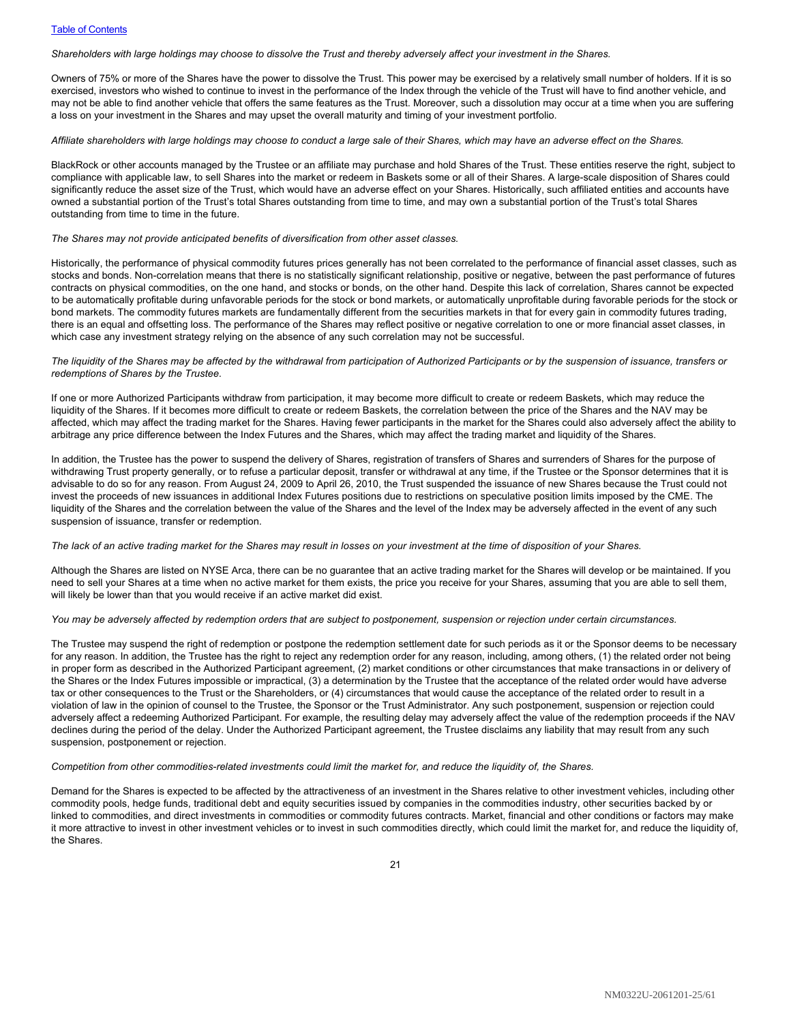*Shareholders with large holdings may choose to dissolve the Trust and thereby adversely affect your investment in the Shares.*

Owners of 75% or more of the Shares have the power to dissolve the Trust. This power may be exercised by a relatively small number of holders. If it is so exercised, investors who wished to continue to invest in the performance of the Index through the vehicle of the Trust will have to find another vehicle, and may not be able to find another vehicle that offers the same features as the Trust. Moreover, such a dissolution may occur at a time when you are suffering a loss on your investment in the Shares and may upset the overall maturity and timing of your investment portfolio.

#### *Affiliate shareholders with large holdings may choose to conduct a large sale of their Shares, which may have an adverse effect on the Shares.*

BlackRock or other accounts managed by the Trustee or an affiliate may purchase and hold Shares of the Trust. These entities reserve the right, subject to compliance with applicable law, to sell Shares into the market or redeem in Baskets some or all of their Shares. A large-scale disposition of Shares could significantly reduce the asset size of the Trust, which would have an adverse effect on your Shares. Historically, such affiliated entities and accounts have owned a substantial portion of the Trust's total Shares outstanding from time to time, and may own a substantial portion of the Trust's total Shares outstanding from time to time in the future.

# *The Shares may not provide anticipated benefits of diversification from other asset classes.*

Historically, the performance of physical commodity futures prices generally has not been correlated to the performance of financial asset classes, such as stocks and bonds. Non-correlation means that there is no statistically significant relationship, positive or negative, between the past performance of futures contracts on physical commodities, on the one hand, and stocks or bonds, on the other hand. Despite this lack of correlation, Shares cannot be expected to be automatically profitable during unfavorable periods for the stock or bond markets, or automatically unprofitable during favorable periods for the stock or bond markets. The commodity futures markets are fundamentally different from the securities markets in that for every gain in commodity futures trading, there is an equal and offsetting loss. The performance of the Shares may reflect positive or negative correlation to one or more financial asset classes, in which case any investment strategy relying on the absence of any such correlation may not be successful.

*The liquidity of the Shares may be affected by the withdrawal from participation of Authorized Participants or by the suspension of issuance, transfers or redemptions of Shares by the Trustee*.

If one or more Authorized Participants withdraw from participation, it may become more difficult to create or redeem Baskets, which may reduce the liquidity of the Shares. If it becomes more difficult to create or redeem Baskets, the correlation between the price of the Shares and the NAV may be affected, which may affect the trading market for the Shares. Having fewer participants in the market for the Shares could also adversely affect the ability to arbitrage any price difference between the Index Futures and the Shares, which may affect the trading market and liquidity of the Shares.

In addition, the Trustee has the power to suspend the delivery of Shares, registration of transfers of Shares and surrenders of Shares for the purpose of withdrawing Trust property generally, or to refuse a particular deposit, transfer or withdrawal at any time, if the Trustee or the Sponsor determines that it is advisable to do so for any reason. From August 24, 2009 to April 26, 2010, the Trust suspended the issuance of new Shares because the Trust could not invest the proceeds of new issuances in additional Index Futures positions due to restrictions on speculative position limits imposed by the CME. The liquidity of the Shares and the correlation between the value of the Shares and the level of the Index may be adversely affected in the event of any such suspension of issuance, transfer or redemption.

*The lack of an active trading market for the Shares may result in losses on your investment at the time of disposition of your Shares.*

Although the Shares are listed on NYSE Arca, there can be no guarantee that an active trading market for the Shares will develop or be maintained. If you need to sell your Shares at a time when no active market for them exists, the price you receive for your Shares, assuming that you are able to sell them, will likely be lower than that you would receive if an active market did exist.

#### *You may be adversely affected by redemption orders that are subject to postponement, suspension or rejection under certain circumstances.*

The Trustee may suspend the right of redemption or postpone the redemption settlement date for such periods as it or the Sponsor deems to be necessary for any reason. In addition, the Trustee has the right to reject any redemption order for any reason, including, among others, (1) the related order not being in proper form as described in the Authorized Participant agreement, (2) market conditions or other circumstances that make transactions in or delivery of the Shares or the Index Futures impossible or impractical, (3) a determination by the Trustee that the acceptance of the related order would have adverse tax or other consequences to the Trust or the Shareholders, or (4) circumstances that would cause the acceptance of the related order to result in a violation of law in the opinion of counsel to the Trustee, the Sponsor or the Trust Administrator. Any such postponement, suspension or rejection could adversely affect a redeeming Authorized Participant. For example, the resulting delay may adversely affect the value of the redemption proceeds if the NAV declines during the period of the delay. Under the Authorized Participant agreement, the Trustee disclaims any liability that may result from any such suspension, postponement or rejection.

#### *Competition from other commodities-related investments could limit the market for, and reduce the liquidity of, the Shares.*

Demand for the Shares is expected to be affected by the attractiveness of an investment in the Shares relative to other investment vehicles, including other commodity pools, hedge funds, traditional debt and equity securities issued by companies in the commodities industry, other securities backed by or linked to commodities, and direct investments in commodities or commodity futures contracts. Market, financial and other conditions or factors may make it more attractive to invest in other investment vehicles or to invest in such commodities directly, which could limit the market for, and reduce the liquidity of, the Shares.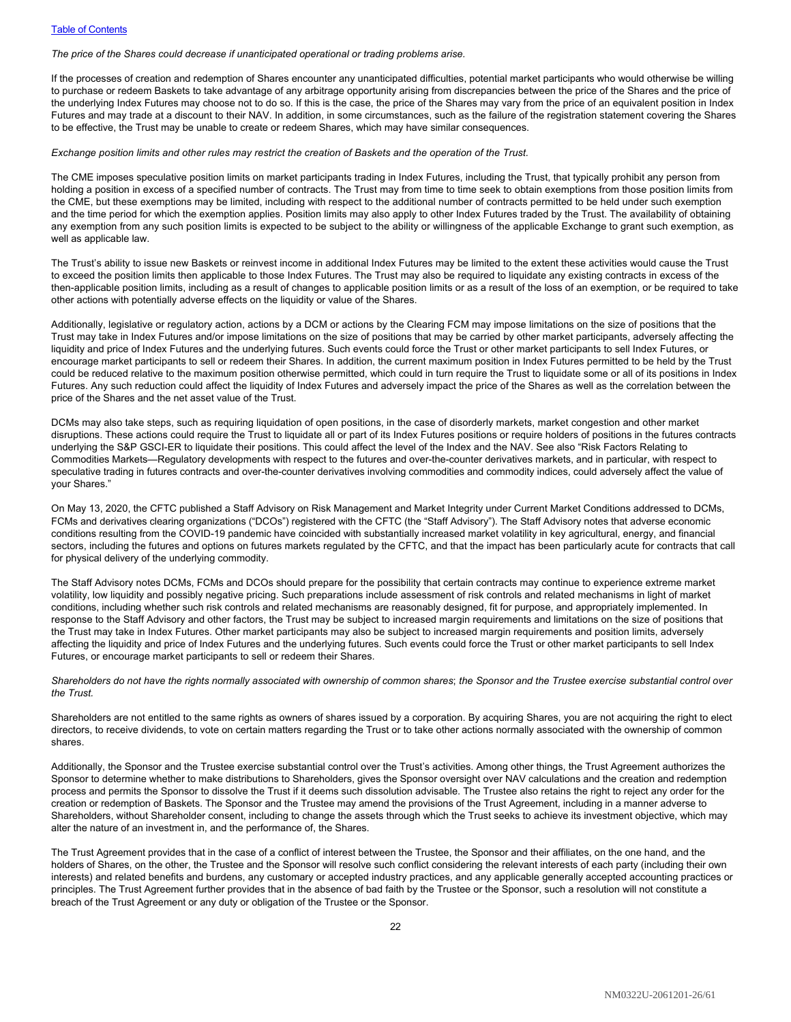# **[Table of Contents](#page-3-0)**

#### *The price of the Shares could decrease if unanticipated operational or trading problems arise.*

If the processes of creation and redemption of Shares encounter any unanticipated difficulties, potential market participants who would otherwise be willing to purchase or redeem Baskets to take advantage of any arbitrage opportunity arising from discrepancies between the price of the Shares and the price of the underlying Index Futures may choose not to do so. If this is the case, the price of the Shares may vary from the price of an equivalent position in Index Futures and may trade at a discount to their NAV. In addition, in some circumstances, such as the failure of the registration statement covering the Shares to be effective, the Trust may be unable to create or redeem Shares, which may have similar consequences.

#### *Exchange position limits and other rules may restrict the creation of Baskets and the operation of the Trust.*

The CME imposes speculative position limits on market participants trading in Index Futures, including the Trust, that typically prohibit any person from holding a position in excess of a specified number of contracts. The Trust may from time to time seek to obtain exemptions from those position limits from the CME, but these exemptions may be limited, including with respect to the additional number of contracts permitted to be held under such exemption and the time period for which the exemption applies. Position limits may also apply to other Index Futures traded by the Trust. The availability of obtaining any exemption from any such position limits is expected to be subject to the ability or willingness of the applicable Exchange to grant such exemption, as well as applicable law.

The Trust's ability to issue new Baskets or reinvest income in additional Index Futures may be limited to the extent these activities would cause the Trust to exceed the position limits then applicable to those Index Futures. The Trust may also be required to liquidate any existing contracts in excess of the then-applicable position limits, including as a result of changes to applicable position limits or as a result of the loss of an exemption, or be required to take other actions with potentially adverse effects on the liquidity or value of the Shares.

Additionally, legislative or regulatory action, actions by a DCM or actions by the Clearing FCM may impose limitations on the size of positions that the Trust may take in Index Futures and/or impose limitations on the size of positions that may be carried by other market participants, adversely affecting the liquidity and price of Index Futures and the underlying futures. Such events could force the Trust or other market participants to sell Index Futures, or encourage market participants to sell or redeem their Shares. In addition, the current maximum position in Index Futures permitted to be held by the Trust could be reduced relative to the maximum position otherwise permitted, which could in turn require the Trust to liquidate some or all of its positions in Index Futures. Any such reduction could affect the liquidity of Index Futures and adversely impact the price of the Shares as well as the correlation between the price of the Shares and the net asset value of the Trust.

DCMs may also take steps, such as requiring liquidation of open positions, in the case of disorderly markets, market congestion and other market disruptions. These actions could require the Trust to liquidate all or part of its Index Futures positions or require holders of positions in the futures contracts underlying the S&P GSCI-ER to liquidate their positions. This could affect the level of the Index and the NAV. See also "Risk Factors Relating to Commodities Markets—Regulatory developments with respect to the futures and over-the-counter derivatives markets, and in particular, with respect to speculative trading in futures contracts and over-the-counter derivatives involving commodities and commodity indices, could adversely affect the value of your Shares."

On May 13, 2020, the CFTC published a Staff Advisory on Risk Management and Market Integrity under Current Market Conditions addressed to DCMs, FCMs and derivatives clearing organizations ("DCOs") registered with the CFTC (the "Staff Advisory"). The Staff Advisory notes that adverse economic conditions resulting from the COVID-19 pandemic have coincided with substantially increased market volatility in key agricultural, energy, and financial sectors, including the futures and options on futures markets regulated by the CFTC, and that the impact has been particularly acute for contracts that call for physical delivery of the underlying commodity.

The Staff Advisory notes DCMs, FCMs and DCOs should prepare for the possibility that certain contracts may continue to experience extreme market volatility, low liquidity and possibly negative pricing. Such preparations include assessment of risk controls and related mechanisms in light of market conditions, including whether such risk controls and related mechanisms are reasonably designed, fit for purpose, and appropriately implemented. In response to the Staff Advisory and other factors, the Trust may be subject to increased margin requirements and limitations on the size of positions that the Trust may take in Index Futures. Other market participants may also be subject to increased margin requirements and position limits, adversely affecting the liquidity and price of Index Futures and the underlying futures. Such events could force the Trust or other market participants to sell Index Futures, or encourage market participants to sell or redeem their Shares.

*Shareholders do not have the rights normally associated with ownership of common shares*; *the Sponsor and the Trustee exercise substantial control over the Trust.*

Shareholders are not entitled to the same rights as owners of shares issued by a corporation. By acquiring Shares, you are not acquiring the right to elect directors, to receive dividends, to vote on certain matters regarding the Trust or to take other actions normally associated with the ownership of common shares.

Additionally, the Sponsor and the Trustee exercise substantial control over the Trust's activities. Among other things, the Trust Agreement authorizes the Sponsor to determine whether to make distributions to Shareholders, gives the Sponsor oversight over NAV calculations and the creation and redemption process and permits the Sponsor to dissolve the Trust if it deems such dissolution advisable. The Trustee also retains the right to reject any order for the creation or redemption of Baskets. The Sponsor and the Trustee may amend the provisions of the Trust Agreement, including in a manner adverse to Shareholders, without Shareholder consent, including to change the assets through which the Trust seeks to achieve its investment objective, which may alter the nature of an investment in, and the performance of, the Shares.

The Trust Agreement provides that in the case of a conflict of interest between the Trustee, the Sponsor and their affiliates, on the one hand, and the holders of Shares, on the other, the Trustee and the Sponsor will resolve such conflict considering the relevant interests of each party (including their own interests) and related benefits and burdens, any customary or accepted industry practices, and any applicable generally accepted accounting practices or principles. The Trust Agreement further provides that in the absence of bad faith by the Trustee or the Sponsor, such a resolution will not constitute a breach of the Trust Agreement or any duty or obligation of the Trustee or the Sponsor.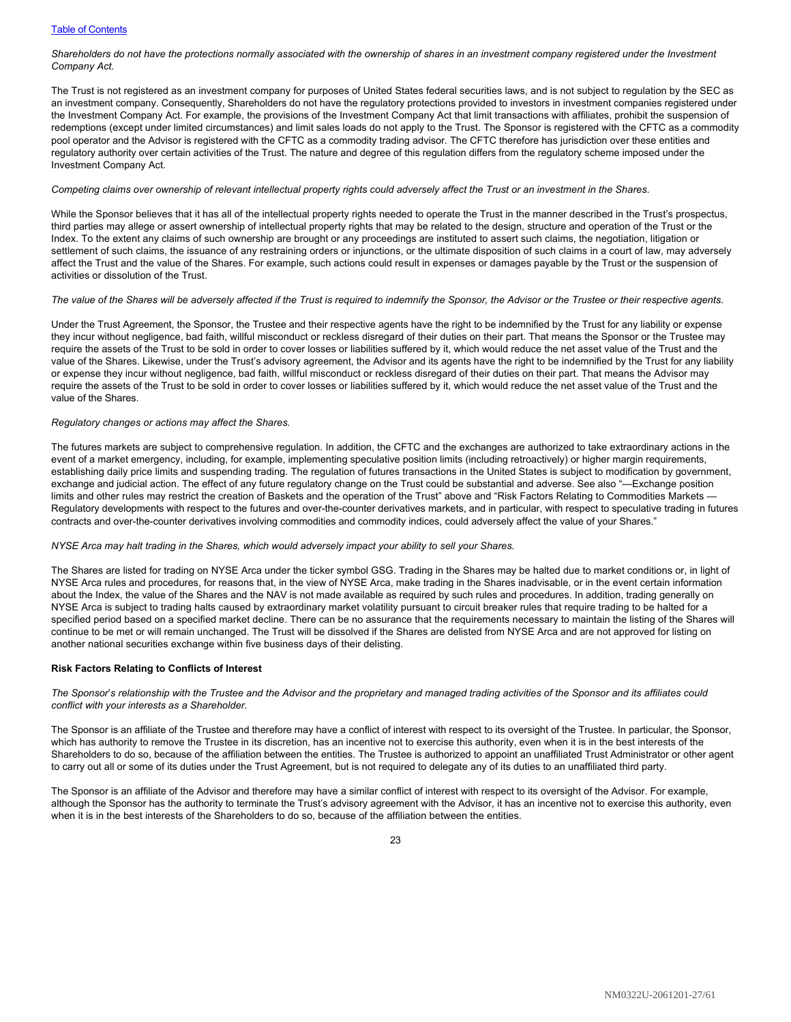# **[Table of Contents](#page-3-0)**

*Shareholders do not have the protections normally associated with the ownership of shares in an investment company registered under the Investment Company Act.*

The Trust is not registered as an investment company for purposes of United States federal securities laws, and is not subject to regulation by the SEC as an investment company. Consequently, Shareholders do not have the regulatory protections provided to investors in investment companies registered under the Investment Company Act. For example, the provisions of the Investment Company Act that limit transactions with affiliates, prohibit the suspension of redemptions (except under limited circumstances) and limit sales loads do not apply to the Trust. The Sponsor is registered with the CFTC as a commodity pool operator and the Advisor is registered with the CFTC as a commodity trading advisor. The CFTC therefore has jurisdiction over these entities and regulatory authority over certain activities of the Trust. The nature and degree of this regulation differs from the regulatory scheme imposed under the Investment Company Act.

# *Competing claims over ownership of relevant intellectual property rights could adversely affect the Trust or an investment in the Shares*.

While the Sponsor believes that it has all of the intellectual property rights needed to operate the Trust in the manner described in the Trust's prospectus, third parties may allege or assert ownership of intellectual property rights that may be related to the design, structure and operation of the Trust or the Index. To the extent any claims of such ownership are brought or any proceedings are instituted to assert such claims, the negotiation, litigation or settlement of such claims, the issuance of any restraining orders or injunctions, or the ultimate disposition of such claims in a court of law, may adversely affect the Trust and the value of the Shares. For example, such actions could result in expenses or damages payable by the Trust or the suspension of activities or dissolution of the Trust.

#### *The value of the Shares will be adversely affected if the Trust is required to indemnify the Sponsor, the Advisor or the Trustee or their respective agents.*

Under the Trust Agreement, the Sponsor, the Trustee and their respective agents have the right to be indemnified by the Trust for any liability or expense they incur without negligence, bad faith, willful misconduct or reckless disregard of their duties on their part. That means the Sponsor or the Trustee may require the assets of the Trust to be sold in order to cover losses or liabilities suffered by it, which would reduce the net asset value of the Trust and the value of the Shares. Likewise, under the Trust's advisory agreement, the Advisor and its agents have the right to be indemnified by the Trust for any liability or expense they incur without negligence, bad faith, willful misconduct or reckless disregard of their duties on their part. That means the Advisor may require the assets of the Trust to be sold in order to cover losses or liabilities suffered by it, which would reduce the net asset value of the Trust and the value of the Shares.

# *Regulatory changes or actions may affect the Shares.*

The futures markets are subject to comprehensive regulation. In addition, the CFTC and the exchanges are authorized to take extraordinary actions in the event of a market emergency, including, for example, implementing speculative position limits (including retroactively) or higher margin requirements, establishing daily price limits and suspending trading. The regulation of futures transactions in the United States is subject to modification by government, exchange and judicial action. The effect of any future regulatory change on the Trust could be substantial and adverse. See also "—Exchange position limits and other rules may restrict the creation of Baskets and the operation of the Trust" above and "Risk Factors Relating to Commodities Markets -Regulatory developments with respect to the futures and over-the-counter derivatives markets, and in particular, with respect to speculative trading in futures contracts and over-the-counter derivatives involving commodities and commodity indices, could adversely affect the value of your Shares."

#### *NYSE Arca may halt trading in the Shares, which would adversely impact your ability to sell your Shares.*

The Shares are listed for trading on NYSE Arca under the ticker symbol GSG. Trading in the Shares may be halted due to market conditions or, in light of NYSE Arca rules and procedures, for reasons that, in the view of NYSE Arca, make trading in the Shares inadvisable, or in the event certain information about the Index, the value of the Shares and the NAV is not made available as required by such rules and procedures. In addition, trading generally on NYSE Arca is subject to trading halts caused by extraordinary market volatility pursuant to circuit breaker rules that require trading to be halted for a specified period based on a specified market decline. There can be no assurance that the requirements necessary to maintain the listing of the Shares will continue to be met or will remain unchanged. The Trust will be dissolved if the Shares are delisted from NYSE Arca and are not approved for listing on another national securities exchange within five business days of their delisting.

# **Risk Factors Relating to Conflicts of Interest**

*The Sponsor*'*s relationship with the Trustee and the Advisor and the proprietary and managed trading activities of the Sponsor and its affiliates could conflict with your interests as a Shareholder.*

The Sponsor is an affiliate of the Trustee and therefore may have a conflict of interest with respect to its oversight of the Trustee. In particular, the Sponsor, which has authority to remove the Trustee in its discretion, has an incentive not to exercise this authority, even when it is in the best interests of the Shareholders to do so, because of the affiliation between the entities. The Trustee is authorized to appoint an unaffiliated Trust Administrator or other agent to carry out all or some of its duties under the Trust Agreement, but is not required to delegate any of its duties to an unaffiliated third party.

The Sponsor is an affiliate of the Advisor and therefore may have a similar conflict of interest with respect to its oversight of the Advisor. For example, although the Sponsor has the authority to terminate the Trust's advisory agreement with the Advisor, it has an incentive not to exercise this authority, even when it is in the best interests of the Shareholders to do so, because of the affiliation between the entities.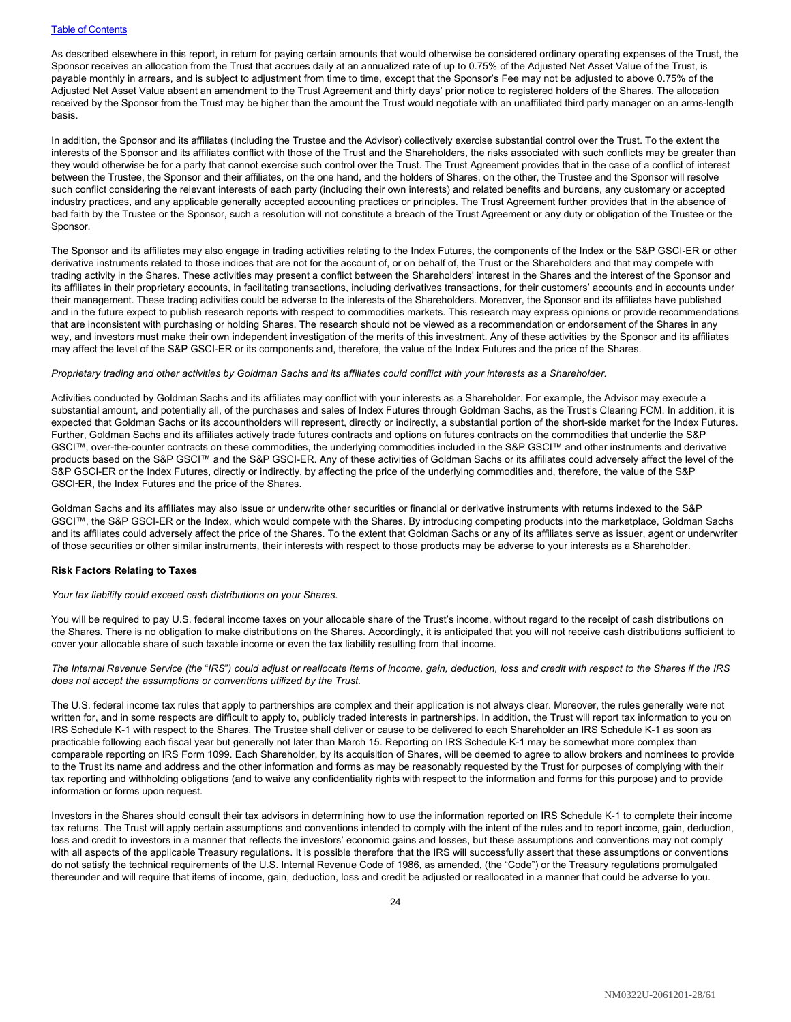As described elsewhere in this report, in return for paying certain amounts that would otherwise be considered ordinary operating expenses of the Trust, the Sponsor receives an allocation from the Trust that accrues daily at an annualized rate of up to 0.75% of the Adjusted Net Asset Value of the Trust, is payable monthly in arrears, and is subject to adjustment from time to time, except that the Sponsor's Fee may not be adjusted to above 0.75% of the Adjusted Net Asset Value absent an amendment to the Trust Agreement and thirty days' prior notice to registered holders of the Shares. The allocation received by the Sponsor from the Trust may be higher than the amount the Trust would negotiate with an unaffiliated third party manager on an arms-length basis.

In addition, the Sponsor and its affiliates (including the Trustee and the Advisor) collectively exercise substantial control over the Trust. To the extent the interests of the Sponsor and its affiliates conflict with those of the Trust and the Shareholders, the risks associated with such conflicts may be greater than they would otherwise be for a party that cannot exercise such control over the Trust. The Trust Agreement provides that in the case of a conflict of interest between the Trustee, the Sponsor and their affiliates, on the one hand, and the holders of Shares, on the other, the Trustee and the Sponsor will resolve such conflict considering the relevant interests of each party (including their own interests) and related benefits and burdens, any customary or accepted industry practices, and any applicable generally accepted accounting practices or principles. The Trust Agreement further provides that in the absence of bad faith by the Trustee or the Sponsor, such a resolution will not constitute a breach of the Trust Agreement or any duty or obligation of the Trustee or the Sponsor.

The Sponsor and its affiliates may also engage in trading activities relating to the Index Futures, the components of the Index or the S&P GSCI-ER or other derivative instruments related to those indices that are not for the account of, or on behalf of, the Trust or the Shareholders and that may compete with trading activity in the Shares. These activities may present a conflict between the Shareholders' interest in the Shares and the interest of the Sponsor and its affiliates in their proprietary accounts, in facilitating transactions, including derivatives transactions, for their customers' accounts and in accounts under their management. These trading activities could be adverse to the interests of the Shareholders. Moreover, the Sponsor and its affiliates have published and in the future expect to publish research reports with respect to commodities markets. This research may express opinions or provide recommendations that are inconsistent with purchasing or holding Shares. The research should not be viewed as a recommendation or endorsement of the Shares in any way, and investors must make their own independent investigation of the merits of this investment. Any of these activities by the Sponsor and its affiliates may affect the level of the S&P GSCI-ER or its components and, therefore, the value of the Index Futures and the price of the Shares.

#### *Proprietary trading and other activities by Goldman Sachs and its affiliates could conflict with your interests as a Shareholder.*

Activities conducted by Goldman Sachs and its affiliates may conflict with your interests as a Shareholder. For example, the Advisor may execute a substantial amount, and potentially all, of the purchases and sales of Index Futures through Goldman Sachs, as the Trust's Clearing FCM. In addition, it is expected that Goldman Sachs or its accountholders will represent, directly or indirectly, a substantial portion of the short-side market for the Index Futures. Further, Goldman Sachs and its affiliates actively trade futures contracts and options on futures contracts on the commodities that underlie the S&P GSCI™, over-the-counter contracts on these commodities, the underlying commodities included in the S&P GSCI™ and other instruments and derivative products based on the S&P GSCI™ and the S&P GSCI-ER. Any of these activities of Goldman Sachs or its affiliates could adversely affect the level of the S&P GSCI-ER or the Index Futures, directly or indirectly, by affecting the price of the underlying commodities and, therefore, the value of the S&P GSCI-ER, the Index Futures and the price of the Shares.

Goldman Sachs and its affiliates may also issue or underwrite other securities or financial or derivative instruments with returns indexed to the S&P GSCI™, the S&P GSCI-ER or the Index, which would compete with the Shares. By introducing competing products into the marketplace, Goldman Sachs and its affiliates could adversely affect the price of the Shares. To the extent that Goldman Sachs or any of its affiliates serve as issuer, agent or underwriter of those securities or other similar instruments, their interests with respect to those products may be adverse to your interests as a Shareholder.

# **Risk Factors Relating to Taxes**

#### *Your tax liability could exceed cash distributions on your Shares.*

You will be required to pay U.S. federal income taxes on your allocable share of the Trust's income, without regard to the receipt of cash distributions on the Shares. There is no obligation to make distributions on the Shares. Accordingly, it is anticipated that you will not receive cash distributions sufficient to cover your allocable share of such taxable income or even the tax liability resulting from that income.

*The Internal Revenue Service (the* "*IRS*"*) could adjust or reallocate items of income, gain, deduction, loss and credit with respect to the Shares if the IRS does not accept the assumptions or conventions utilized by the Trust.*

The U.S. federal income tax rules that apply to partnerships are complex and their application is not always clear. Moreover, the rules generally were not written for, and in some respects are difficult to apply to, publicly traded interests in partnerships. In addition, the Trust will report tax information to you on IRS Schedule K-1 with respect to the Shares. The Trustee shall deliver or cause to be delivered to each Shareholder an IRS Schedule K-1 as soon as practicable following each fiscal year but generally not later than March 15. Reporting on IRS Schedule K-1 may be somewhat more complex than comparable reporting on IRS Form 1099. Each Shareholder, by its acquisition of Shares, will be deemed to agree to allow brokers and nominees to provide to the Trust its name and address and the other information and forms as may be reasonably requested by the Trust for purposes of complying with their tax reporting and withholding obligations (and to waive any confidentiality rights with respect to the information and forms for this purpose) and to provide information or forms upon request.

Investors in the Shares should consult their tax advisors in determining how to use the information reported on IRS Schedule K-1 to complete their income tax returns. The Trust will apply certain assumptions and conventions intended to comply with the intent of the rules and to report income, gain, deduction, loss and credit to investors in a manner that reflects the investors' economic gains and losses, but these assumptions and conventions may not comply with all aspects of the applicable Treasury regulations. It is possible therefore that the IRS will successfully assert that these assumptions or conventions do not satisfy the technical requirements of the U.S. Internal Revenue Code of 1986, as amended, (the "Code") or the Treasury regulations promulgated thereunder and will require that items of income, gain, deduction, loss and credit be adjusted or reallocated in a manner that could be adverse to you.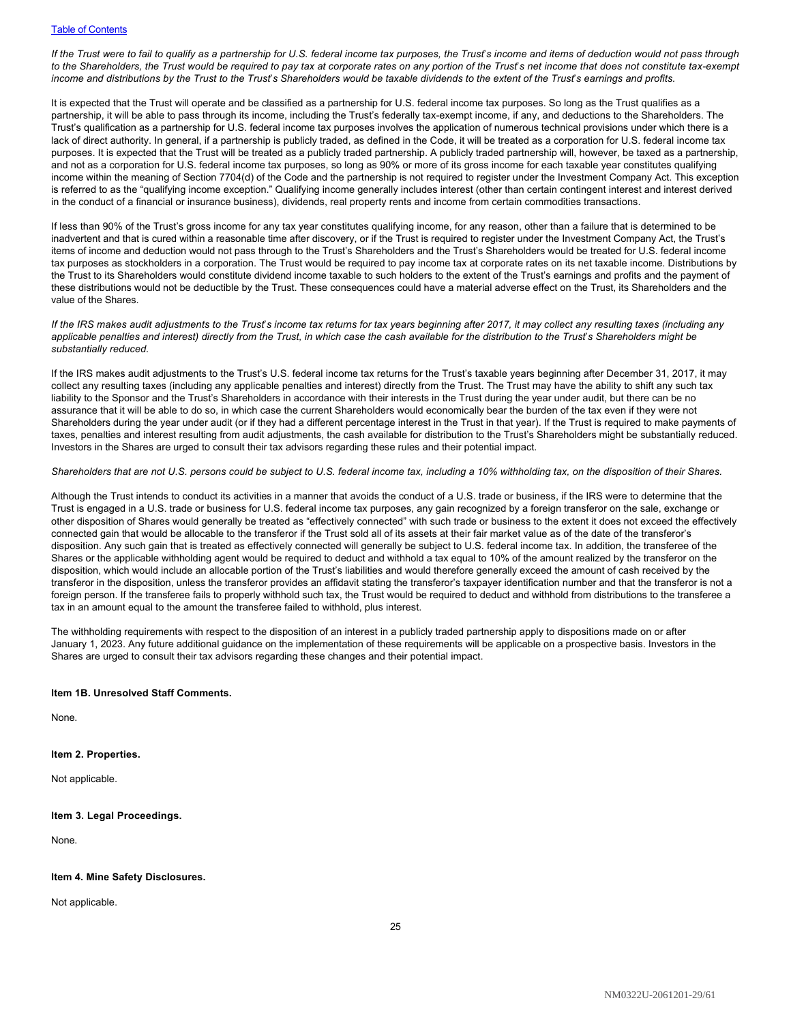*If the Trust were to fail to qualify as a partnership for U.S. federal income tax purposes, the Trust*'*s income and items of deduction would not pass through to the Shareholders, the Trust would be required to pay tax at corporate rates on any portion of the Trust*'*s net income that does not constitute tax-exempt income and distributions by the Trust to the Trust*'*s Shareholders would be taxable dividends to the extent of the Trust*'*s earnings and profits.*

It is expected that the Trust will operate and be classified as a partnership for U.S. federal income tax purposes. So long as the Trust qualifies as a partnership, it will be able to pass through its income, including the Trust's federally tax-exempt income, if any, and deductions to the Shareholders. The Trust's qualification as a partnership for U.S. federal income tax purposes involves the application of numerous technical provisions under which there is a lack of direct authority. In general, if a partnership is publicly traded, as defined in the Code, it will be treated as a corporation for U.S. federal income tax purposes. It is expected that the Trust will be treated as a publicly traded partnership. A publicly traded partnership will, however, be taxed as a partnership, and not as a corporation for U.S. federal income tax purposes, so long as 90% or more of its gross income for each taxable year constitutes qualifying income within the meaning of Section 7704(d) of the Code and the partnership is not required to register under the Investment Company Act. This exception is referred to as the "qualifying income exception." Qualifying income generally includes interest (other than certain contingent interest and interest derived in the conduct of a financial or insurance business), dividends, real property rents and income from certain commodities transactions.

If less than 90% of the Trust's gross income for any tax year constitutes qualifying income, for any reason, other than a failure that is determined to be inadvertent and that is cured within a reasonable time after discovery, or if the Trust is required to register under the Investment Company Act, the Trust's items of income and deduction would not pass through to the Trust's Shareholders and the Trust's Shareholders would be treated for U.S. federal income tax purposes as stockholders in a corporation. The Trust would be required to pay income tax at corporate rates on its net taxable income. Distributions by the Trust to its Shareholders would constitute dividend income taxable to such holders to the extent of the Trust's earnings and profits and the payment of these distributions would not be deductible by the Trust. These consequences could have a material adverse effect on the Trust, its Shareholders and the value of the Shares.

*If the IRS makes audit adjustments to the Trust*'*s income tax returns for tax years beginning after 2017, it may collect any resulting taxes (including any applicable penalties and interest) directly from the Trust, in which case the cash available for the distribution to the Trust*'*s Shareholders might be substantially reduced.*

If the IRS makes audit adjustments to the Trust's U.S. federal income tax returns for the Trust's taxable years beginning after December 31, 2017, it may collect any resulting taxes (including any applicable penalties and interest) directly from the Trust. The Trust may have the ability to shift any such tax liability to the Sponsor and the Trust's Shareholders in accordance with their interests in the Trust during the year under audit, but there can be no assurance that it will be able to do so, in which case the current Shareholders would economically bear the burden of the tax even if they were not Shareholders during the year under audit (or if they had a different percentage interest in the Trust in that year). If the Trust is required to make payments of taxes, penalties and interest resulting from audit adjustments, the cash available for distribution to the Trust's Shareholders might be substantially reduced. Investors in the Shares are urged to consult their tax advisors regarding these rules and their potential impact.

*Shareholders that are not U.S. persons could be subject to U.S. federal income tax, including a 10% withholding tax, on the disposition of their Shares.*

Although the Trust intends to conduct its activities in a manner that avoids the conduct of a U.S. trade or business, if the IRS were to determine that the Trust is engaged in a U.S. trade or business for U.S. federal income tax purposes, any gain recognized by a foreign transferor on the sale, exchange or other disposition of Shares would generally be treated as "effectively connected" with such trade or business to the extent it does not exceed the effectively connected gain that would be allocable to the transferor if the Trust sold all of its assets at their fair market value as of the date of the transferor's disposition. Any such gain that is treated as effectively connected will generally be subject to U.S. federal income tax. In addition, the transferee of the Shares or the applicable withholding agent would be required to deduct and withhold a tax equal to 10% of the amount realized by the transferor on the disposition, which would include an allocable portion of the Trust's liabilities and would therefore generally exceed the amount of cash received by the transferor in the disposition, unless the transferor provides an affidavit stating the transferor's taxpayer identification number and that the transferor is not a foreign person. If the transferee fails to properly withhold such tax, the Trust would be required to deduct and withhold from distributions to the transferee a tax in an amount equal to the amount the transferee failed to withhold, plus interest.

The withholding requirements with respect to the disposition of an interest in a publicly traded partnership apply to dispositions made on or after January 1, 2023. Any future additional guidance on the implementation of these requirements will be applicable on a prospective basis. Investors in the Shares are urged to consult their tax advisors regarding these changes and their potential impact.

# <span id="page-28-0"></span>**Item 1B. Unresolved Staff Comments.**

None.

# <span id="page-28-1"></span>**Item 2. Properties.**

Not applicable.

# <span id="page-28-2"></span>**Item 3. Legal Proceedings.**

None.

# <span id="page-28-3"></span>**Item 4. Mine Safety Disclosures.**

Not applicable.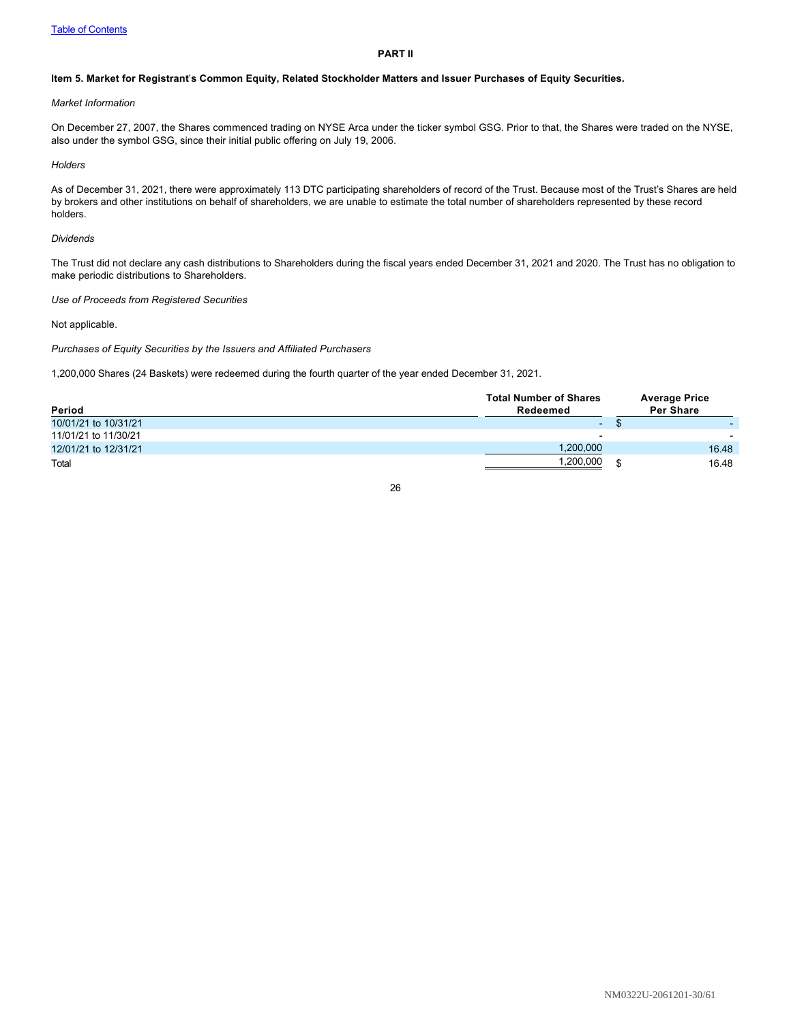# <span id="page-29-0"></span>**PART II**

# <span id="page-29-1"></span>**Item 5. Market for Registrant**'**s Common Equity, Related Stockholder Matters and Issuer Purchases of Equity Securities.**

*Market Information*

On December 27, 2007, the Shares commenced trading on NYSE Arca under the ticker symbol GSG. Prior to that, the Shares were traded on the NYSE, also under the symbol GSG, since their initial public offering on July 19, 2006.

#### *Holders*

As of December 31, 2021, there were approximately 113 DTC participating shareholders of record of the Trust. Because most of the Trust's Shares are held by brokers and other institutions on behalf of shareholders, we are unable to estimate the total number of shareholders represented by these record holders.

#### *Dividends*

The Trust did not declare any cash distributions to Shareholders during the fiscal years ended December 31, 2021 and 2020. The Trust has no obligation to make periodic distributions to Shareholders.

*Use of Proceeds from Registered Securities*

Not applicable.

*Purchases of Equity Securities by the Issuers and Affiliated Purchasers*

1,200,000 Shares (24 Baskets) were redeemed during the fourth quarter of the year ended December 31, 2021.

| Period               | <b>Total Number of Shares</b><br>Redeemed | <b>Average Price</b><br>Per Share |       |  |  |
|----------------------|-------------------------------------------|-----------------------------------|-------|--|--|
| 10/01/21 to 10/31/21 | a.                                        |                                   |       |  |  |
| 11/01/21 to 11/30/21 | $\overline{\phantom{0}}$                  |                                   |       |  |  |
| 12/01/21 to 12/31/21 | 1,200,000                                 |                                   | 16.48 |  |  |
| Total                | 1,200,000                                 |                                   | 16.48 |  |  |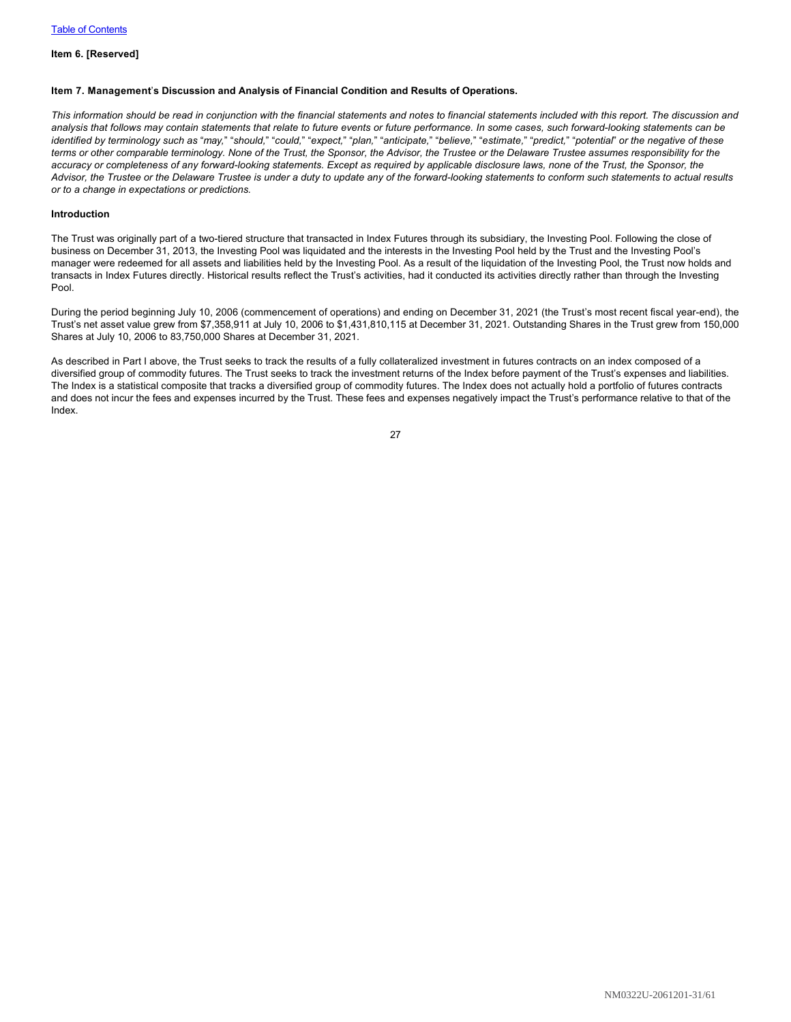# <span id="page-30-0"></span>**Item 6. [Reserved]**

# <span id="page-30-1"></span>**Item 7. Management**'**s Discussion and Analysis of Financial Condition and Results of Operations.**

*This information should be read in conjunction with the financial statements and notes to financial statements included with this report. The discussion and analysis that follows may contain statements that relate to future events or future performance. In some cases, such forward-looking statements can be* identified by terminology such as "may," "should," "could," "expect," "plan," "anticipate," "believe," "estimate," "predict," "potential" or the negative of these *terms or other comparable terminology. None of the Trust, the Sponsor, the Advisor, the Trustee or the Delaware Trustee assumes responsibility for the accuracy or completeness of any forward-looking statements. Except as required by applicable disclosure laws, none of the Trust, the Sponsor, the Advisor, the Trustee or the Delaware Trustee is under a duty to update any of the forward-looking statements to conform such statements to actual results or to a change in expectations or predictions.*

#### **Introduction**

The Trust was originally part of a two-tiered structure that transacted in Index Futures through its subsidiary, the Investing Pool. Following the close of business on December 31, 2013, the Investing Pool was liquidated and the interests in the Investing Pool held by the Trust and the Investing Pool's manager were redeemed for all assets and liabilities held by the Investing Pool. As a result of the liquidation of the Investing Pool, the Trust now holds and transacts in Index Futures directly. Historical results reflect the Trust's activities, had it conducted its activities directly rather than through the Investing Pool.

During the period beginning July 10, 2006 (commencement of operations) and ending on December 31, 2021 (the Trust's most recent fiscal year-end), the Trust's net asset value grew from \$7,358,911 at July 10, 2006 to \$1,431,810,115 at December 31, 2021. Outstanding Shares in the Trust grew from 150,000 Shares at July 10, 2006 to 83,750,000 Shares at December 31, 2021.

As described in Part I above, the Trust seeks to track the results of a fully collateralized investment in futures contracts on an index composed of a diversified group of commodity futures. The Trust seeks to track the investment returns of the Index before payment of the Trust's expenses and liabilities. The Index is a statistical composite that tracks a diversified group of commodity futures. The Index does not actually hold a portfolio of futures contracts and does not incur the fees and expenses incurred by the Trust. These fees and expenses negatively impact the Trust's performance relative to that of the Index.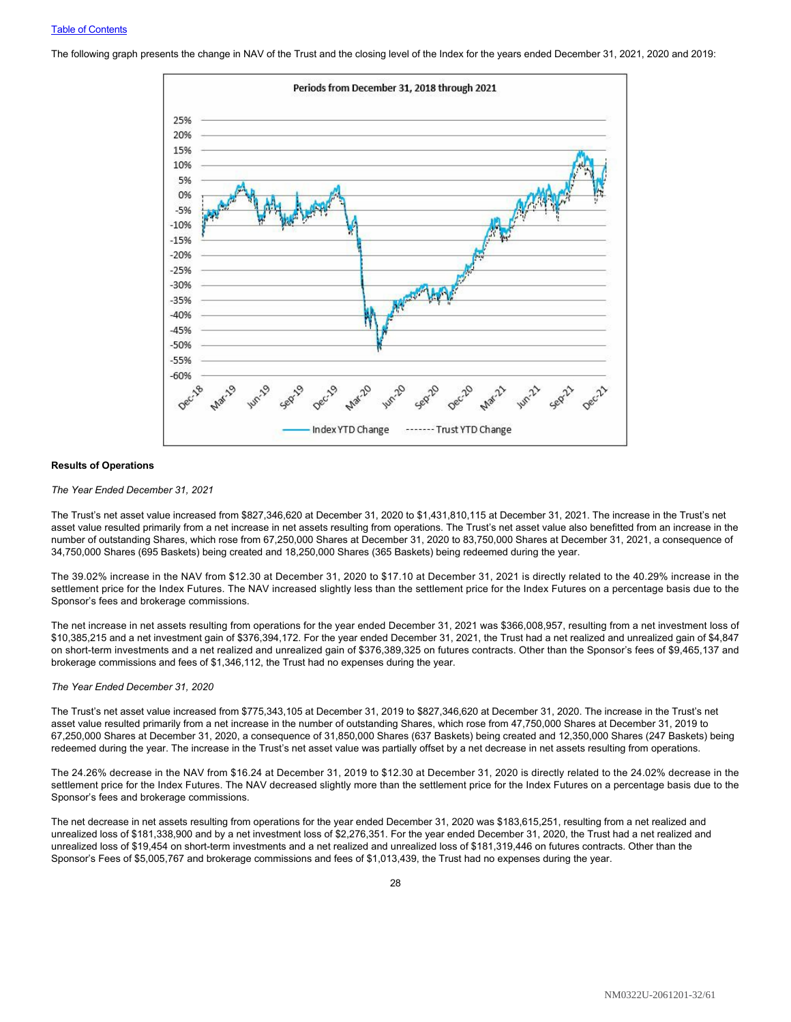# **[Table of Contents](#page-3-0)**

The following graph presents the change in NAV of the Trust and the closing level of the Index for the years ended December 31, 2021, 2020 and 2019:



#### **Results of Operations**

# *The Year Ended December 31, 2021*

The Trust's net asset value increased from \$827,346,620 at December 31, 2020 to \$1,431,810,115 at December 31, 2021. The increase in the Trust's net asset value resulted primarily from a net increase in net assets resulting from operations. The Trust's net asset value also benefitted from an increase in the number of outstanding Shares, which rose from 67,250,000 Shares at December 31, 2020 to 83,750,000 Shares at December 31, 2021, a consequence of 34,750,000 Shares (695 Baskets) being created and 18,250,000 Shares (365 Baskets) being redeemed during the year.

The 39.02% increase in the NAV from \$12.30 at December 31, 2020 to \$17.10 at December 31, 2021 is directly related to the 40.29% increase in the settlement price for the Index Futures. The NAV increased slightly less than the settlement price for the Index Futures on a percentage basis due to the Sponsor's fees and brokerage commissions.

The net increase in net assets resulting from operations for the year ended December 31, 2021 was \$366,008,957, resulting from a net investment loss of \$10,385,215 and a net investment gain of \$376,394,172. For the year ended December 31, 2021, the Trust had a net realized and unrealized gain of \$4,847 on short-term investments and a net realized and unrealized gain of \$376,389,325 on futures contracts. Other than the Sponsor's fees of \$9,465,137 and brokerage commissions and fees of \$1,346,112, the Trust had no expenses during the year.

#### *The Year Ended December 31, 2020*

The Trust's net asset value increased from \$775,343,105 at December 31, 2019 to \$827,346,620 at December 31, 2020. The increase in the Trust's net asset value resulted primarily from a net increase in the number of outstanding Shares, which rose from 47,750,000 Shares at December 31, 2019 to 67,250,000 Shares at December 31, 2020, a consequence of 31,850,000 Shares (637 Baskets) being created and 12,350,000 Shares (247 Baskets) being redeemed during the year. The increase in the Trust's net asset value was partially offset by a net decrease in net assets resulting from operations.

The 24.26% decrease in the NAV from \$16.24 at December 31, 2019 to \$12.30 at December 31, 2020 is directly related to the 24.02% decrease in the settlement price for the Index Futures. The NAV decreased slightly more than the settlement price for the Index Futures on a percentage basis due to the Sponsor's fees and brokerage commissions.

The net decrease in net assets resulting from operations for the year ended December 31, 2020 was \$183,615,251, resulting from a net realized and unrealized loss of \$181,338,900 and by a net investment loss of \$2,276,351. For the year ended December 31, 2020, the Trust had a net realized and unrealized loss of \$19,454 on short-term investments and a net realized and unrealized loss of \$181,319,446 on futures contracts. Other than the Sponsor's Fees of \$5,005,767 and brokerage commissions and fees of \$1,013,439, the Trust had no expenses during the year.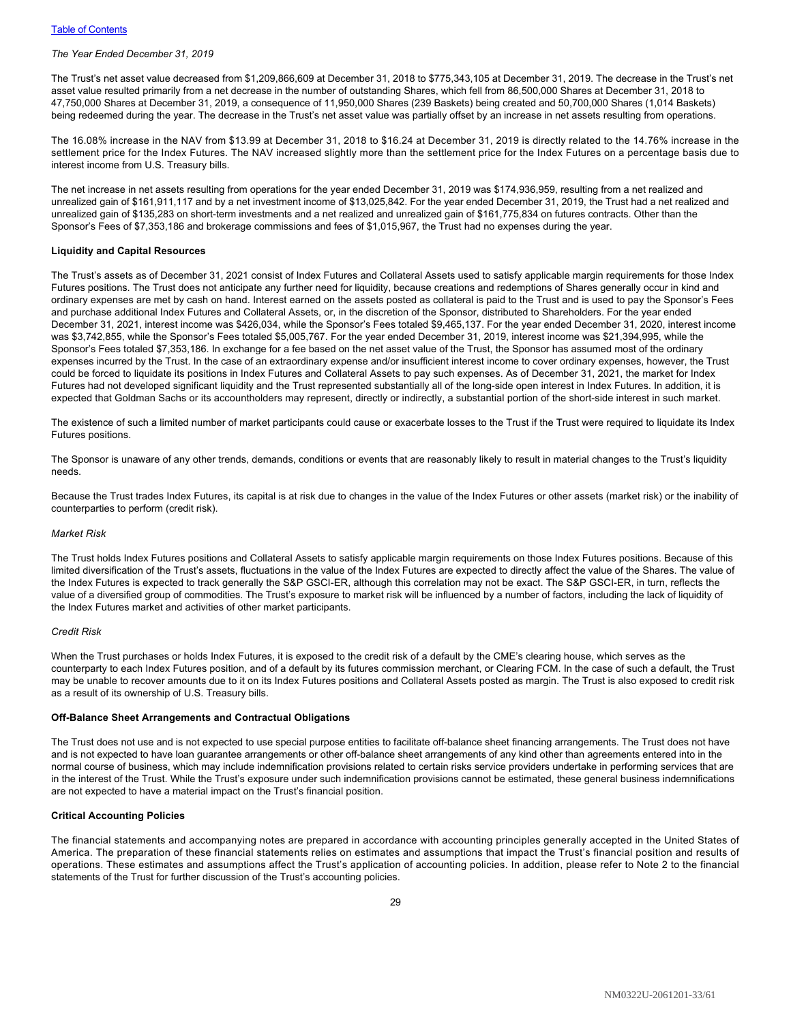# *The Year Ended December 31, 2019*

The Trust's net asset value decreased from \$1,209,866,609 at December 31, 2018 to \$775,343,105 at December 31, 2019. The decrease in the Trust's net asset value resulted primarily from a net decrease in the number of outstanding Shares, which fell from 86,500,000 Shares at December 31, 2018 to 47,750,000 Shares at December 31, 2019, a consequence of 11,950,000 Shares (239 Baskets) being created and 50,700,000 Shares (1,014 Baskets) being redeemed during the year. The decrease in the Trust's net asset value was partially offset by an increase in net assets resulting from operations.

The 16.08% increase in the NAV from \$13.99 at December 31, 2018 to \$16.24 at December 31, 2019 is directly related to the 14.76% increase in the settlement price for the Index Futures. The NAV increased slightly more than the settlement price for the Index Futures on a percentage basis due to interest income from U.S. Treasury bills.

The net increase in net assets resulting from operations for the year ended December 31, 2019 was \$174,936,959, resulting from a net realized and unrealized gain of \$161,911,117 and by a net investment income of \$13,025,842. For the year ended December 31, 2019, the Trust had a net realized and unrealized gain of \$135,283 on short-term investments and a net realized and unrealized gain of \$161,775,834 on futures contracts. Other than the Sponsor's Fees of \$7,353,186 and brokerage commissions and fees of \$1,015,967, the Trust had no expenses during the year.

#### **Liquidity and Capital Resources**

The Trust's assets as of December 31, 2021 consist of Index Futures and Collateral Assets used to satisfy applicable margin requirements for those Index Futures positions. The Trust does not anticipate any further need for liquidity, because creations and redemptions of Shares generally occur in kind and ordinary expenses are met by cash on hand. Interest earned on the assets posted as collateral is paid to the Trust and is used to pay the Sponsor's Fees and purchase additional Index Futures and Collateral Assets, or, in the discretion of the Sponsor, distributed to Shareholders. For the year ended December 31, 2021, interest income was \$426,034, while the Sponsor's Fees totaled \$9,465,137. For the year ended December 31, 2020, interest income was \$3,742,855, while the Sponsor's Fees totaled \$5,005,767. For the year ended December 31, 2019, interest income was \$21,394,995, while the Sponsor's Fees totaled \$7,353,186. In exchange for a fee based on the net asset value of the Trust, the Sponsor has assumed most of the ordinary expenses incurred by the Trust. In the case of an extraordinary expense and/or insufficient interest income to cover ordinary expenses, however, the Trust could be forced to liquidate its positions in Index Futures and Collateral Assets to pay such expenses. As of December 31, 2021, the market for Index Futures had not developed significant liquidity and the Trust represented substantially all of the long-side open interest in Index Futures. In addition, it is expected that Goldman Sachs or its accountholders may represent, directly or indirectly, a substantial portion of the short-side interest in such market.

The existence of such a limited number of market participants could cause or exacerbate losses to the Trust if the Trust were required to liquidate its Index Futures positions.

The Sponsor is unaware of any other trends, demands, conditions or events that are reasonably likely to result in material changes to the Trust's liquidity needs.

Because the Trust trades Index Futures, its capital is at risk due to changes in the value of the Index Futures or other assets (market risk) or the inability of counterparties to perform (credit risk).

#### *Market Risk*

The Trust holds Index Futures positions and Collateral Assets to satisfy applicable margin requirements on those Index Futures positions. Because of this limited diversification of the Trust's assets, fluctuations in the value of the Index Futures are expected to directly affect the value of the Shares. The value of the Index Futures is expected to track generally the S&P GSCI-ER, although this correlation may not be exact. The S&P GSCI-ER, in turn, reflects the value of a diversified group of commodities. The Trust's exposure to market risk will be influenced by a number of factors, including the lack of liquidity of the Index Futures market and activities of other market participants.

# *Credit Risk*

When the Trust purchases or holds Index Futures, it is exposed to the credit risk of a default by the CME's clearing house, which serves as the counterparty to each Index Futures position, and of a default by its futures commission merchant, or Clearing FCM. In the case of such a default, the Trust may be unable to recover amounts due to it on its Index Futures positions and Collateral Assets posted as margin. The Trust is also exposed to credit risk as a result of its ownership of U.S. Treasury bills.

#### **Off-Balance Sheet Arrangements and Contractual Obligations**

The Trust does not use and is not expected to use special purpose entities to facilitate off-balance sheet financing arrangements. The Trust does not have and is not expected to have loan guarantee arrangements or other off-balance sheet arrangements of any kind other than agreements entered into in the normal course of business, which may include indemnification provisions related to certain risks service providers undertake in performing services that are in the interest of the Trust. While the Trust's exposure under such indemnification provisions cannot be estimated, these general business indemnifications are not expected to have a material impact on the Trust's financial position.

#### **Critical Accounting Policies**

The financial statements and accompanying notes are prepared in accordance with accounting principles generally accepted in the United States of America. The preparation of these financial statements relies on estimates and assumptions that impact the Trust's financial position and results of operations. These estimates and assumptions affect the Trust's application of accounting policies. In addition, please refer to Note 2 to the financial statements of the Trust for further discussion of the Trust's accounting policies.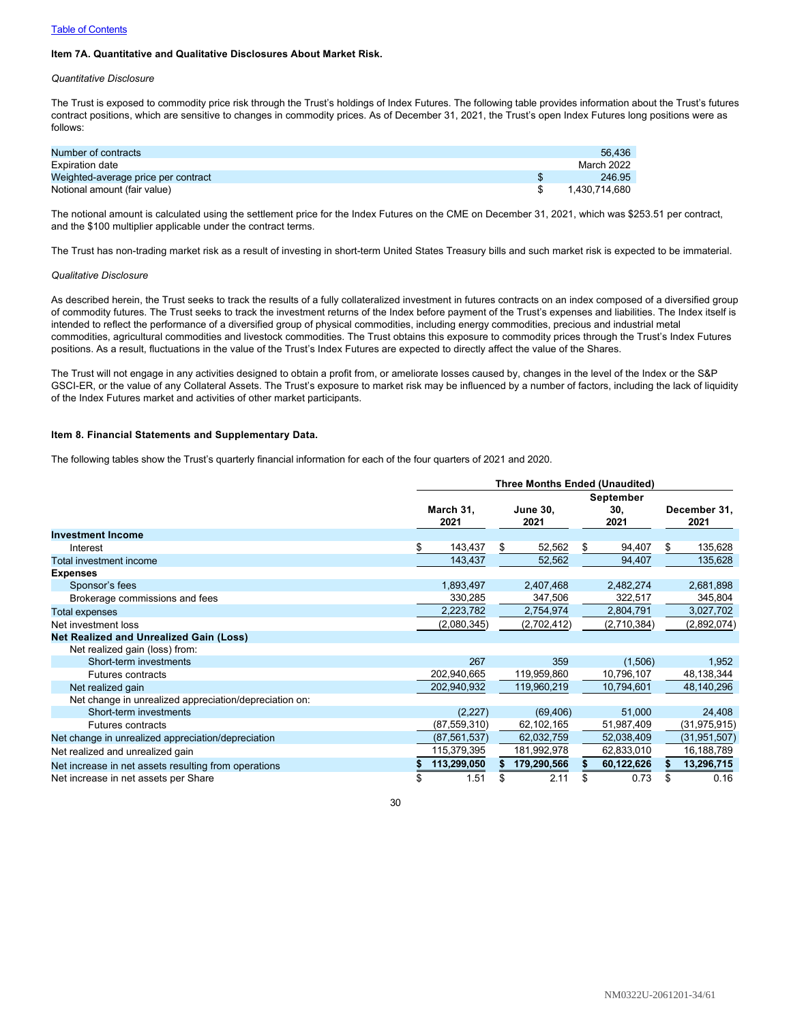# <span id="page-33-0"></span>**Item 7A. Quantitative and Qualitative Disclosures About Market Risk.**

# *Quantitative Disclosure*

The Trust is exposed to commodity price risk through the Trust's holdings of Index Futures. The following table provides information about the Trust's futures contract positions, which are sensitive to changes in commodity prices. As of December 31, 2021, the Trust's open Index Futures long positions were as follows:

| Number of contracts                 | 56.436        |
|-------------------------------------|---------------|
| Expiration date                     | March 2022    |
| Weighted-average price per contract | 246.95        |
| Notional amount (fair value)        | 1.430.714.680 |

The notional amount is calculated using the settlement price for the Index Futures on the CME on December 31, 2021, which was \$253.51 per contract, and the \$100 multiplier applicable under the contract terms.

The Trust has non-trading market risk as a result of investing in short-term United States Treasury bills and such market risk is expected to be immaterial.

# *Qualitative Disclosure*

As described herein, the Trust seeks to track the results of a fully collateralized investment in futures contracts on an index composed of a diversified group of commodity futures. The Trust seeks to track the investment returns of the Index before payment of the Trust's expenses and liabilities. The Index itself is intended to reflect the performance of a diversified group of physical commodities, including energy commodities, precious and industrial metal commodities, agricultural commodities and livestock commodities. The Trust obtains this exposure to commodity prices through the Trust's Index Futures positions. As a result, fluctuations in the value of the Trust's Index Futures are expected to directly affect the value of the Shares.

The Trust will not engage in any activities designed to obtain a profit from, or ameliorate losses caused by, changes in the level of the Index or the S&P GSCI-ER, or the value of any Collateral Assets. The Trust's exposure to market risk may be influenced by a number of factors, including the lack of liquidity of the Index Futures market and activities of other market participants.

#### <span id="page-33-1"></span>**Item 8. Financial Statements and Supplementary Data.**

The following tables show the Trust's quarterly financial information for each of the four quarters of 2021 and 2020.

|                                                        | <b>Three Months Ended (Unaudited)</b> |                   |    |                         |    |             |    |                |  |                          |  |                      |
|--------------------------------------------------------|---------------------------------------|-------------------|----|-------------------------|----|-------------|----|----------------|--|--------------------------|--|----------------------|
|                                                        |                                       | March 31,<br>2021 |    | <b>June 30,</b><br>2021 |    |             |    |                |  | September<br>30,<br>2021 |  | December 31,<br>2021 |
| <b>Investment Income</b>                               |                                       |                   |    |                         |    |             |    |                |  |                          |  |                      |
| Interest                                               | \$                                    | 143,437           | \$ | 52,562                  | \$ | 94,407      | \$ | 135,628        |  |                          |  |                      |
| Total investment income                                |                                       | 143,437           |    | 52,562                  |    | 94,407      |    | 135,628        |  |                          |  |                      |
| <b>Expenses</b>                                        |                                       |                   |    |                         |    |             |    |                |  |                          |  |                      |
| Sponsor's fees                                         |                                       | 1,893,497         |    | 2,407,468               |    | 2,482,274   |    | 2,681,898      |  |                          |  |                      |
| Brokerage commissions and fees                         |                                       | 330,285           |    | 347,506                 |    | 322,517     |    | 345,804        |  |                          |  |                      |
| Total expenses                                         |                                       | 2,223,782         |    | 2,754,974               |    | 2,804,791   |    | 3,027,702      |  |                          |  |                      |
| Net investment loss                                    |                                       | (2,080,345)       |    | (2,702,412)             |    | (2,710,384) |    | (2,892,074)    |  |                          |  |                      |
| Net Realized and Unrealized Gain (Loss)                |                                       |                   |    |                         |    |             |    |                |  |                          |  |                      |
| Net realized gain (loss) from:                         |                                       |                   |    |                         |    |             |    |                |  |                          |  |                      |
| Short-term investments                                 |                                       | 267               |    | 359                     |    | (1,506)     |    | 1,952          |  |                          |  |                      |
| <b>Futures contracts</b>                               |                                       | 202,940,665       |    | 119,959,860             |    | 10,796,107  |    | 48,138,344     |  |                          |  |                      |
| Net realized gain                                      |                                       | 202,940,932       |    | 119,960,219             |    | 10,794,601  |    | 48,140,296     |  |                          |  |                      |
| Net change in unrealized appreciation/depreciation on: |                                       |                   |    |                         |    |             |    |                |  |                          |  |                      |
| Short-term investments                                 |                                       | (2,227)           |    | (69, 406)               |    | 51,000      |    | 24,408         |  |                          |  |                      |
| <b>Futures contracts</b>                               |                                       | (87, 559, 310)    |    | 62,102,165              |    | 51,987,409  |    | (31, 975, 915) |  |                          |  |                      |
| Net change in unrealized appreciation/depreciation     |                                       | (87, 561, 537)    |    | 62,032,759              |    | 52,038,409  |    | (31, 951, 507) |  |                          |  |                      |
| Net realized and unrealized gain                       |                                       | 115,379,395       |    | 181,992,978             |    | 62,833,010  |    | 16,188,789     |  |                          |  |                      |
| Net increase in net assets resulting from operations   |                                       | 113,299,050       |    | 179,290,566             |    | 60,122,626  |    | 13,296,715     |  |                          |  |                      |
| Net increase in net assets per Share                   | \$                                    | 1.51              | \$ | 2.11                    | \$ | 0.73        | \$ | 0.16           |  |                          |  |                      |

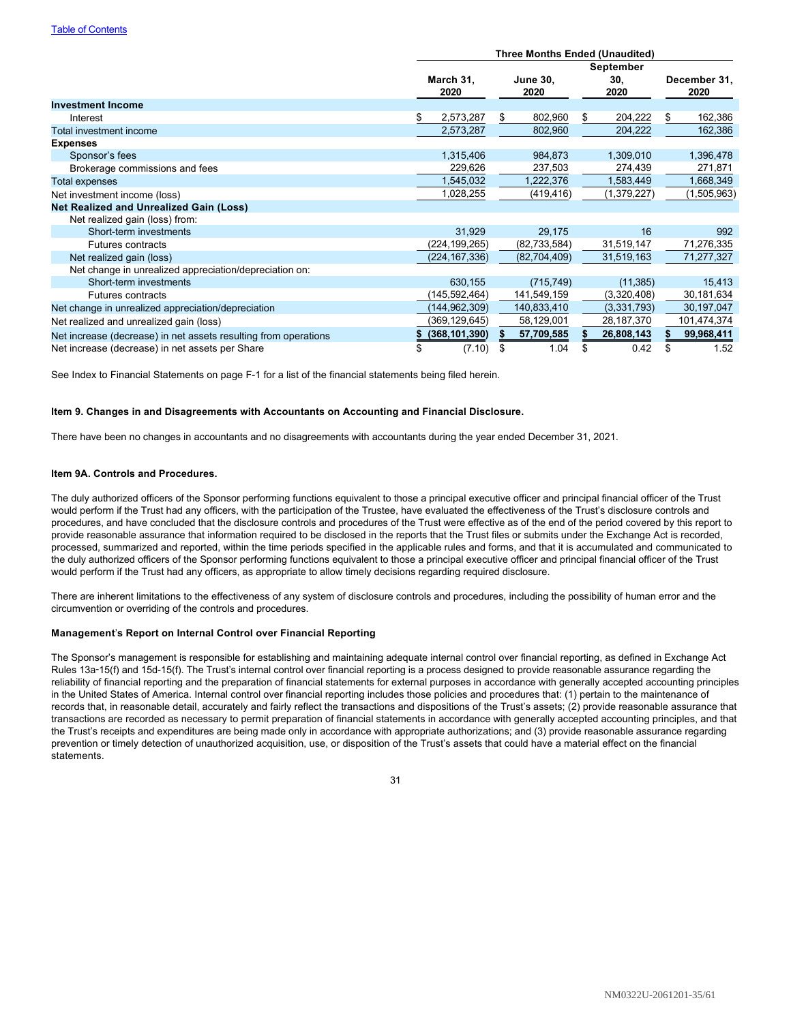|                                                                 | <b>Three Months Ended (Unaudited)</b> |                   |     |                         |    |             |   |                      |  |
|-----------------------------------------------------------------|---------------------------------------|-------------------|-----|-------------------------|----|-------------|---|----------------------|--|
|                                                                 | September                             |                   |     |                         |    |             |   |                      |  |
|                                                                 |                                       | March 31,<br>2020 |     | <b>June 30,</b><br>2020 |    | 30.<br>2020 |   | December 31,<br>2020 |  |
| <b>Investment Income</b>                                        |                                       |                   |     |                         |    |             |   |                      |  |
| Interest                                                        | S                                     | 2,573,287         | \$. | 802,960                 | \$ | 204,222     | S | 162,386              |  |
| Total investment income                                         |                                       | 2,573,287         |     | 802,960                 |    | 204,222     |   | 162,386              |  |
| <b>Expenses</b>                                                 |                                       |                   |     |                         |    |             |   |                      |  |
| Sponsor's fees                                                  |                                       | 1,315,406         |     | 984,873                 |    | 1,309,010   |   | 1,396,478            |  |
| Brokerage commissions and fees                                  |                                       | 229,626           |     | 237,503                 |    | 274,439     |   | 271,871              |  |
| Total expenses                                                  |                                       | 1,545,032         |     | 1,222,376               |    | 1,583,449   |   | 1,668,349            |  |
| Net investment income (loss)                                    |                                       | 1,028,255         |     | (419, 416)              |    | (1,379,227) |   | (1,505,963)          |  |
| <b>Net Realized and Unrealized Gain (Loss)</b>                  |                                       |                   |     |                         |    |             |   |                      |  |
| Net realized gain (loss) from:                                  |                                       |                   |     |                         |    |             |   |                      |  |
| Short-term investments                                          |                                       | 31.929            |     | 29,175                  |    | 16          |   | 992                  |  |
| <b>Futures contracts</b>                                        |                                       | (224,199,265)     |     | (82, 733, 584)          |    | 31,519,147  |   | 71,276,335           |  |
| Net realized gain (loss)                                        |                                       | (224,167,336)     |     | (82, 704, 409)          |    | 31,519,163  |   | 71,277,327           |  |
| Net change in unrealized appreciation/depreciation on:          |                                       |                   |     |                         |    |             |   |                      |  |
| Short-term investments                                          |                                       | 630,155           |     | (715, 749)              |    | (11, 385)   |   | 15,413               |  |
| <b>Futures contracts</b>                                        |                                       | (145,592,464)     |     | 141,549,159             |    | (3,320,408) |   | 30,181,634           |  |
| Net change in unrealized appreciation/depreciation              |                                       | (144,962,309)     |     | 140,833,410             |    | (3,331,793) |   | 30,197,047           |  |
| Net realized and unrealized gain (loss)                         |                                       | (369,129,645)     |     | 58,129,001              |    | 28,187,370  |   | 101,474,374          |  |
| Net increase (decrease) in net assets resulting from operations |                                       | (368, 101, 390)   |     | 57,709,585              |    | 26,808,143  |   | 99,968,411           |  |
| Net increase (decrease) in net assets per Share                 |                                       | (7.10)            | \$  | 1.04                    |    | 0.42        |   | 1.52                 |  |

See Index to Financial Statements on page F-1 for a list of the financial statements being filed herein.

# <span id="page-34-0"></span>**Item 9. Changes in and Disagreements with Accountants on Accounting and Financial Disclosure.**

There have been no changes in accountants and no disagreements with accountants during the year ended December 31, 2021.

# <span id="page-34-1"></span>**Item 9A. Controls and Procedures.**

The duly authorized officers of the Sponsor performing functions equivalent to those a principal executive officer and principal financial officer of the Trust would perform if the Trust had any officers, with the participation of the Trustee, have evaluated the effectiveness of the Trust's disclosure controls and procedures, and have concluded that the disclosure controls and procedures of the Trust were effective as of the end of the period covered by this report to provide reasonable assurance that information required to be disclosed in the reports that the Trust files or submits under the Exchange Act is recorded, processed, summarized and reported, within the time periods specified in the applicable rules and forms, and that it is accumulated and communicated to the duly authorized officers of the Sponsor performing functions equivalent to those a principal executive officer and principal financial officer of the Trust would perform if the Trust had any officers, as appropriate to allow timely decisions regarding required disclosure.

There are inherent limitations to the effectiveness of any system of disclosure controls and procedures, including the possibility of human error and the circumvention or overriding of the controls and procedures.

# **Management**'**s Report on Internal Control over Financial Reporting**

The Sponsor's management is responsible for establishing and maintaining adequate internal control over financial reporting, as defined in Exchange Act Rules 13a‑15(f) and 15d-15(f). The Trust's internal control over financial reporting is a process designed to provide reasonable assurance regarding the reliability of financial reporting and the preparation of financial statements for external purposes in accordance with generally accepted accounting principles in the United States of America. Internal control over financial reporting includes those policies and procedures that: (1) pertain to the maintenance of records that, in reasonable detail, accurately and fairly reflect the transactions and dispositions of the Trust's assets; (2) provide reasonable assurance that transactions are recorded as necessary to permit preparation of financial statements in accordance with generally accepted accounting principles, and that the Trust's receipts and expenditures are being made only in accordance with appropriate authorizations; and (3) provide reasonable assurance regarding prevention or timely detection of unauthorized acquisition, use, or disposition of the Trust's assets that could have a material effect on the financial statements.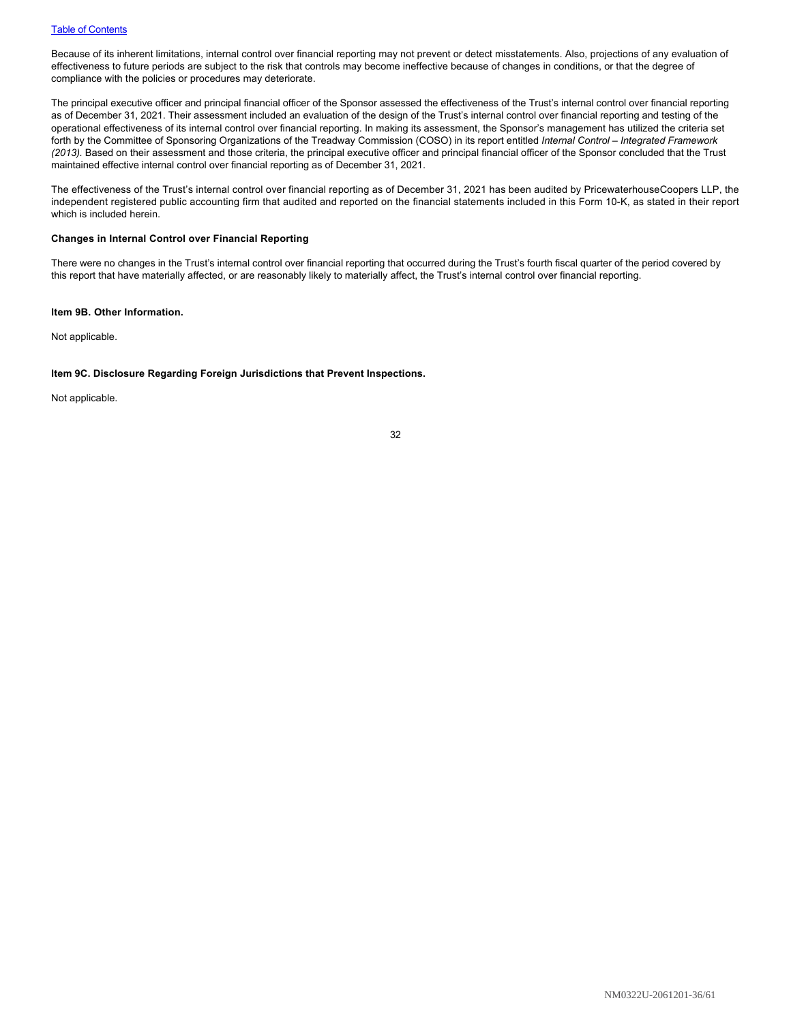Because of its inherent limitations, internal control over financial reporting may not prevent or detect misstatements. Also, projections of any evaluation of effectiveness to future periods are subject to the risk that controls may become ineffective because of changes in conditions, or that the degree of compliance with the policies or procedures may deteriorate.

The principal executive officer and principal financial officer of the Sponsor assessed the effectiveness of the Trust's internal control over financial reporting as of December 31, 2021. Their assessment included an evaluation of the design of the Trust's internal control over financial reporting and testing of the operational effectiveness of its internal control over financial reporting. In making its assessment, the Sponsor's management has utilized the criteria set forth by the Committee of Sponsoring Organizations of the Treadway Commission (COSO) in its report entitled *Internal Control* – *Integrated Framework (2013).* Based on their assessment and those criteria, the principal executive officer and principal financial officer of the Sponsor concluded that the Trust maintained effective internal control over financial reporting as of December 31, 2021.

The effectiveness of the Trust's internal control over financial reporting as of December 31, 2021 has been audited by PricewaterhouseCoopers LLP, the independent registered public accounting firm that audited and reported on the financial statements included in this Form 10-K, as stated in their report which is included herein.

# **Changes in Internal Control over Financial Reporting**

There were no changes in the Trust's internal control over financial reporting that occurred during the Trust's fourth fiscal quarter of the period covered by this report that have materially affected, or are reasonably likely to materially affect, the Trust's internal control over financial reporting.

#### <span id="page-35-0"></span>**Item 9B. Other Information.**

Not applicable.

#### <span id="page-35-1"></span>**Item 9C. Disclosure Regarding Foreign Jurisdictions that Prevent Inspections.**

Not applicable.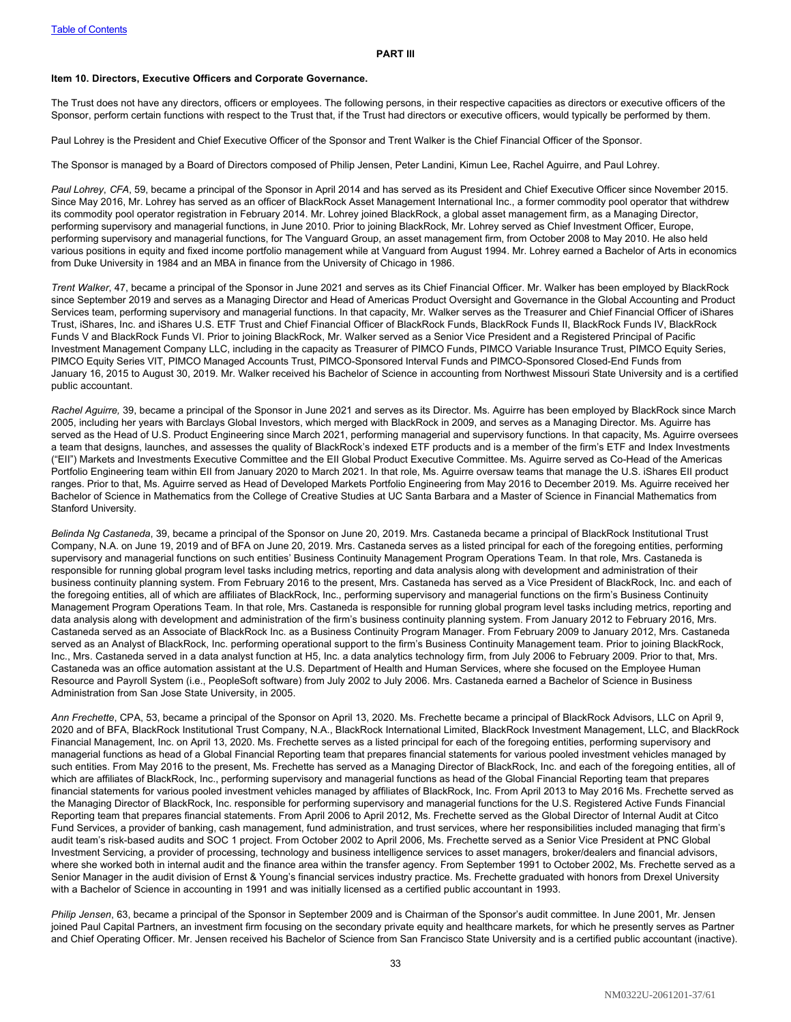# <span id="page-36-1"></span><span id="page-36-0"></span>**Item 10. Directors, Executive Officers and Corporate Governance.**

The Trust does not have any directors, officers or employees. The following persons, in their respective capacities as directors or executive officers of the Sponsor, perform certain functions with respect to the Trust that, if the Trust had directors or executive officers, would typically be performed by them.

Paul Lohrey is the President and Chief Executive Officer of the Sponsor and Trent Walker is the Chief Financial Officer of the Sponsor.

The Sponsor is managed by a Board of Directors composed of Philip Jensen, Peter Landini, Kimun Lee, Rachel Aguirre, and Paul Lohrey.

*Paul Lohrey*, *CFA*, 59, became a principal of the Sponsor in April 2014 and has served as its President and Chief Executive Officer since November 2015. Since May 2016, Mr. Lohrey has served as an officer of BlackRock Asset Management International Inc., a former commodity pool operator that withdrew its commodity pool operator registration in February 2014. Mr. Lohrey joined BlackRock, a global asset management firm, as a Managing Director, performing supervisory and managerial functions, in June 2010. Prior to joining BlackRock, Mr. Lohrey served as Chief Investment Officer, Europe, performing supervisory and managerial functions, for The Vanguard Group, an asset management firm, from October 2008 to May 2010. He also held various positions in equity and fixed income portfolio management while at Vanguard from August 1994. Mr. Lohrey earned a Bachelor of Arts in economics from Duke University in 1984 and an MBA in finance from the University of Chicago in 1986.

*Trent Walker*, 47, became a principal of the Sponsor in June 2021 and serves as its Chief Financial Officer. Mr. Walker has been employed by BlackRock since September 2019 and serves as a Managing Director and Head of Americas Product Oversight and Governance in the Global Accounting and Product Services team, performing supervisory and managerial functions. In that capacity, Mr. Walker serves as the Treasurer and Chief Financial Officer of iShares Trust, iShares, Inc. and iShares U.S. ETF Trust and Chief Financial Officer of BlackRock Funds, BlackRock Funds II, BlackRock Funds IV, BlackRock Funds V and BlackRock Funds VI. Prior to joining BlackRock, Mr. Walker served as a Senior Vice President and a Registered Principal of Pacific Investment Management Company LLC, including in the capacity as Treasurer of PIMCO Funds, PIMCO Variable Insurance Trust, PIMCO Equity Series, PIMCO Equity Series VIT, PIMCO Managed Accounts Trust, PIMCO-Sponsored Interval Funds and PIMCO-Sponsored Closed-End Funds from January 16, 2015 to August 30, 2019. Mr. Walker received his Bachelor of Science in accounting from Northwest Missouri State University and is a certified public accountant.

*Rachel Aguirre,* 39, became a principal of the Sponsor in June 2021 and serves as its Director. Ms. Aguirre has been employed by BlackRock since March 2005, including her years with Barclays Global Investors, which merged with BlackRock in 2009, and serves as a Managing Director. Ms. Aguirre has served as the Head of U.S. Product Engineering since March 2021, performing managerial and supervisory functions. In that capacity, Ms. Aguirre oversees a team that designs, launches, and assesses the quality of BlackRock's indexed ETF products and is a member of the firm's ETF and Index Investments ("EII") Markets and Investments Executive Committee and the EII Global Product Executive Committee. Ms. Aguirre served as Co-Head of the Americas Portfolio Engineering team within EII from January 2020 to March 2021. In that role, Ms. Aguirre oversaw teams that manage the U.S. iShares EII product ranges. Prior to that, Ms. Aguirre served as Head of Developed Markets Portfolio Engineering from May 2016 to December 2019*.* Ms. Aguirre received her Bachelor of Science in Mathematics from the College of Creative Studies at UC Santa Barbara and a Master of Science in Financial Mathematics from Stanford University.

*Belinda Ng Castaneda*, 39, became a principal of the Sponsor on June 20, 2019. Mrs. Castaneda became a principal of BlackRock Institutional Trust Company, N.A. on June 19, 2019 and of BFA on June 20, 2019. Mrs. Castaneda serves as a listed principal for each of the foregoing entities, performing supervisory and managerial functions on such entities' Business Continuity Management Program Operations Team. In that role, Mrs. Castaneda is responsible for running global program level tasks including metrics, reporting and data analysis along with development and administration of their business continuity planning system. From February 2016 to the present, Mrs. Castaneda has served as a Vice President of BlackRock, Inc. and each of the foregoing entities, all of which are affiliates of BlackRock, Inc., performing supervisory and managerial functions on the firm's Business Continuity Management Program Operations Team. In that role, Mrs. Castaneda is responsible for running global program level tasks including metrics, reporting and data analysis along with development and administration of the firm's business continuity planning system. From January 2012 to February 2016, Mrs. Castaneda served as an Associate of BlackRock Inc. as a Business Continuity Program Manager. From February 2009 to January 2012, Mrs. Castaneda served as an Analyst of BlackRock, Inc. performing operational support to the firm's Business Continuity Management team. Prior to joining BlackRock, Inc., Mrs. Castaneda served in a data analyst function at H5, Inc. a data analytics technology firm, from July 2006 to February 2009. Prior to that, Mrs. Castaneda was an office automation assistant at the U.S. Department of Health and Human Services, where she focused on the Employee Human Resource and Payroll System (i.e., PeopleSoft software) from July 2002 to July 2006. Mrs. Castaneda earned a Bachelor of Science in Business Administration from San Jose State University, in 2005.

*Ann Frechette*, CPA, 53, became a principal of the Sponsor on April 13, 2020. Ms. Frechette became a principal of BlackRock Advisors, LLC on April 9, 2020 and of BFA, BlackRock Institutional Trust Company, N.A., BlackRock International Limited, BlackRock Investment Management, LLC, and BlackRock Financial Management, Inc. on April 13, 2020. Ms. Frechette serves as a listed principal for each of the foregoing entities, performing supervisory and managerial functions as head of a Global Financial Reporting team that prepares financial statements for various pooled investment vehicles managed by such entities. From May 2016 to the present, Ms. Frechette has served as a Managing Director of BlackRock, Inc. and each of the foregoing entities, all of which are affiliates of BlackRock, Inc., performing supervisory and managerial functions as head of the Global Financial Reporting team that prepares financial statements for various pooled investment vehicles managed by affiliates of BlackRock, Inc. From April 2013 to May 2016 Ms. Frechette served as the Managing Director of BlackRock, Inc. responsible for performing supervisory and managerial functions for the U.S. Registered Active Funds Financial Reporting team that prepares financial statements. From April 2006 to April 2012, Ms. Frechette served as the Global Director of Internal Audit at Citco Fund Services, a provider of banking, cash management, fund administration, and trust services, where her responsibilities included managing that firm's audit team's risk-based audits and SOC 1 project. From October 2002 to April 2006, Ms. Frechette served as a Senior Vice President at PNC Global Investment Servicing, a provider of processing, technology and business intelligence services to asset managers, broker/dealers and financial advisors, where she worked both in internal audit and the finance area within the transfer agency. From September 1991 to October 2002, Ms. Frechette served as a Senior Manager in the audit division of Ernst & Young's financial services industry practice. Ms. Frechette graduated with honors from Drexel University with a Bachelor of Science in accounting in 1991 and was initially licensed as a certified public accountant in 1993.

*Philip Jensen*, 63, became a principal of the Sponsor in September 2009 and is Chairman of the Sponsor's audit committee. In June 2001, Mr. Jensen joined Paul Capital Partners, an investment firm focusing on the secondary private equity and healthcare markets, for which he presently serves as Partner and Chief Operating Officer. Mr. Jensen received his Bachelor of Science from San Francisco State University and is a certified public accountant (inactive).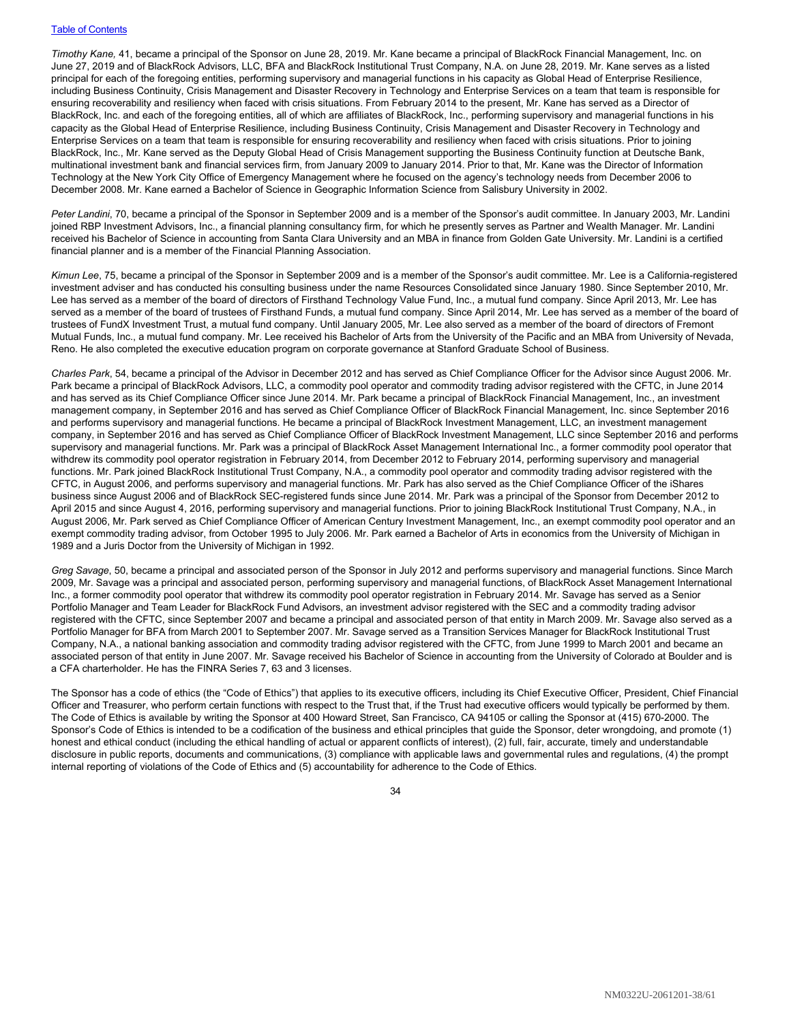*Timothy Kane,* 41, became a principal of the Sponsor on June 28, 2019. Mr. Kane became a principal of BlackRock Financial Management, Inc. on June 27, 2019 and of BlackRock Advisors, LLC, BFA and BlackRock Institutional Trust Company, N.A. on June 28, 2019. Mr. Kane serves as a listed principal for each of the foregoing entities, performing supervisory and managerial functions in his capacity as Global Head of Enterprise Resilience, including Business Continuity, Crisis Management and Disaster Recovery in Technology and Enterprise Services on a team that team is responsible for ensuring recoverability and resiliency when faced with crisis situations. From February 2014 to the present, Mr. Kane has served as a Director of BlackRock, Inc. and each of the foregoing entities, all of which are affiliates of BlackRock, Inc., performing supervisory and managerial functions in his capacity as the Global Head of Enterprise Resilience, including Business Continuity, Crisis Management and Disaster Recovery in Technology and Enterprise Services on a team that team is responsible for ensuring recoverability and resiliency when faced with crisis situations. Prior to joining BlackRock, Inc., Mr. Kane served as the Deputy Global Head of Crisis Management supporting the Business Continuity function at Deutsche Bank, multinational investment bank and financial services firm, from January 2009 to January 2014. Prior to that, Mr. Kane was the Director of Information Technology at the New York City Office of Emergency Management where he focused on the agency's technology needs from December 2006 to December 2008. Mr. Kane earned a Bachelor of Science in Geographic Information Science from Salisbury University in 2002.

*Peter Landini*, 70, became a principal of the Sponsor in September 2009 and is a member of the Sponsor's audit committee. In January 2003, Mr. Landini joined RBP Investment Advisors, Inc., a financial planning consultancy firm, for which he presently serves as Partner and Wealth Manager. Mr. Landini received his Bachelor of Science in accounting from Santa Clara University and an MBA in finance from Golden Gate University. Mr. Landini is a certified financial planner and is a member of the Financial Planning Association.

*Kimun Lee*, 75, became a principal of the Sponsor in September 2009 and is a member of the Sponsor's audit committee. Mr. Lee is a California-registered investment adviser and has conducted his consulting business under the name Resources Consolidated since January 1980. Since September 2010, Mr. Lee has served as a member of the board of directors of Firsthand Technology Value Fund, Inc., a mutual fund company. Since April 2013, Mr. Lee has served as a member of the board of trustees of Firsthand Funds, a mutual fund company. Since April 2014, Mr. Lee has served as a member of the board of trustees of FundX Investment Trust, a mutual fund company. Until January 2005, Mr. Lee also served as a member of the board of directors of Fremont Mutual Funds, Inc., a mutual fund company. Mr. Lee received his Bachelor of Arts from the University of the Pacific and an MBA from University of Nevada, Reno. He also completed the executive education program on corporate governance at Stanford Graduate School of Business.

*Charles Park*, 54, became a principal of the Advisor in December 2012 and has served as Chief Compliance Officer for the Advisor since August 2006. Mr. Park became a principal of BlackRock Advisors, LLC, a commodity pool operator and commodity trading advisor registered with the CFTC, in June 2014 and has served as its Chief Compliance Officer since June 2014. Mr. Park became a principal of BlackRock Financial Management, Inc., an investment management company, in September 2016 and has served as Chief Compliance Officer of BlackRock Financial Management, Inc. since September 2016 and performs supervisory and managerial functions. He became a principal of BlackRock Investment Management, LLC, an investment management company, in September 2016 and has served as Chief Compliance Officer of BlackRock Investment Management, LLC since September 2016 and performs supervisory and managerial functions. Mr. Park was a principal of BlackRock Asset Management International Inc., a former commodity pool operator that withdrew its commodity pool operator registration in February 2014, from December 2012 to February 2014, performing supervisory and managerial functions. Mr. Park joined BlackRock Institutional Trust Company, N.A., a commodity pool operator and commodity trading advisor registered with the CFTC, in August 2006, and performs supervisory and managerial functions. Mr. Park has also served as the Chief Compliance Officer of the iShares business since August 2006 and of BlackRock SEC-registered funds since June 2014. Mr. Park was a principal of the Sponsor from December 2012 to April 2015 and since August 4, 2016, performing supervisory and managerial functions. Prior to joining BlackRock Institutional Trust Company, N.A., in August 2006, Mr. Park served as Chief Compliance Officer of American Century Investment Management, Inc., an exempt commodity pool operator and an exempt commodity trading advisor, from October 1995 to July 2006. Mr. Park earned a Bachelor of Arts in economics from the University of Michigan in 1989 and a Juris Doctor from the University of Michigan in 1992.

*Greg Savage*, 50, became a principal and associated person of the Sponsor in July 2012 and performs supervisory and managerial functions. Since March 2009, Mr. Savage was a principal and associated person, performing supervisory and managerial functions, of BlackRock Asset Management International Inc., a former commodity pool operator that withdrew its commodity pool operator registration in February 2014. Mr. Savage has served as a Senior Portfolio Manager and Team Leader for BlackRock Fund Advisors, an investment advisor registered with the SEC and a commodity trading advisor registered with the CFTC, since September 2007 and became a principal and associated person of that entity in March 2009. Mr. Savage also served as a Portfolio Manager for BFA from March 2001 to September 2007. Mr. Savage served as a Transition Services Manager for BlackRock Institutional Trust Company, N.A., a national banking association and commodity trading advisor registered with the CFTC, from June 1999 to March 2001 and became an associated person of that entity in June 2007. Mr. Savage received his Bachelor of Science in accounting from the University of Colorado at Boulder and is a CFA charterholder. He has the FINRA Series 7, 63 and 3 licenses.

The Sponsor has a code of ethics (the "Code of Ethics") that applies to its executive officers, including its Chief Executive Officer, President, Chief Financial Officer and Treasurer, who perform certain functions with respect to the Trust that, if the Trust had executive officers would typically be performed by them. The Code of Ethics is available by writing the Sponsor at 400 Howard Street, San Francisco, CA 94105 or calling the Sponsor at (415) 670-2000. The Sponsor's Code of Ethics is intended to be a codification of the business and ethical principles that guide the Sponsor, deter wrongdoing, and promote (1) honest and ethical conduct (including the ethical handling of actual or apparent conflicts of interest), (2) full, fair, accurate, timely and understandable disclosure in public reports, documents and communications, (3) compliance with applicable laws and governmental rules and regulations, (4) the prompt internal reporting of violations of the Code of Ethics and (5) accountability for adherence to the Code of Ethics.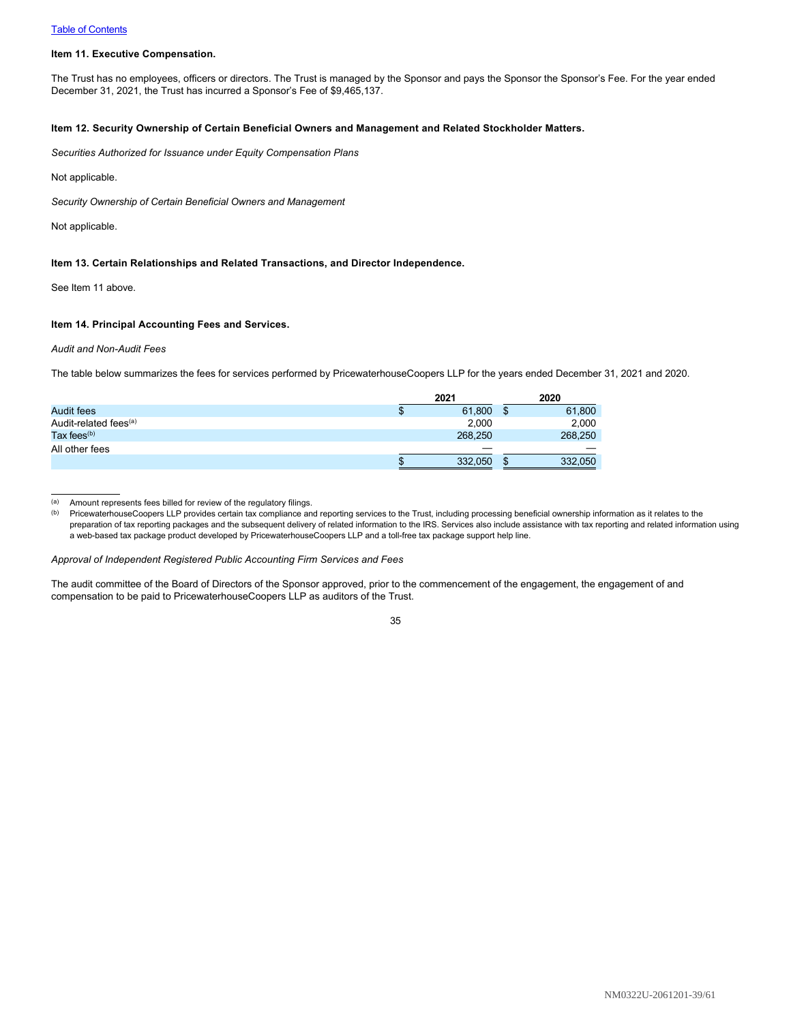# <span id="page-38-0"></span>**Item 11. Executive Compensation.**

The Trust has no employees, officers or directors. The Trust is managed by the Sponsor and pays the Sponsor the Sponsor's Fee. For the year ended December 31, 2021, the Trust has incurred a Sponsor's Fee of \$9,465,137.

#### <span id="page-38-1"></span>**Item 12. Security Ownership of Certain Beneficial Owners and Management and Related Stockholder Matters.**

*Securities Authorized for Issuance under Equity Compensation Plans*

Not applicable.

*Security Ownership of Certain Beneficial Owners and Management*

Not applicable.

#### <span id="page-38-2"></span>**Item 13. Certain Relationships and Related Transactions, and Director Independence.**

See Item 11 above.

#### <span id="page-38-3"></span>**Item 14. Principal Accounting Fees and Services.**

#### *Audit and Non-Audit Fees*

The table below summarizes the fees for services performed by PricewaterhouseCoopers LLP for the years ended December 31, 2021 and 2020.

|                                                 |    | 2021    |   | 2020    |
|-------------------------------------------------|----|---------|---|---------|
| Audit fees                                      | ۰D | 61,800  | S | 61,800  |
| Audit-related fees <sup>(a)</sup>               |    | 2,000   |   | 2,000   |
| $\mathsf{T}$ ax fees ${}^{\textrm{\tiny{(b)}}}$ |    | 268,250 |   | 268,250 |
| All other fees                                  |    |         |   |         |
|                                                 |    | 332.050 |   | 332,050 |

<sup>(</sup>a) Amount represents fees billed for review of the regulatory filings.<br>(b) PricewaterhouseCoopers LLP provides certain tax compliance and

# *Approval of Independent Registered Public Accounting Firm Services and Fees*

The audit committee of the Board of Directors of the Sponsor approved, prior to the commencement of the engagement, the engagement of and compensation to be paid to PricewaterhouseCoopers LLP as auditors of the Trust.

PricewaterhouseCoopers LLP provides certain tax compliance and reporting services to the Trust, including processing beneficial ownership information as it relates to the preparation of tax reporting packages and the subsequent delivery of related information to the IRS. Services also include assistance with tax reporting and related information using a web-based tax package product developed by PricewaterhouseCoopers LLP and a toll-free tax package support help line.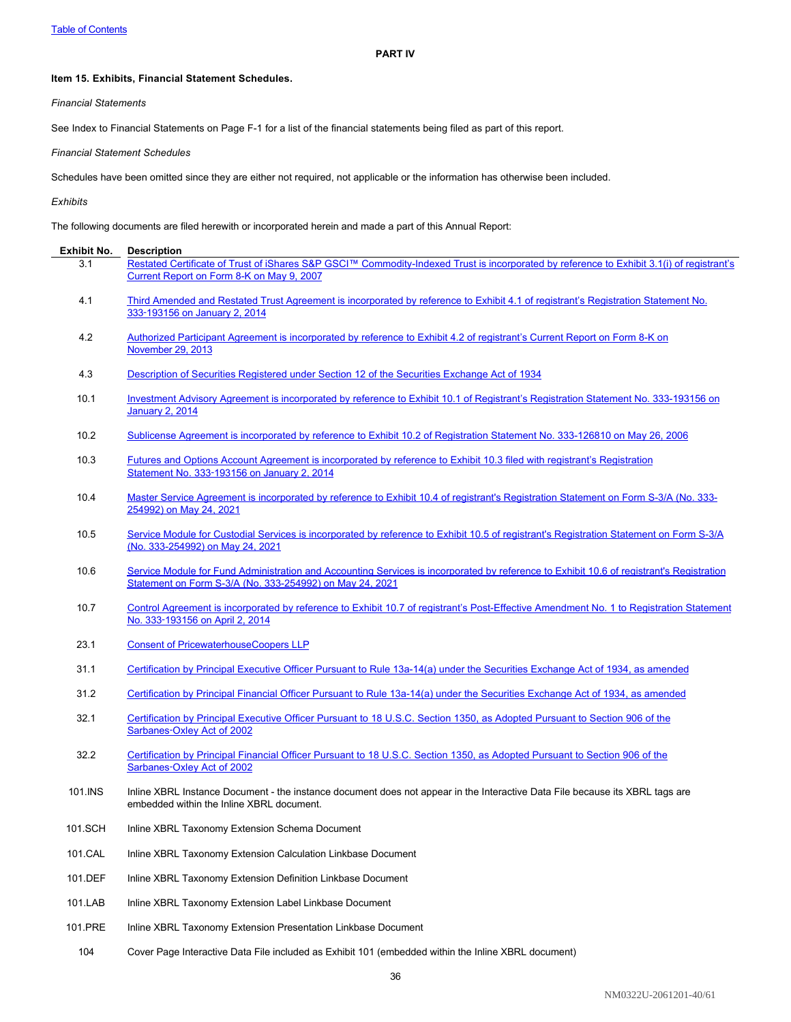# <span id="page-39-1"></span><span id="page-39-0"></span>**Item 15. Exhibits, Financial Statement Schedules.**

# *Financial Statements*

See Index to Financial Statements on Page F-1 for a list of the financial statements being filed as part of this report.

# *Financial Statement Schedules*

Schedules have been omitted since they are either not required, not applicable or the information has otherwise been included.

*Exhibits*

The following documents are filed herewith or incorporated herein and made a part of this Annual Report:

| Exhibit No. | <b>Description</b>                                                                                                                                                                                   |
|-------------|------------------------------------------------------------------------------------------------------------------------------------------------------------------------------------------------------|
| 3.1         | Restated Certificate of Trust of iShares S&P GSCI™ Commodity-Indexed Trust is incorporated by reference to Exhibit 3.1(i) of registrant's<br>Current Report on Form 8-K on May 9, 2007               |
| 4.1         | Third Amended and Restated Trust Agreement is incorporated by reference to Exhibit 4.1 of registrant's Registration Statement No.<br>333-193156 on January 2, 2014                                   |
| 4.2         | Authorized Participant Agreement is incorporated by reference to Exhibit 4.2 of registrant's Current Report on Form 8-K on<br>November 29, 2013                                                      |
| 4.3         | Description of Securities Registered under Section 12 of the Securities Exchange Act of 1934                                                                                                         |
| 10.1        | <u>Investment Advisory Agreement is incorporated by reference to Exhibit 10.1 of Registrant's Registration Statement No. 333-193156 on</u><br><b>January 2, 2014</b>                                 |
| 10.2        | Sublicense Agreement is incorporated by reference to Exhibit 10.2 of Registration Statement No. 333-126810 on May 26, 2006                                                                           |
| 10.3        | Futures and Options Account Agreement is incorporated by reference to Exhibit 10.3 filed with registrant's Registration<br>Statement No. 333-193156 on January 2, 2014                               |
| 10.4        | Master Service Agreement is incorporated by reference to Exhibit 10.4 of registrant's Registration Statement on Form S-3/A (No. 333-<br>254992) on May 24, 2021                                      |
| 10.5        | Service Module for Custodial Services is incorporated by reference to Exhibit 10.5 of registrant's Registration Statement on Form S-3/A<br>(No. 333-254992) on May 24, 2021                          |
| 10.6        | Service Module for Fund Administration and Accounting Services is incorporated by reference to Exhibit 10.6 of registrant's Registration<br>Statement on Form S-3/A (No. 333-254992) on May 24, 2021 |
| 10.7        | Control Agreement is incorporated by reference to Exhibit 10.7 of registrant's Post-Effective Amendment No. 1 to Registration Statement<br>No. 333-193156 on April 2, 2014                           |
| 23.1        | <b>Consent of PricewaterhouseCoopers LLP</b>                                                                                                                                                         |
| 31.1        | Certification by Principal Executive Officer Pursuant to Rule 13a-14(a) under the Securities Exchange Act of 1934, as amended                                                                        |
| 31.2        | Certification by Principal Financial Officer Pursuant to Rule 13a-14(a) under the Securities Exchange Act of 1934, as amended                                                                        |
| 32.1        | Certification by Principal Executive Officer Pursuant to 18 U.S.C. Section 1350, as Adopted Pursuant to Section 906 of the<br>Sarbanes-Oxley Act of 2002                                             |
| 32.2        | Certification by Principal Financial Officer Pursuant to 18 U.S.C. Section 1350, as Adopted Pursuant to Section 906 of the<br>Sarbanes-Oxley Act of 2002                                             |
| 101.INS     | Inline XBRL Instance Document - the instance document does not appear in the Interactive Data File because its XBRL tags are<br>embedded within the Inline XBRL document.                            |
| 101.SCH     | Inline XBRL Taxonomy Extension Schema Document                                                                                                                                                       |
| 101.CAL     | Inline XBRL Taxonomy Extension Calculation Linkbase Document                                                                                                                                         |
| 101.DEF     | Inline XBRL Taxonomy Extension Definition Linkbase Document                                                                                                                                          |
| 101.LAB     | Inline XBRL Taxonomy Extension Label Linkbase Document                                                                                                                                               |
| 101.PRE     | Inline XBRL Taxonomy Extension Presentation Linkbase Document                                                                                                                                        |

104 Cover Page Interactive Data File included as Exhibit 101 (embedded within the Inline XBRL document)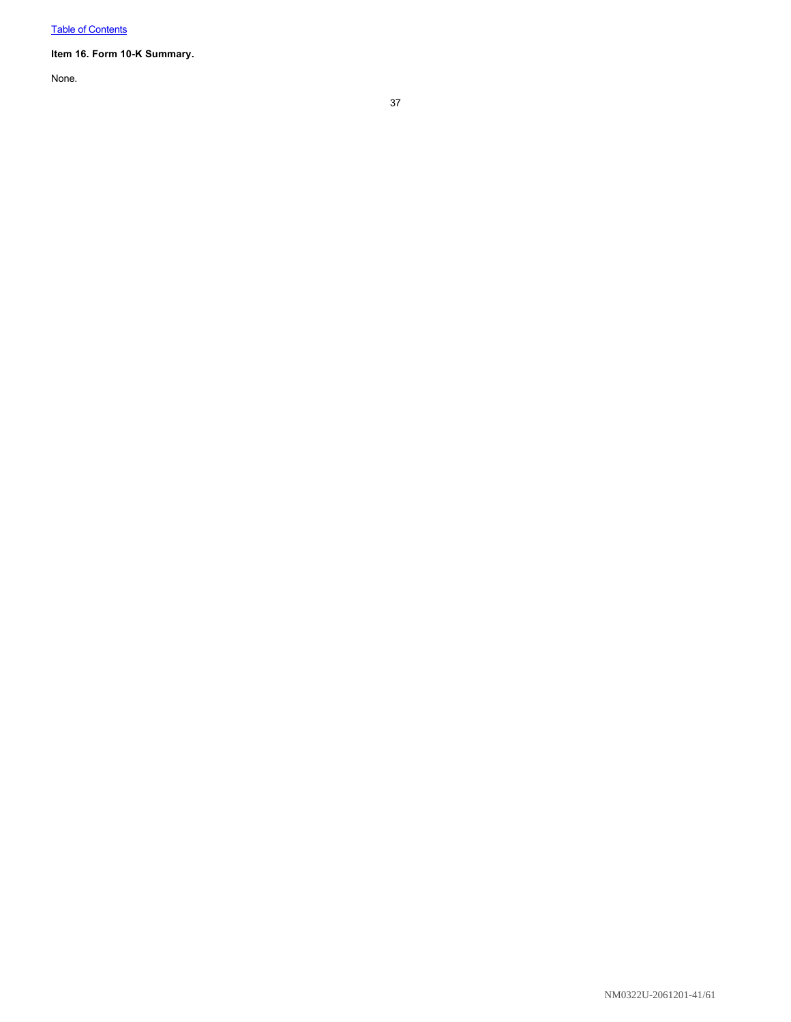# <span id="page-40-0"></span>**Item 16. Form 10-K Summary.**

None.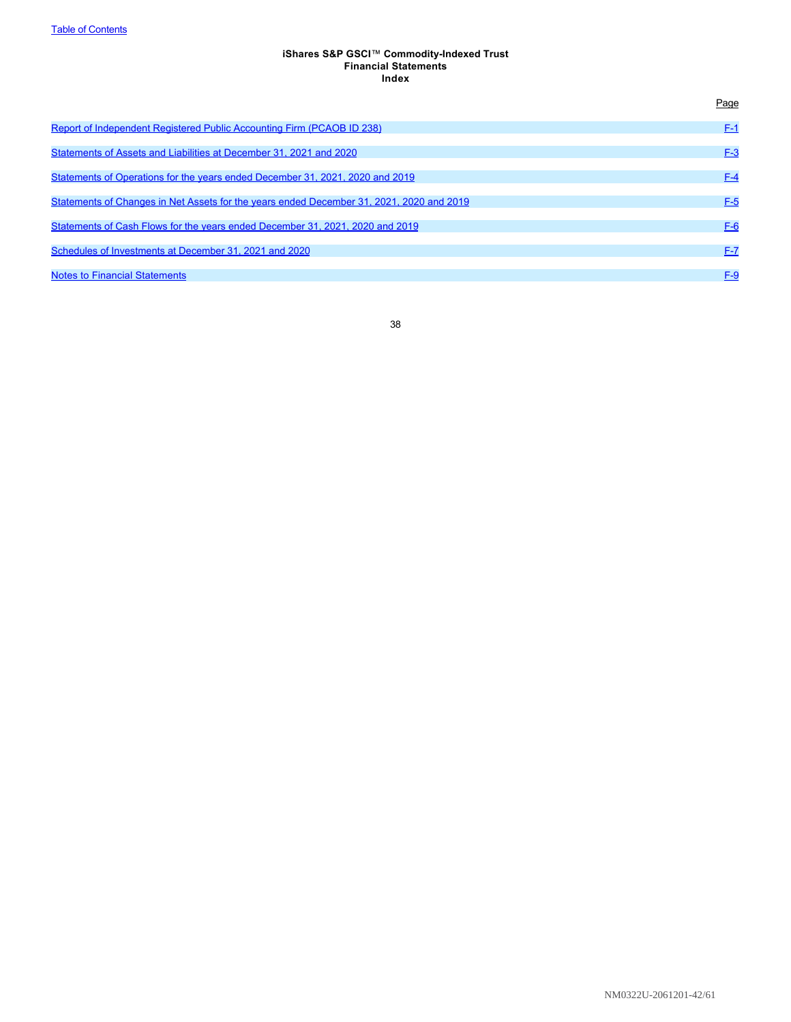# **iShares S&P GSCI**™ **Commodity-Indexed Trust Financial Statements Index**

|                                                                                          | Page  |
|------------------------------------------------------------------------------------------|-------|
| Report of Independent Registered Public Accounting Firm (PCAOB ID 238)                   | $F-1$ |
| Statements of Assets and Liabilities at December 31, 2021 and 2020                       | $F-3$ |
| Statements of Operations for the years ended December 31, 2021, 2020 and 2019            | $F-4$ |
| Statements of Changes in Net Assets for the years ended December 31, 2021, 2020 and 2019 | $F-5$ |
| Statements of Cash Flows for the years ended December 31, 2021, 2020 and 2019            | $F-6$ |
| Schedules of Investments at December 31, 2021 and 2020                                   | $F-7$ |
| <b>Notes to Financial Statements</b>                                                     | $F-9$ |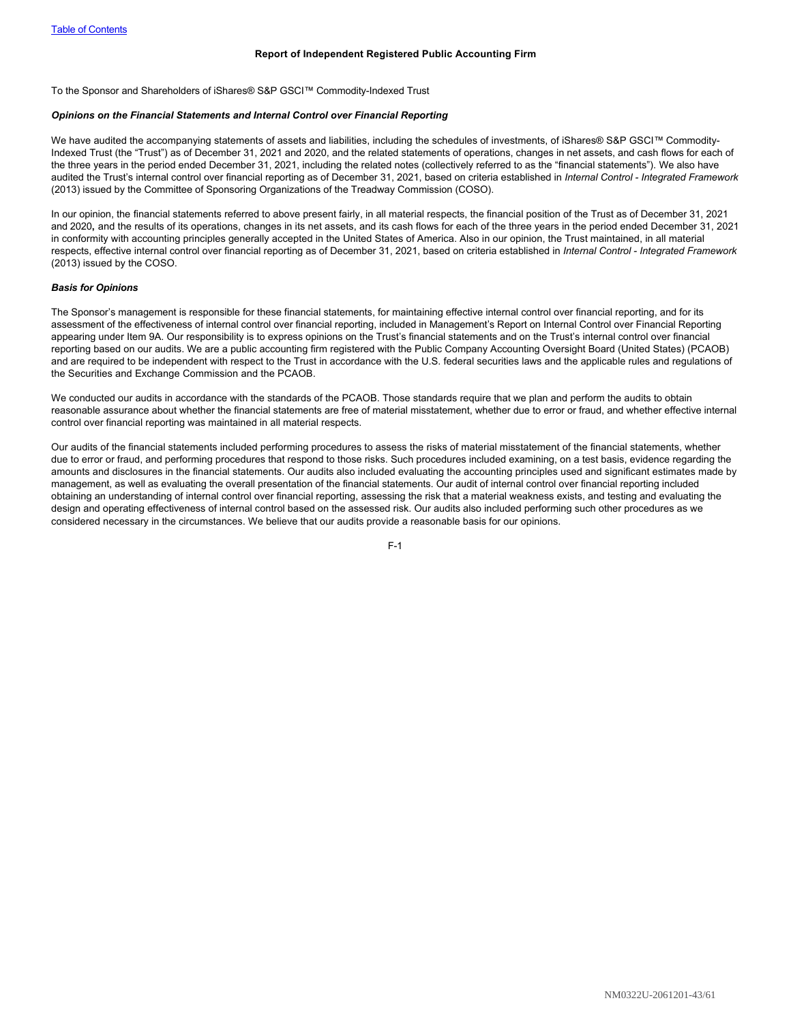<span id="page-42-0"></span>To the Sponsor and Shareholders of iShares® S&P GSCI™ Commodity-Indexed Trust

# *Opinions on the Financial Statements and Internal Control over Financial Reporting*

We have audited the accompanying statements of assets and liabilities, including the schedules of investments, of iShares® S&P GSCI™ Commodity-Indexed Trust (the "Trust") as of December 31, 2021 and 2020, and the related statements of operations, changes in net assets, and cash flows for each of the three years in the period ended December 31, 2021, including the related notes (collectively referred to as the "financial statements"). We also have audited the Trust's internal control over financial reporting as of December 31, 2021, based on criteria established in *Internal Control - Integrated Framework* (2013) issued by the Committee of Sponsoring Organizations of the Treadway Commission (COSO).

In our opinion, the financial statements referred to above present fairly, in all material respects, the financial position of the Trust as of December 31, 2021 and 2020**,** and the results of its operations, changes in its net assets, and its cash flows for each of the three years in the period ended December 31, 2021 in conformity with accounting principles generally accepted in the United States of America. Also in our opinion, the Trust maintained, in all material respects, effective internal control over financial reporting as of December 31, 2021, based on criteria established in *Internal Control - Integrated Framework* (2013) issued by the COSO.

# *Basis for Opinions*

The Sponsor's management is responsible for these financial statements, for maintaining effective internal control over financial reporting, and for its assessment of the effectiveness of internal control over financial reporting, included in Management's Report on Internal Control over Financial Reporting appearing under Item 9A. Our responsibility is to express opinions on the Trust's financial statements and on the Trust's internal control over financial reporting based on our audits. We are a public accounting firm registered with the Public Company Accounting Oversight Board (United States) (PCAOB) and are required to be independent with respect to the Trust in accordance with the U.S. federal securities laws and the applicable rules and regulations of the Securities and Exchange Commission and the PCAOB.

We conducted our audits in accordance with the standards of the PCAOB. Those standards require that we plan and perform the audits to obtain reasonable assurance about whether the financial statements are free of material misstatement, whether due to error or fraud, and whether effective internal control over financial reporting was maintained in all material respects.

Our audits of the financial statements included performing procedures to assess the risks of material misstatement of the financial statements, whether due to error or fraud, and performing procedures that respond to those risks. Such procedures included examining, on a test basis, evidence regarding the amounts and disclosures in the financial statements. Our audits also included evaluating the accounting principles used and significant estimates made by management, as well as evaluating the overall presentation of the financial statements. Our audit of internal control over financial reporting included obtaining an understanding of internal control over financial reporting, assessing the risk that a material weakness exists, and testing and evaluating the design and operating effectiveness of internal control based on the assessed risk. Our audits also included performing such other procedures as we considered necessary in the circumstances. We believe that our audits provide a reasonable basis for our opinions.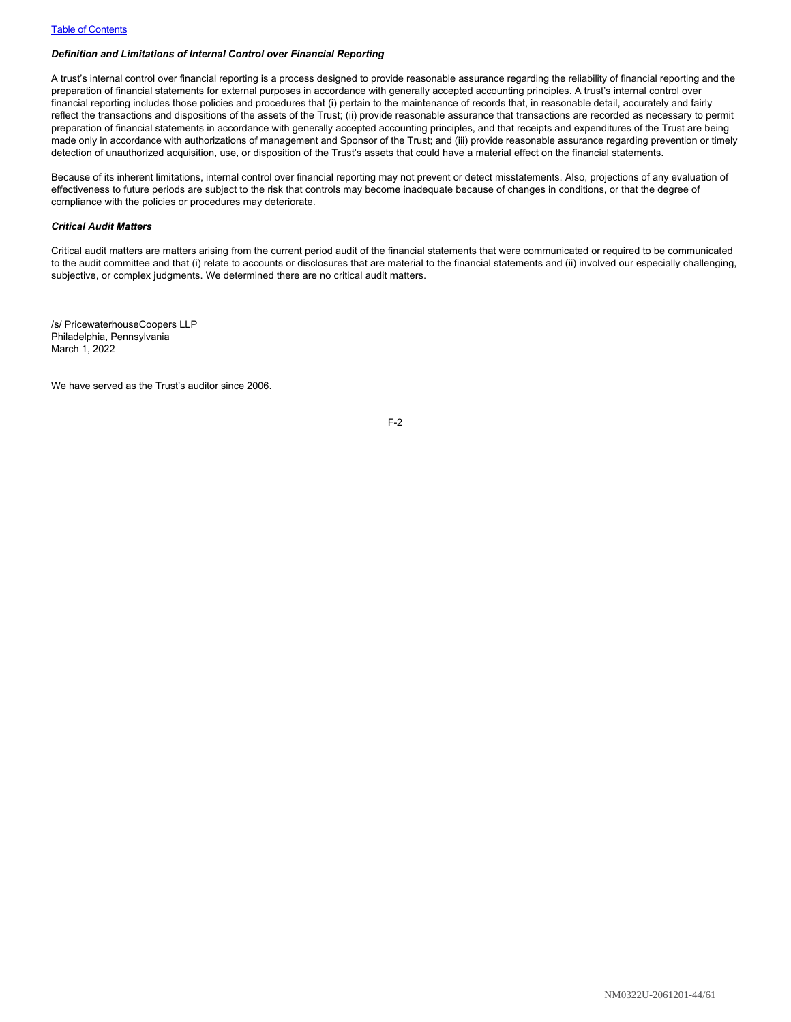# *Definition and Limitations of Internal Control over Financial Reporting*

A trust's internal control over financial reporting is a process designed to provide reasonable assurance regarding the reliability of financial reporting and the preparation of financial statements for external purposes in accordance with generally accepted accounting principles. A trust's internal control over financial reporting includes those policies and procedures that (i) pertain to the maintenance of records that, in reasonable detail, accurately and fairly reflect the transactions and dispositions of the assets of the Trust; (ii) provide reasonable assurance that transactions are recorded as necessary to permit preparation of financial statements in accordance with generally accepted accounting principles, and that receipts and expenditures of the Trust are being made only in accordance with authorizations of management and Sponsor of the Trust; and (iii) provide reasonable assurance regarding prevention or timely detection of unauthorized acquisition, use, or disposition of the Trust's assets that could have a material effect on the financial statements.

Because of its inherent limitations, internal control over financial reporting may not prevent or detect misstatements. Also, projections of any evaluation of effectiveness to future periods are subject to the risk that controls may become inadequate because of changes in conditions, or that the degree of compliance with the policies or procedures may deteriorate.

# *Critical Audit Matters*

Critical audit matters are matters arising from the current period audit of the financial statements that were communicated or required to be communicated to the audit committee and that (i) relate to accounts or disclosures that are material to the financial statements and (ii) involved our especially challenging, subjective, or complex judgments. We determined there are no critical audit matters.

/s/ PricewaterhouseCoopers LLP Philadelphia, Pennsylvania March 1, 2022

We have served as the Trust's auditor since 2006.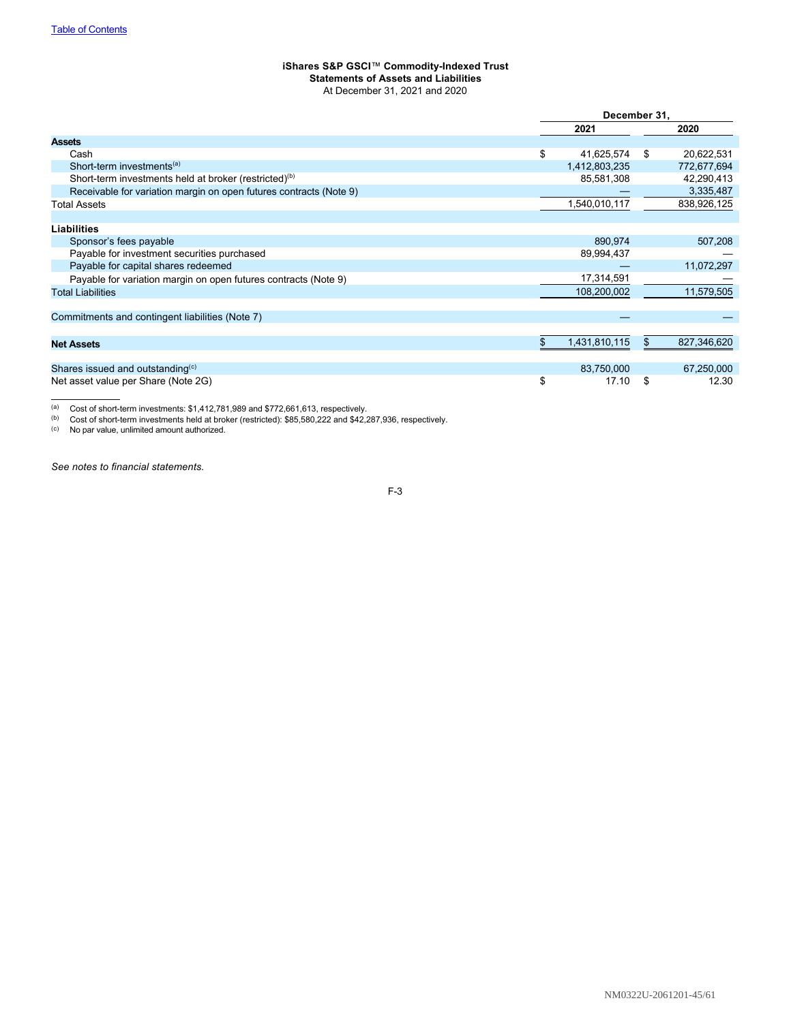# <span id="page-44-0"></span>**iShares S&P GSCI**™ **Commodity-Indexed Trust Statements of Assets and Liabilities** At December 31, 2021 and 2020

|                                                                    |    | December 31,  |     |             |  |
|--------------------------------------------------------------------|----|---------------|-----|-------------|--|
|                                                                    |    | 2021          |     | 2020        |  |
| <b>Assets</b>                                                      |    |               |     |             |  |
| Cash                                                               | \$ | 41,625,574    | \$  | 20,622,531  |  |
| Short-term investments <sup>(a)</sup>                              |    | 1,412,803,235 |     | 772,677,694 |  |
| Short-term investments held at broker (restricted) <sup>(b)</sup>  |    | 85,581,308    |     | 42,290,413  |  |
| Receivable for variation margin on open futures contracts (Note 9) |    |               |     | 3,335,487   |  |
| <b>Total Assets</b>                                                |    | 1,540,010,117 |     | 838,926,125 |  |
|                                                                    |    |               |     |             |  |
| <b>Liabilities</b>                                                 |    |               |     |             |  |
| Sponsor's fees payable                                             |    | 890,974       |     | 507,208     |  |
| Payable for investment securities purchased                        |    | 89,994,437    |     |             |  |
| Payable for capital shares redeemed                                |    |               |     | 11,072,297  |  |
| Payable for variation margin on open futures contracts (Note 9)    |    | 17,314,591    |     |             |  |
| <b>Total Liabilities</b>                                           |    | 108,200,002   |     | 11,579,505  |  |
|                                                                    |    |               |     |             |  |
| Commitments and contingent liabilities (Note 7)                    |    |               |     |             |  |
|                                                                    |    |               |     |             |  |
| <b>Net Assets</b>                                                  | S  | 1,431,810,115 | \$. | 827,346,620 |  |
|                                                                    |    |               |     |             |  |
| Shares issued and outstanding <sup>(c)</sup>                       |    | 83,750,000    |     | 67,250,000  |  |
| Net asset value per Share (Note 2G)                                | \$ | 17.10         | Ŝ.  | 12.30       |  |

(a) Cost of short-term investments: \$1,412,781,989 and \$772,661,613, respectively.

(b) Cost of short-term investments held at broker (restricted): \$85,580,222 and \$42,287,936, respectively.

(c) No par value, unlimited amount authorized.

*See notes to financial statements.*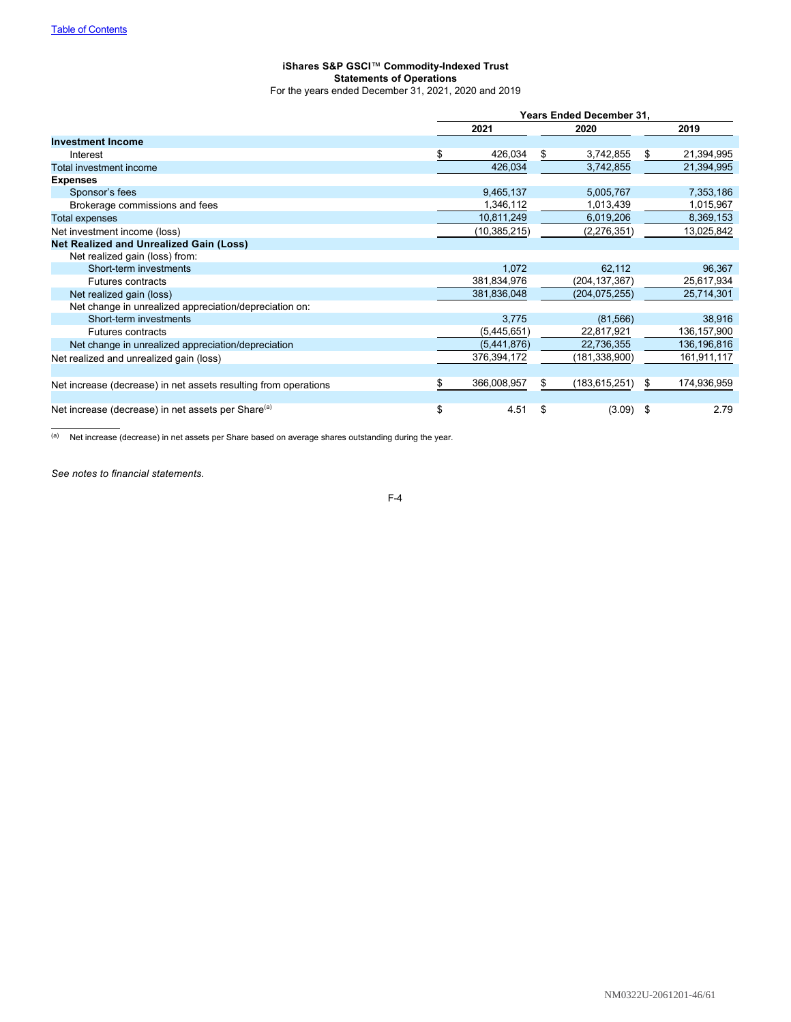# <span id="page-45-0"></span>**iShares S&P GSCI**™ **Commodity-Indexed Trust Statements of Operations**

|                                                                 | <b>Years Ended December 31,</b> |                |     |                 |    |               |  |
|-----------------------------------------------------------------|---------------------------------|----------------|-----|-----------------|----|---------------|--|
|                                                                 |                                 | 2021           |     | 2020            |    | 2019          |  |
| <b>Investment Income</b>                                        |                                 |                |     |                 |    |               |  |
| Interest                                                        | S                               | 426,034        | \$  | 3,742,855       | S. | 21,394,995    |  |
| Total investment income                                         |                                 | 426,034        |     | 3,742,855       |    | 21,394,995    |  |
| <b>Expenses</b>                                                 |                                 |                |     |                 |    |               |  |
| Sponsor's fees                                                  |                                 | 9,465,137      |     | 5,005,767       |    | 7,353,186     |  |
| Brokerage commissions and fees                                  |                                 | 1,346,112      |     | 1,013,439       |    | 1,015,967     |  |
| Total expenses                                                  |                                 | 10,811,249     |     | 6,019,206       |    | 8,369,153     |  |
| Net investment income (loss)                                    |                                 | (10, 385, 215) |     | (2, 276, 351)   |    | 13,025,842    |  |
| <b>Net Realized and Unrealized Gain (Loss)</b>                  |                                 |                |     |                 |    |               |  |
| Net realized gain (loss) from:                                  |                                 |                |     |                 |    |               |  |
| Short-term investments                                          |                                 | 1,072          |     | 62,112          |    | 96,367        |  |
| <b>Futures contracts</b>                                        |                                 | 381,834,976    |     | (204, 137, 367) |    | 25,617,934    |  |
| Net realized gain (loss)                                        |                                 | 381,836,048    |     | (204, 075, 255) |    | 25,714,301    |  |
| Net change in unrealized appreciation/depreciation on:          |                                 |                |     |                 |    |               |  |
| Short-term investments                                          |                                 | 3,775          |     | (81, 566)       |    | 38,916        |  |
| <b>Futures contracts</b>                                        |                                 | (5,445,651)    |     | 22,817,921      |    | 136, 157, 900 |  |
| Net change in unrealized appreciation/depreciation              |                                 | (5,441,876)    |     | 22,736,355      |    | 136,196,816   |  |
| Net realized and unrealized gain (loss)                         |                                 | 376,394,172    |     | (181,338,900)   |    | 161,911,117   |  |
|                                                                 |                                 |                |     |                 |    |               |  |
| Net increase (decrease) in net assets resulting from operations | S                               | 366,008,957    | \$. | (183, 615, 251) | S  | 174,936,959   |  |
|                                                                 |                                 |                |     |                 |    |               |  |
| Net increase (decrease) in net assets per Share <sup>(a)</sup>  | \$                              | 4.51           | \$  | $(3.09)$ \$     |    | 2.79          |  |

(a) Net increase (decrease) in net assets per Share based on average shares outstanding during the year.

*See notes to financial statements.*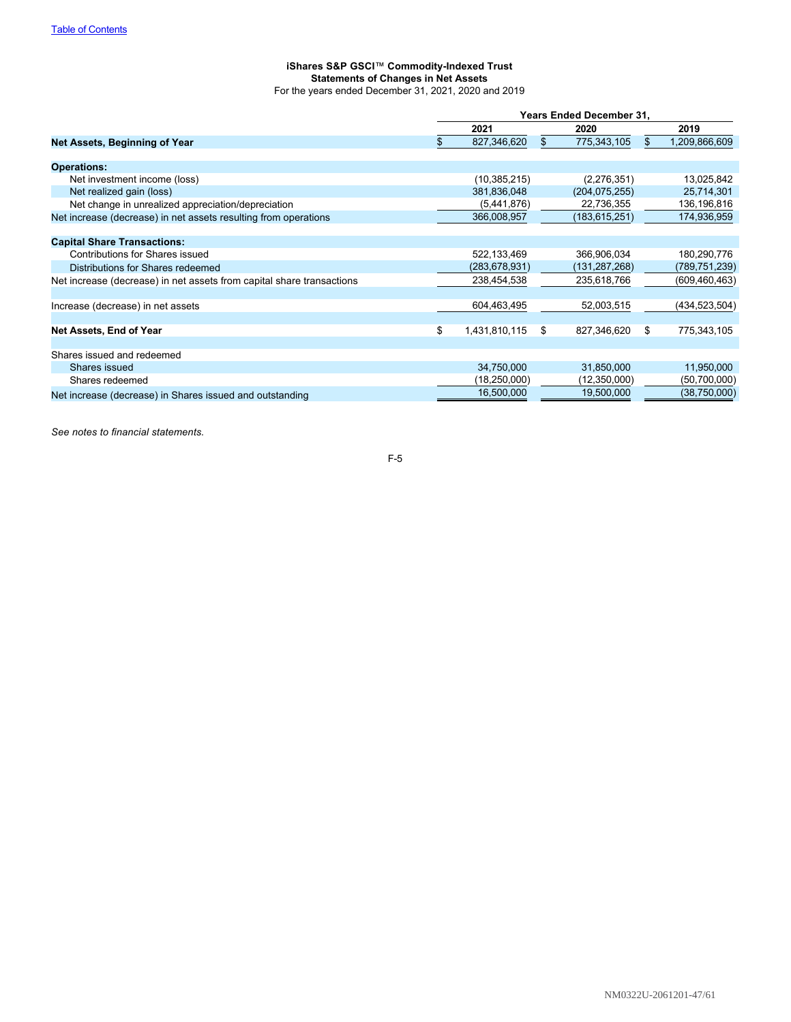# <span id="page-46-0"></span>**iShares S&P GSCI**™ **Commodity-Indexed Trust Statements of Changes in Net Assets**

For the years ended December 31, 2021, 2020 and 2019

|                                                                       | Years Ended December 31, |                |    |                 |   |                 |  |  |
|-----------------------------------------------------------------------|--------------------------|----------------|----|-----------------|---|-----------------|--|--|
|                                                                       |                          | 2021           |    | 2020            |   | 2019            |  |  |
| Net Assets, Beginning of Year                                         | S.                       | 827,346,620    | \$ | 775,343,105     |   | 1,209,866,609   |  |  |
| <b>Operations:</b>                                                    |                          |                |    |                 |   |                 |  |  |
| Net investment income (loss)                                          |                          | (10, 385, 215) |    | (2,276,351)     |   | 13,025,842      |  |  |
| Net realized gain (loss)                                              |                          | 381,836,048    |    | (204, 075, 255) |   | 25,714,301      |  |  |
| Net change in unrealized appreciation/depreciation                    |                          | (5,441,876)    |    | 22,736,355      |   | 136,196,816     |  |  |
| Net increase (decrease) in net assets resulting from operations       |                          | 366,008,957    |    | (183, 615, 251) |   | 174,936,959     |  |  |
| <b>Capital Share Transactions:</b>                                    |                          |                |    |                 |   |                 |  |  |
| Contributions for Shares issued                                       |                          | 522,133,469    |    | 366,906,034     |   | 180,290,776     |  |  |
| Distributions for Shares redeemed                                     |                          | (283,678,931)  |    | (131,287,268)   |   | (789,751,239)   |  |  |
| Net increase (decrease) in net assets from capital share transactions |                          | 238,454,538    |    | 235,618,766     |   | (609, 460, 463) |  |  |
| Increase (decrease) in net assets                                     |                          | 604,463,495    |    | 52,003,515      |   | (434, 523, 504) |  |  |
| Net Assets, End of Year                                               | \$                       | 1,431,810,115  | \$ | 827,346,620     | S | 775,343,105     |  |  |
| Shares issued and redeemed                                            |                          |                |    |                 |   |                 |  |  |
| Shares issued                                                         |                          | 34,750,000     |    | 31,850,000      |   | 11,950,000      |  |  |
| Shares redeemed                                                       |                          | (18,250,000)   |    | (12,350,000)    |   | (50,700,000)    |  |  |
| Net increase (decrease) in Shares issued and outstanding              |                          | 16,500,000     |    | 19,500,000      |   | (38,750,000)    |  |  |

*See notes to financial statements.*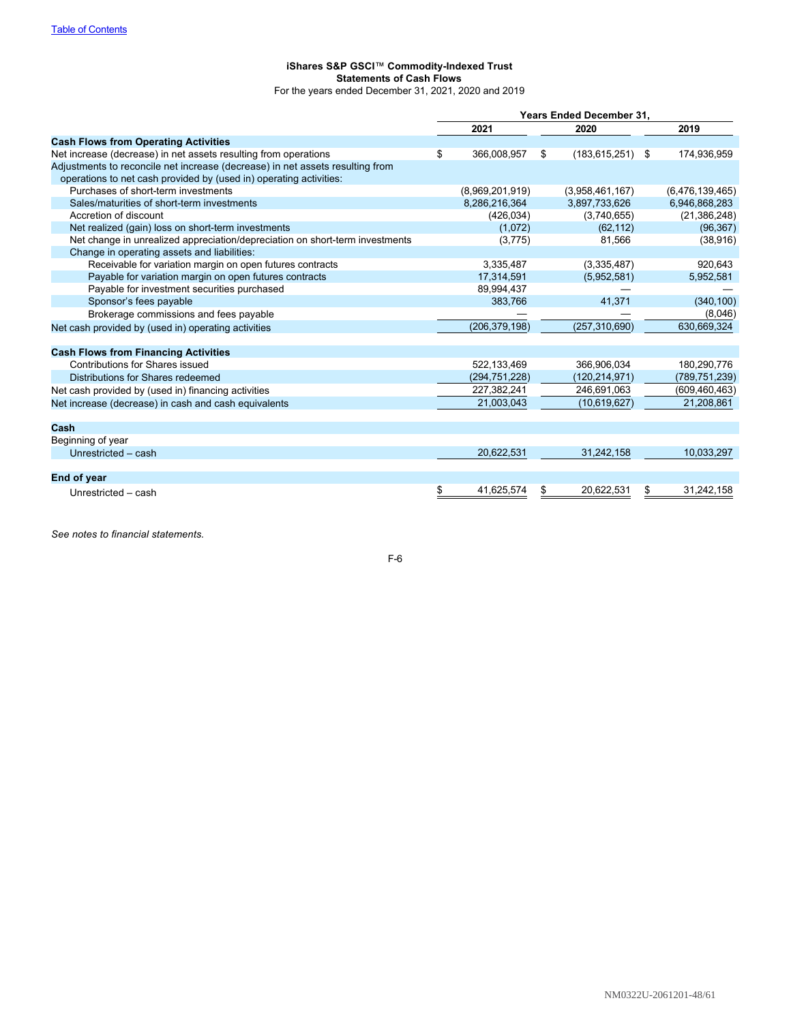# <span id="page-47-0"></span>**iShares S&P GSCI**™ **Commodity-Indexed Trust Statements of Cash Flows**

For the years ended December 31, 2021, 2020 and 2019

|                                                                               | <b>Years Ended December 31,</b> |                 |    |                      |  |                 |
|-------------------------------------------------------------------------------|---------------------------------|-----------------|----|----------------------|--|-----------------|
|                                                                               |                                 | 2021            |    | 2020                 |  | 2019            |
| <b>Cash Flows from Operating Activities</b>                                   |                                 |                 |    |                      |  |                 |
| Net increase (decrease) in net assets resulting from operations               | \$                              | 366,008,957     | \$ | $(183, 615, 251)$ \$ |  | 174,936,959     |
| Adjustments to reconcile net increase (decrease) in net assets resulting from |                                 |                 |    |                      |  |                 |
| operations to net cash provided by (used in) operating activities:            |                                 |                 |    |                      |  |                 |
| Purchases of short-term investments                                           |                                 | (8,969,201,919) |    | (3,958,461,167)      |  | (6,476,139,465) |
| Sales/maturities of short-term investments                                    |                                 | 8,286,216,364   |    | 3,897,733,626        |  | 6,946,868,283   |
| Accretion of discount                                                         |                                 | (426, 034)      |    | (3,740,655)          |  | (21, 386, 248)  |
| Net realized (gain) loss on short-term investments                            |                                 | (1,072)         |    | (62, 112)            |  | (96, 367)       |
| Net change in unrealized appreciation/depreciation on short-term investments  |                                 | (3,775)         |    | 81,566               |  | (38, 916)       |
| Change in operating assets and liabilities:                                   |                                 |                 |    |                      |  |                 |
| Receivable for variation margin on open futures contracts                     |                                 | 3,335,487       |    | (3,335,487)          |  | 920,643         |
| Payable for variation margin on open futures contracts                        |                                 | 17,314,591      |    | (5,952,581)          |  | 5,952,581       |
| Payable for investment securities purchased                                   |                                 | 89.994.437      |    |                      |  |                 |
| Sponsor's fees payable                                                        |                                 | 383,766         |    | 41,371               |  | (340, 100)      |
| Brokerage commissions and fees payable                                        |                                 |                 |    |                      |  | (8,046)         |
| Net cash provided by (used in) operating activities                           |                                 | (206, 379, 198) |    | (257, 310, 690)      |  | 630,669,324     |
| <b>Cash Flows from Financing Activities</b>                                   |                                 |                 |    |                      |  |                 |
| Contributions for Shares issued                                               |                                 | 522,133,469     |    | 366,906,034          |  | 180,290,776     |
| Distributions for Shares redeemed                                             |                                 | (294, 751, 228) |    | (120, 214, 971)      |  | (789, 751, 239) |
| Net cash provided by (used in) financing activities                           |                                 | 227,382,241     |    | 246,691,063          |  | (609, 460, 463) |
| Net increase (decrease) in cash and cash equivalents                          |                                 | 21,003,043      |    | (10,619,627)         |  | 21,208,861      |
| Cash                                                                          |                                 |                 |    |                      |  |                 |
| Beginning of year                                                             |                                 |                 |    |                      |  |                 |
| Unrestricted - cash                                                           |                                 | 20,622,531      |    | 31,242,158           |  | 10,033,297      |
| End of year                                                                   |                                 |                 |    |                      |  |                 |
| Unrestricted - cash                                                           | \$                              | 41,625,574      | S  | 20,622,531           |  | 31,242,158      |

*See notes to financial statements.*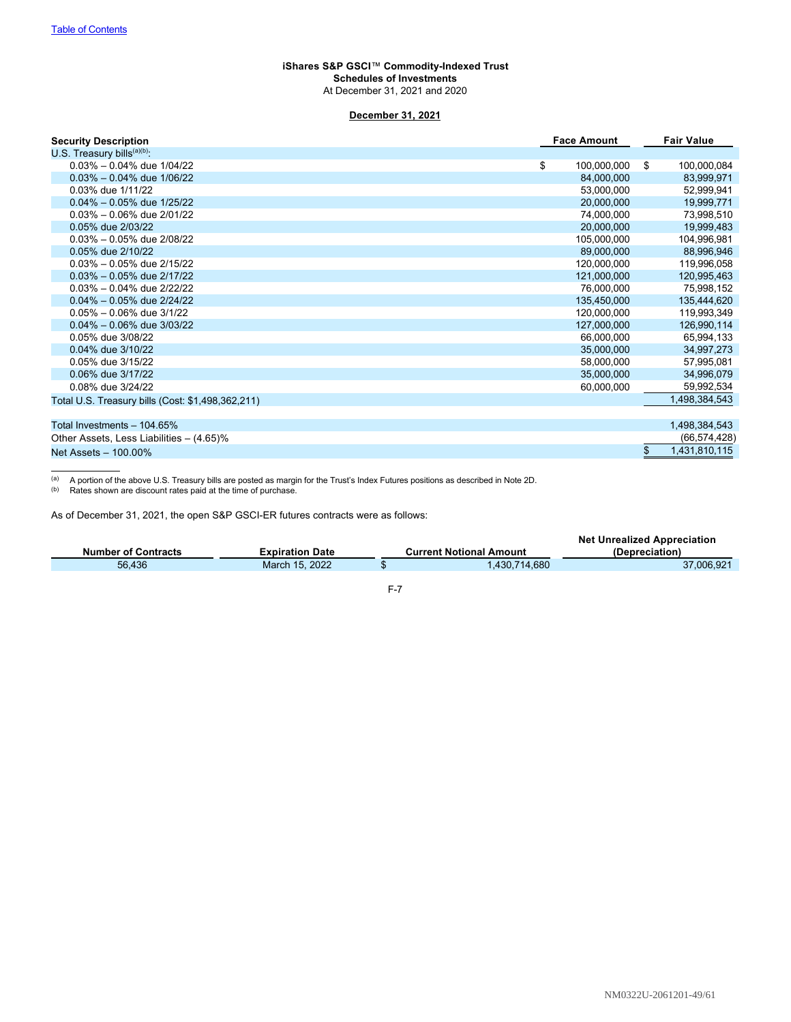# <span id="page-48-0"></span>**iShares S&P GSCI**™ **Commodity-Indexed Trust Schedules of Investments** At December 31, 2021 and 2020

# **December 31, 2021**

| <b>Security Description</b>                       | <b>Face Amount</b> |             | <b>Fair Value</b>   |
|---------------------------------------------------|--------------------|-------------|---------------------|
| U.S. Treasury bills $(a)(b)$ .                    |                    |             |                     |
| $0.03\% - 0.04\%$ due $1/04/22$                   | \$                 | 100,000,000 | \$<br>100,000,084   |
| $0.03\% - 0.04\%$ due 1/06/22                     |                    | 84,000,000  | 83,999,971          |
| 0.03% due 1/11/22                                 |                    | 53,000,000  | 52,999,941          |
| $0.04\% - 0.05\%$ due 1/25/22                     |                    | 20,000,000  | 19,999,771          |
| $0.03\% - 0.06\%$ due $2/01/22$                   |                    | 74,000,000  | 73,998,510          |
| 0.05% due 2/03/22                                 |                    | 20,000,000  | 19,999,483          |
| $0.03\% - 0.05\%$ due $2/08/22$                   |                    | 105,000,000 | 104,996,981         |
| 0.05% due 2/10/22                                 |                    | 89,000,000  | 88,996,946          |
| $0.03\% - 0.05\%$ due 2/15/22                     |                    | 120,000,000 | 119,996,058         |
| $0.03\% - 0.05\%$ due 2/17/22                     |                    | 121,000,000 | 120,995,463         |
| $0.03\% - 0.04\%$ due 2/22/22                     |                    | 76,000,000  | 75,998,152          |
| $0.04\% - 0.05\%$ due 2/24/22                     |                    | 135,450,000 | 135,444,620         |
| $0.05\% - 0.06\%$ due $3/1/22$                    |                    | 120,000,000 | 119,993,349         |
| $0.04\% - 0.06\%$ due $3/03/22$                   |                    | 127,000,000 | 126,990,114         |
| 0.05% due 3/08/22                                 |                    | 66,000,000  | 65,994,133          |
| 0.04% due 3/10/22                                 |                    | 35,000,000  | 34,997,273          |
| 0.05% due 3/15/22                                 |                    | 58,000,000  | 57,995,081          |
| 0.06% due 3/17/22                                 |                    | 35,000,000  | 34,996,079          |
| 0.08% due 3/24/22                                 |                    | 60,000,000  | 59,992,534          |
| Total U.S. Treasury bills (Cost: \$1,498,362,211) |                    |             | 1,498,384,543       |
|                                                   |                    |             |                     |
| Total Investments - 104.65%                       |                    |             | 1,498,384,543       |
| Other Assets, Less Liabilities - (4.65)%          |                    |             | (66, 574, 428)      |
| Net Assets - 100.00%                              |                    |             | \$<br>1,431,810,115 |

(a) A portion of the above U.S. Treasury bills are posted as margin for the Trust's Index Futures positions as described in Note 2D.

(b) Rates shown are discount rates paid at the time of purchase.

As of December 31, 2021, the open S&P GSCI-ER futures contracts were as follows:

|                            | <b>Net Unrealized Appreciation</b> |  |                                |                |  |  |  |  |
|----------------------------|------------------------------------|--|--------------------------------|----------------|--|--|--|--|
| <b>Number of Contracts</b> | Expiration Date                    |  | <b>Current Notional Amount</b> | (Depreciation) |  |  |  |  |
| 56,436                     | March 15, 2022                     |  | 1,430,714,680                  | 37,006,921     |  |  |  |  |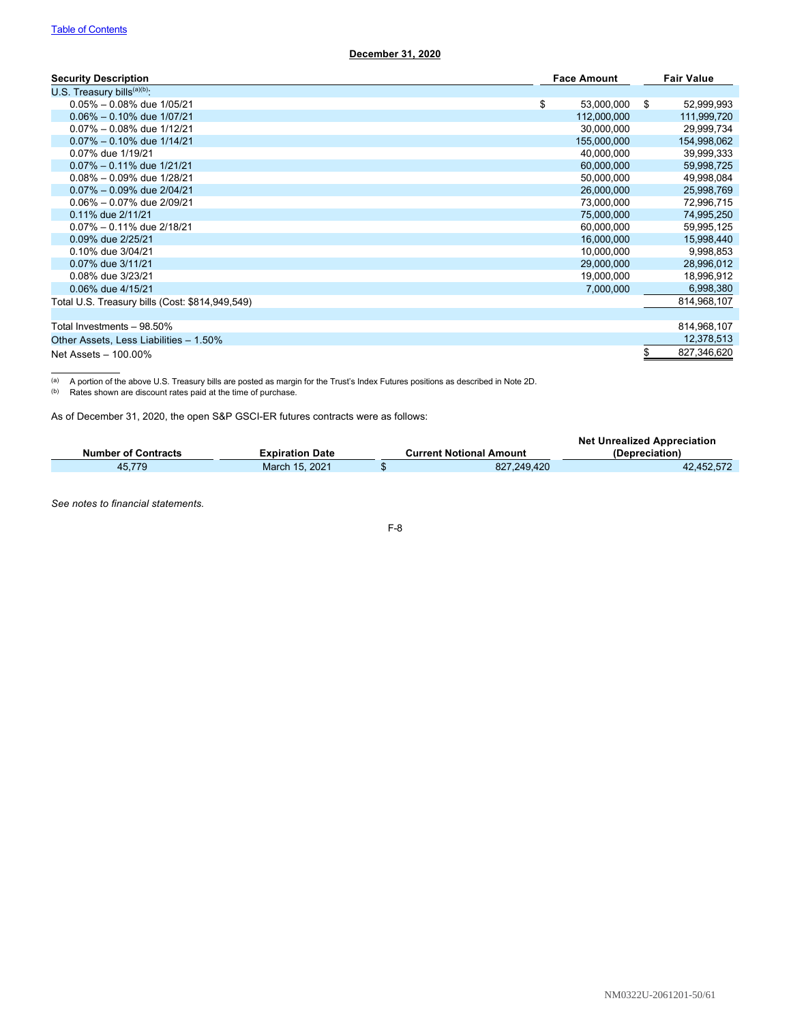# **December 31, 2020**

| <b>Security Description</b> |
|-----------------------------|
|-----------------------------|

| <b>Security Description</b>                     | <b>Face Amount</b> |    | <b>Fair Value</b> |
|-------------------------------------------------|--------------------|----|-------------------|
| U.S. Treasury bills <sup>(a)(b)</sup> :         |                    |    |                   |
| $0.05\% - 0.08\%$ due 1/05/21                   | \$<br>53,000,000   | \$ | 52,999,993        |
| $0.06\% - 0.10\%$ due 1/07/21                   | 112,000,000        |    | 111,999,720       |
| $0.07\% - 0.08\%$ due 1/12/21                   | 30,000,000         |    | 29,999,734        |
| $0.07\% - 0.10\%$ due $1/14/21$                 | 155,000,000        |    | 154,998,062       |
| 0.07% due 1/19/21                               | 40,000,000         |    | 39,999,333        |
| $0.07\% - 0.11\%$ due 1/21/21                   | 60,000,000         |    | 59,998,725        |
| $0.08\% - 0.09\%$ due 1/28/21                   | 50,000,000         |    | 49,998,084        |
| $0.07\% - 0.09\%$ due 2/04/21                   | 26,000,000         |    | 25,998,769        |
| $0.06\% - 0.07\%$ due 2/09/21                   | 73,000,000         |    | 72,996,715        |
| 0.11% due 2/11/21                               | 75,000,000         |    | 74,995,250        |
| $0.07\% - 0.11\%$ due 2/18/21                   | 60,000,000         |    | 59,995,125        |
| 0.09% due 2/25/21                               | 16,000,000         |    | 15,998,440        |
| 0.10% due 3/04/21                               | 10,000,000         |    | 9,998,853         |
| 0.07% due 3/11/21                               | 29,000,000         |    | 28,996,012        |
| 0.08% due 3/23/21                               | 19,000,000         |    | 18,996,912        |
| 0.06% due 4/15/21                               | 7,000,000          |    | 6,998,380         |
| Total U.S. Treasury bills (Cost: \$814,949,549) |                    |    | 814.968.107       |
|                                                 |                    |    |                   |
| Total Investments - 98.50%                      |                    |    | 814,968,107       |
| Other Assets, Less Liabilities - 1.50%          |                    |    | 12,378,513        |
| Net Assets - 100.00%                            |                    | \$ | 827,346,620       |

(a) A portion of the above U.S. Treasury bills are posted as margin for the Trust's Index Futures positions as described in Note 2D.

(b) Rates shown are discount rates paid at the time of purchase.

As of December 31, 2020, the open S&P GSCI-ER futures contracts were as follows:

|                            |                        | <b>Net Unrealized Appreciation</b> |                                |                |  |  |  |  |
|----------------------------|------------------------|------------------------------------|--------------------------------|----------------|--|--|--|--|
| <b>Number of Contracts</b> | <b>Expiration Date</b> |                                    | <b>Current Notional Amount</b> | (Depreciation) |  |  |  |  |
| 45.779                     | March 15, 2021         |                                    | 827.249.420                    | 42.452.572     |  |  |  |  |

*See notes to financial statements.*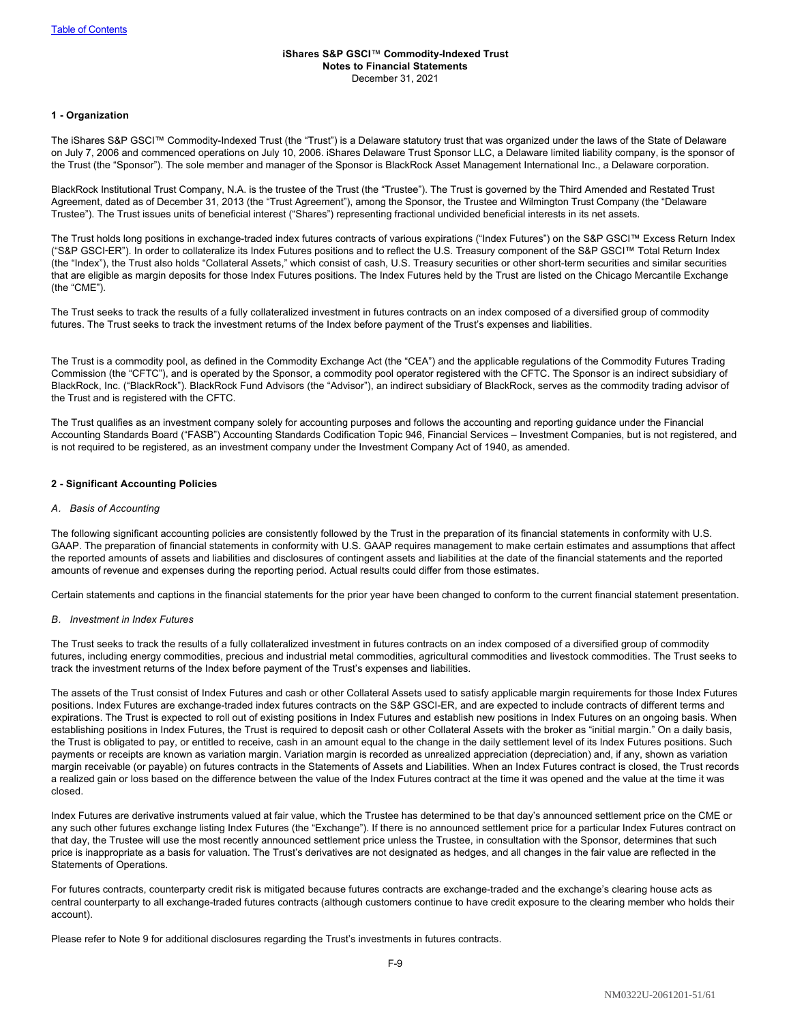# <span id="page-50-0"></span>**iShares S&P GSCI**™ **Commodity-Indexed Trust Notes to Financial Statements** December 31, 2021

# **1 - Organization**

The iShares S&P GSCI™ Commodity-Indexed Trust (the "Trust") is a Delaware statutory trust that was organized under the laws of the State of Delaware on July 7, 2006 and commenced operations on July 10, 2006. iShares Delaware Trust Sponsor LLC, a Delaware limited liability company, is the sponsor of the Trust (the "Sponsor"). The sole member and manager of the Sponsor is BlackRock Asset Management International Inc., a Delaware corporation.

BlackRock Institutional Trust Company, N.A. is the trustee of the Trust (the "Trustee"). The Trust is governed by the Third Amended and Restated Trust Agreement, dated as of December 31, 2013 (the "Trust Agreement"), among the Sponsor, the Trustee and Wilmington Trust Company (the "Delaware Trustee"). The Trust issues units of beneficial interest ("Shares") representing fractional undivided beneficial interests in its net assets.

The Trust holds long positions in exchange-traded index futures contracts of various expirations ("Index Futures") on the S&P GSCI™ Excess Return Index ("S&P GSCI‑ER"). In order to collateralize its Index Futures positions and to reflect the U.S. Treasury component of the S&P GSCI™ Total Return Index (the "Index"), the Trust also holds "Collateral Assets," which consist of cash, U.S. Treasury securities or other short-term securities and similar securities that are eligible as margin deposits for those Index Futures positions. The Index Futures held by the Trust are listed on the Chicago Mercantile Exchange (the "CME").

The Trust seeks to track the results of a fully collateralized investment in futures contracts on an index composed of a diversified group of commodity futures. The Trust seeks to track the investment returns of the Index before payment of the Trust's expenses and liabilities.

The Trust is a commodity pool, as defined in the Commodity Exchange Act (the "CEA") and the applicable regulations of the Commodity Futures Trading Commission (the "CFTC"), and is operated by the Sponsor, a commodity pool operator registered with the CFTC. The Sponsor is an indirect subsidiary of BlackRock, Inc. ("BlackRock"). BlackRock Fund Advisors (the "Advisor"), an indirect subsidiary of BlackRock, serves as the commodity trading advisor of the Trust and is registered with the CFTC.

The Trust qualifies as an investment company solely for accounting purposes and follows the accounting and reporting guidance under the Financial Accounting Standards Board ("FASB") Accounting Standards Codification Topic 946, Financial Services – Investment Companies, but is not registered, and is not required to be registered, as an investment company under the Investment Company Act of 1940, as amended.

# **2 - Significant Accounting Policies**

# *A. Basis of Accounting*

The following significant accounting policies are consistently followed by the Trust in the preparation of its financial statements in conformity with U.S. GAAP. The preparation of financial statements in conformity with U.S. GAAP requires management to make certain estimates and assumptions that affect the reported amounts of assets and liabilities and disclosures of contingent assets and liabilities at the date of the financial statements and the reported amounts of revenue and expenses during the reporting period. Actual results could differ from those estimates.

Certain statements and captions in the financial statements for the prior year have been changed to conform to the current financial statement presentation.

# *B. Investment in Index Futures*

The Trust seeks to track the results of a fully collateralized investment in futures contracts on an index composed of a diversified group of commodity futures, including energy commodities, precious and industrial metal commodities, agricultural commodities and livestock commodities. The Trust seeks to track the investment returns of the Index before payment of the Trust's expenses and liabilities.

The assets of the Trust consist of Index Futures and cash or other Collateral Assets used to satisfy applicable margin requirements for those Index Futures positions. Index Futures are exchange-traded index futures contracts on the S&P GSCI-ER, and are expected to include contracts of different terms and expirations. The Trust is expected to roll out of existing positions in Index Futures and establish new positions in Index Futures on an ongoing basis. When establishing positions in Index Futures, the Trust is required to deposit cash or other Collateral Assets with the broker as "initial margin." On a daily basis, the Trust is obligated to pay, or entitled to receive, cash in an amount equal to the change in the daily settlement level of its Index Futures positions. Such payments or receipts are known as variation margin. Variation margin is recorded as unrealized appreciation (depreciation) and, if any, shown as variation margin receivable (or payable) on futures contracts in the Statements of Assets and Liabilities. When an Index Futures contract is closed, the Trust records a realized gain or loss based on the difference between the value of the Index Futures contract at the time it was opened and the value at the time it was closed.

Index Futures are derivative instruments valued at fair value, which the Trustee has determined to be that day's announced settlement price on the CME or any such other futures exchange listing Index Futures (the "Exchange"). If there is no announced settlement price for a particular Index Futures contract on that day, the Trustee will use the most recently announced settlement price unless the Trustee, in consultation with the Sponsor, determines that such price is inappropriate as a basis for valuation. The Trust's derivatives are not designated as hedges, and all changes in the fair value are reflected in the Statements of Operations.

For futures contracts, counterparty credit risk is mitigated because futures contracts are exchange-traded and the exchange's clearing house acts as central counterparty to all exchange-traded futures contracts (although customers continue to have credit exposure to the clearing member who holds their account).

Please refer to Note 9 for additional disclosures regarding the Trust's investments in futures contracts.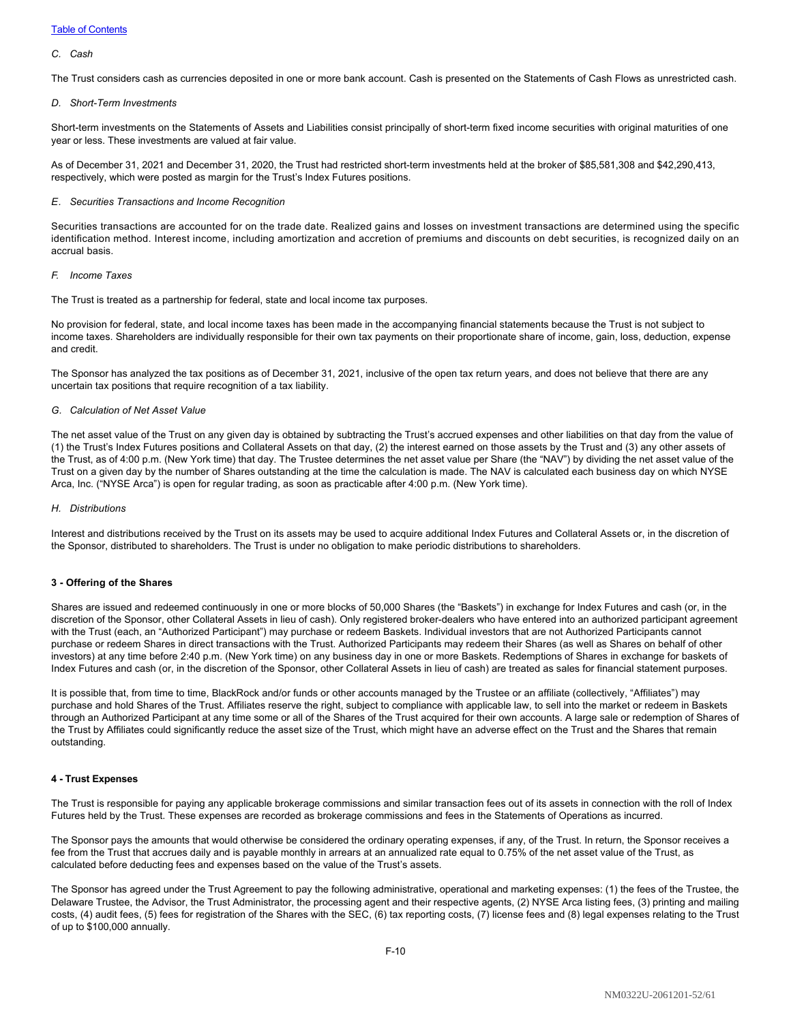*C. Cash*

The Trust considers cash as currencies deposited in one or more bank account. Cash is presented on the Statements of Cash Flows as unrestricted cash.

#### *D. Short-Term Investments*

Short-term investments on the Statements of Assets and Liabilities consist principally of short-term fixed income securities with original maturities of one year or less. These investments are valued at fair value.

As of December 31, 2021 and December 31, 2020, the Trust had restricted short-term investments held at the broker of \$85,581,308 and \$42,290,413, respectively, which were posted as margin for the Trust's Index Futures positions.

# *E. Securities Transactions and Income Recognition*

Securities transactions are accounted for on the trade date. Realized gains and losses on investment transactions are determined using the specific identification method. Interest income, including amortization and accretion of premiums and discounts on debt securities, is recognized daily on an accrual basis.

# *F. Income Taxes*

The Trust is treated as a partnership for federal, state and local income tax purposes.

No provision for federal, state, and local income taxes has been made in the accompanying financial statements because the Trust is not subject to income taxes. Shareholders are individually responsible for their own tax payments on their proportionate share of income, gain, loss, deduction, expense and credit.

The Sponsor has analyzed the tax positions as of December 31, 2021, inclusive of the open tax return years, and does not believe that there are any uncertain tax positions that require recognition of a tax liability.

# *G. Calculation of Net Asset Value*

The net asset value of the Trust on any given day is obtained by subtracting the Trust's accrued expenses and other liabilities on that day from the value of (1) the Trust's Index Futures positions and Collateral Assets on that day, (2) the interest earned on those assets by the Trust and (3) any other assets of the Trust, as of 4:00 p.m. (New York time) that day. The Trustee determines the net asset value per Share (the "NAV") by dividing the net asset value of the Trust on a given day by the number of Shares outstanding at the time the calculation is made. The NAV is calculated each business day on which NYSE Arca, Inc. ("NYSE Arca") is open for regular trading, as soon as practicable after 4:00 p.m. (New York time).

#### *H. Distributions*

Interest and distributions received by the Trust on its assets may be used to acquire additional Index Futures and Collateral Assets or, in the discretion of the Sponsor, distributed to shareholders. The Trust is under no obligation to make periodic distributions to shareholders.

# **3 - Offering of the Shares**

Shares are issued and redeemed continuously in one or more blocks of 50,000 Shares (the "Baskets") in exchange for Index Futures and cash (or, in the discretion of the Sponsor, other Collateral Assets in lieu of cash). Only registered broker-dealers who have entered into an authorized participant agreement with the Trust (each, an "Authorized Participant") may purchase or redeem Baskets. Individual investors that are not Authorized Participants cannot purchase or redeem Shares in direct transactions with the Trust. Authorized Participants may redeem their Shares (as well as Shares on behalf of other investors) at any time before 2:40 p.m. (New York time) on any business day in one or more Baskets. Redemptions of Shares in exchange for baskets of Index Futures and cash (or, in the discretion of the Sponsor, other Collateral Assets in lieu of cash) are treated as sales for financial statement purposes.

It is possible that, from time to time, BlackRock and/or funds or other accounts managed by the Trustee or an affiliate (collectively, "Affiliates") may purchase and hold Shares of the Trust. Affiliates reserve the right, subject to compliance with applicable law, to sell into the market or redeem in Baskets through an Authorized Participant at any time some or all of the Shares of the Trust acquired for their own accounts. A large sale or redemption of Shares of the Trust by Affiliates could significantly reduce the asset size of the Trust, which might have an adverse effect on the Trust and the Shares that remain outstanding.

# **4 - Trust Expenses**

The Trust is responsible for paying any applicable brokerage commissions and similar transaction fees out of its assets in connection with the roll of Index Futures held by the Trust. These expenses are recorded as brokerage commissions and fees in the Statements of Operations as incurred.

The Sponsor pays the amounts that would otherwise be considered the ordinary operating expenses, if any, of the Trust. In return, the Sponsor receives a fee from the Trust that accrues daily and is payable monthly in arrears at an annualized rate equal to 0.75% of the net asset value of the Trust, as calculated before deducting fees and expenses based on the value of the Trust's assets.

The Sponsor has agreed under the Trust Agreement to pay the following administrative, operational and marketing expenses: (1) the fees of the Trustee, the Delaware Trustee, the Advisor, the Trust Administrator, the processing agent and their respective agents, (2) NYSE Arca listing fees, (3) printing and mailing costs, (4) audit fees, (5) fees for registration of the Shares with the SEC, (6) tax reporting costs, (7) license fees and (8) legal expenses relating to the Trust of up to \$100,000 annually.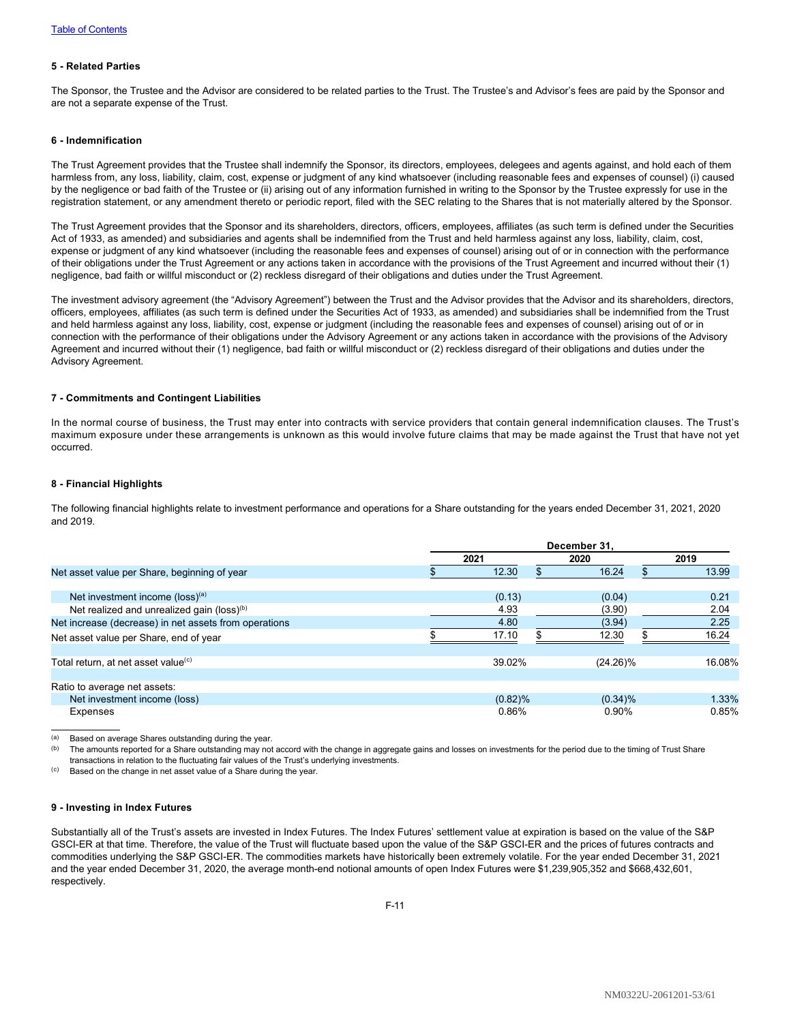# **5 - Related Parties**

The Sponsor, the Trustee and the Advisor are considered to be related parties to the Trust. The Trustee's and Advisor's fees are paid by the Sponsor and are not a separate expense of the Trust.

# **6 - Indemnification**

The Trust Agreement provides that the Trustee shall indemnify the Sponsor, its directors, employees, delegees and agents against, and hold each of them harmless from, any loss, liability, claim, cost, expense or judgment of any kind whatsoever (including reasonable fees and expenses of counsel) (i) caused by the negligence or bad faith of the Trustee or (ii) arising out of any information furnished in writing to the Sponsor by the Trustee expressly for use in the registration statement, or any amendment thereto or periodic report, filed with the SEC relating to the Shares that is not materially altered by the Sponsor.

The Trust Agreement provides that the Sponsor and its shareholders, directors, officers, employees, affiliates (as such term is defined under the Securities Act of 1933, as amended) and subsidiaries and agents shall be indemnified from the Trust and held harmless against any loss, liability, claim, cost, expense or judgment of any kind whatsoever (including the reasonable fees and expenses of counsel) arising out of or in connection with the performance of their obligations under the Trust Agreement or any actions taken in accordance with the provisions of the Trust Agreement and incurred without their (1) negligence, bad faith or willful misconduct or (2) reckless disregard of their obligations and duties under the Trust Agreement.

The investment advisory agreement (the "Advisory Agreement") between the Trust and the Advisor provides that the Advisor and its shareholders, directors, officers, employees, affiliates (as such term is defined under the Securities Act of 1933, as amended) and subsidiaries shall be indemnified from the Trust and held harmless against any loss, liability, cost, expense or judgment (including the reasonable fees and expenses of counsel) arising out of or in connection with the performance of their obligations under the Advisory Agreement or any actions taken in accordance with the provisions of the Advisory Agreement and incurred without their (1) negligence, bad faith or willful misconduct or (2) reckless disregard of their obligations and duties under the Advisory Agreement.

# **7 - Commitments and Contingent Liabilities**

In the normal course of business, the Trust may enter into contracts with service providers that contain general indemnification clauses. The Trust's maximum exposure under these arrangements is unknown as this would involve future claims that may be made against the Trust that have not yet occurred.

# **8 - Financial Highlights**

The following financial highlights relate to investment performance and operations for a Share outstanding for the years ended December 31, 2021, 2020 and 2019.

|                                                        | December 31. |  |             |  |        |  |  |
|--------------------------------------------------------|--------------|--|-------------|--|--------|--|--|
|                                                        | 2021         |  | 2020        |  | 2019   |  |  |
| Net asset value per Share, beginning of year           | 12.30        |  | 16.24       |  | 13.99  |  |  |
| Net investment income $(\text{loss})^{\text{(a)}}$     | (0.13)       |  | (0.04)      |  | 0.21   |  |  |
| Net realized and unrealized gain (loss) <sup>(b)</sup> | 4.93         |  | (3.90)      |  | 2.04   |  |  |
| Net increase (decrease) in net assets from operations  | 4.80         |  | (3.94)      |  | 2.25   |  |  |
| Net asset value per Share, end of year                 | 17.10        |  | 12.30       |  | 16.24  |  |  |
| Total return, at net asset value <sup>(c)</sup>        | 39.02%       |  | $(24.26)\%$ |  | 16.08% |  |  |
| Ratio to average net assets:                           |              |  |             |  |        |  |  |
| Net investment income (loss)                           | (0.82)%      |  | $(0.34)\%$  |  | 1.33%  |  |  |
| <b>Expenses</b>                                        | 0.86%        |  | $0.90\%$    |  | 0.85%  |  |  |

(a) Based on average Shares outstanding during the year.

(b) The amounts reported for a Share outstanding may not accord with the change in aggregate gains and losses on investments for the period due to the timing of Trust Share transactions in relation to the fluctuating fair values of the Trust's underlying investments.

 $(c)$  Based on the change in net asset value of a Share during the year.

# **9 - Investing in Index Futures**

Substantially all of the Trust's assets are invested in Index Futures. The Index Futures' settlement value at expiration is based on the value of the S&P GSCI-ER at that time. Therefore, the value of the Trust will fluctuate based upon the value of the S&P GSCI-ER and the prices of futures contracts and commodities underlying the S&P GSCI-ER. The commodities markets have historically been extremely volatile. For the year ended December 31, 2021 and the year ended December 31, 2020, the average month-end notional amounts of open Index Futures were \$1,239,905,352 and \$668,432,601, respectively.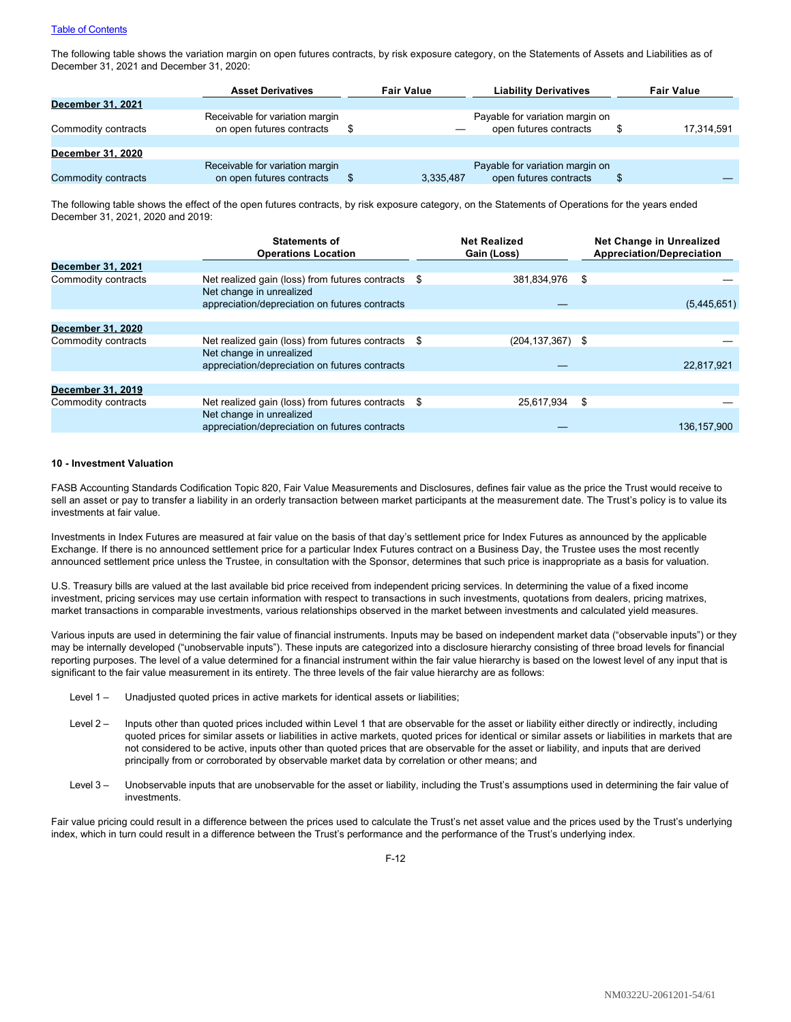The following table shows the variation margin on open futures contracts, by risk exposure category, on the Statements of Assets and Liabilities as of December 31, 2021 and December 31, 2020:

|                          | <b>Asset Derivatives</b>        | <b>Fair Value</b><br><b>Liability Derivatives</b> |           | <b>Fair Value</b>               |            |
|--------------------------|---------------------------------|---------------------------------------------------|-----------|---------------------------------|------------|
| <b>December 31, 2021</b> |                                 |                                                   |           |                                 |            |
|                          | Receivable for variation margin |                                                   |           | Payable for variation margin on |            |
| Commodity contracts      | on open futures contracts       |                                                   |           | open futures contracts          | 17,314,591 |
|                          |                                 |                                                   |           |                                 |            |
| December 31, 2020        |                                 |                                                   |           |                                 |            |
|                          | Receivable for variation margin |                                                   |           | Payable for variation margin on |            |
| Commodity contracts      | on open futures contracts       |                                                   | 3.335.487 | open futures contracts          |            |

The following table shows the effect of the open futures contracts, by risk exposure category, on the Statements of Operations for the years ended December 31, 2021, 2020 and 2019:

|                          | <b>Statements of</b><br><b>Operations Location</b>                         | <b>Net Realized</b><br>Gain (Loss) |                      |    | <b>Net Change in Unrealized</b><br><b>Appreciation/Depreciation</b> |
|--------------------------|----------------------------------------------------------------------------|------------------------------------|----------------------|----|---------------------------------------------------------------------|
| <b>December 31, 2021</b> |                                                                            |                                    |                      |    |                                                                     |
| Commodity contracts      | Net realized gain (loss) from futures contracts \$                         |                                    | 381,834,976          | \$ |                                                                     |
|                          | Net change in unrealized<br>appreciation/depreciation on futures contracts |                                    |                      |    | (5,445,651)                                                         |
| <b>December 31, 2020</b> |                                                                            |                                    |                      |    |                                                                     |
| Commodity contracts      | Net realized gain (loss) from futures contracts \$                         |                                    | $(204, 137, 367)$ \$ |    |                                                                     |
|                          | Net change in unrealized<br>appreciation/depreciation on futures contracts |                                    |                      |    | 22,817,921                                                          |
|                          |                                                                            |                                    |                      |    |                                                                     |
| <b>December 31, 2019</b> |                                                                            |                                    |                      |    |                                                                     |
| Commodity contracts      | Net realized gain (loss) from futures contracts \$                         |                                    | 25,617,934 \$        |    |                                                                     |
|                          | Net change in unrealized                                                   |                                    |                      |    |                                                                     |
|                          | appreciation/depreciation on futures contracts                             |                                    |                      |    | 136, 157, 900                                                       |

#### **10 - Investment Valuation**

FASB Accounting Standards Codification Topic 820, Fair Value Measurements and Disclosures, defines fair value as the price the Trust would receive to sell an asset or pay to transfer a liability in an orderly transaction between market participants at the measurement date. The Trust's policy is to value its investments at fair value.

Investments in Index Futures are measured at fair value on the basis of that day's settlement price for Index Futures as announced by the applicable Exchange. If there is no announced settlement price for a particular Index Futures contract on a Business Day, the Trustee uses the most recently announced settlement price unless the Trustee, in consultation with the Sponsor, determines that such price is inappropriate as a basis for valuation.

U.S. Treasury bills are valued at the last available bid price received from independent pricing services. In determining the value of a fixed income investment, pricing services may use certain information with respect to transactions in such investments, quotations from dealers, pricing matrixes, market transactions in comparable investments, various relationships observed in the market between investments and calculated yield measures.

Various inputs are used in determining the fair value of financial instruments. Inputs may be based on independent market data ("observable inputs") or they may be internally developed ("unobservable inputs"). These inputs are categorized into a disclosure hierarchy consisting of three broad levels for financial reporting purposes. The level of a value determined for a financial instrument within the fair value hierarchy is based on the lowest level of any input that is significant to the fair value measurement in its entirety. The three levels of the fair value hierarchy are as follows:

- Level 1 Unadjusted quoted prices in active markets for identical assets or liabilities;
- Level 2 Inputs other than quoted prices included within Level 1 that are observable for the asset or liability either directly or indirectly, including quoted prices for similar assets or liabilities in active markets, quoted prices for identical or similar assets or liabilities in markets that are not considered to be active, inputs other than quoted prices that are observable for the asset or liability, and inputs that are derived principally from or corroborated by observable market data by correlation or other means; and
- Level 3 Unobservable inputs that are unobservable for the asset or liability, including the Trust's assumptions used in determining the fair value of investments.

Fair value pricing could result in a difference between the prices used to calculate the Trust's net asset value and the prices used by the Trust's underlying index, which in turn could result in a difference between the Trust's performance and the performance of the Trust's underlying index.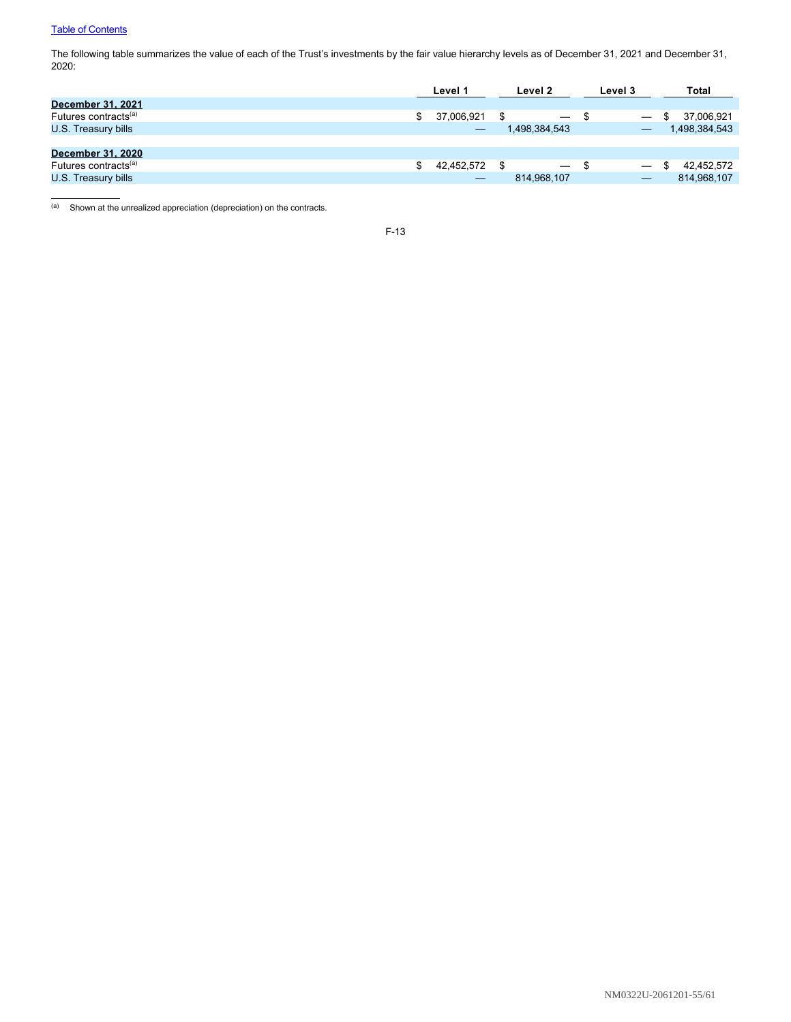# **[Table of Contents](#page-3-0)**

The following table summarizes the value of each of the Trust's investments by the fair value hierarchy levels as of December 31, 2021 and December 31, 2020:

| Level 1 |            | Level 2                  |                                           | Level 3                  | Total |               |
|---------|------------|--------------------------|-------------------------------------------|--------------------------|-------|---------------|
|         |            |                          |                                           |                          |       |               |
|         | 37,006,921 |                          |                                           | $\overline{\phantom{m}}$ | \$.   | 37,006,921    |
|         |            |                          |                                           |                          |       | 1,498,384,543 |
|         |            |                          |                                           |                          |       |               |
|         |            |                          |                                           |                          |       |               |
|         | 42,452,572 | $\overline{\phantom{0}}$ | - \$                                      | $\overline{\phantom{0}}$ | S     | 42.452.572    |
|         |            | 814,968,107              |                                           |                          |       | 814,968,107   |
|         |            |                          | $\overline{\phantom{0}}$<br>1.498.384.543 | - \$                     |       |               |

(a) Shown at the unrealized appreciation (depreciation) on the contracts.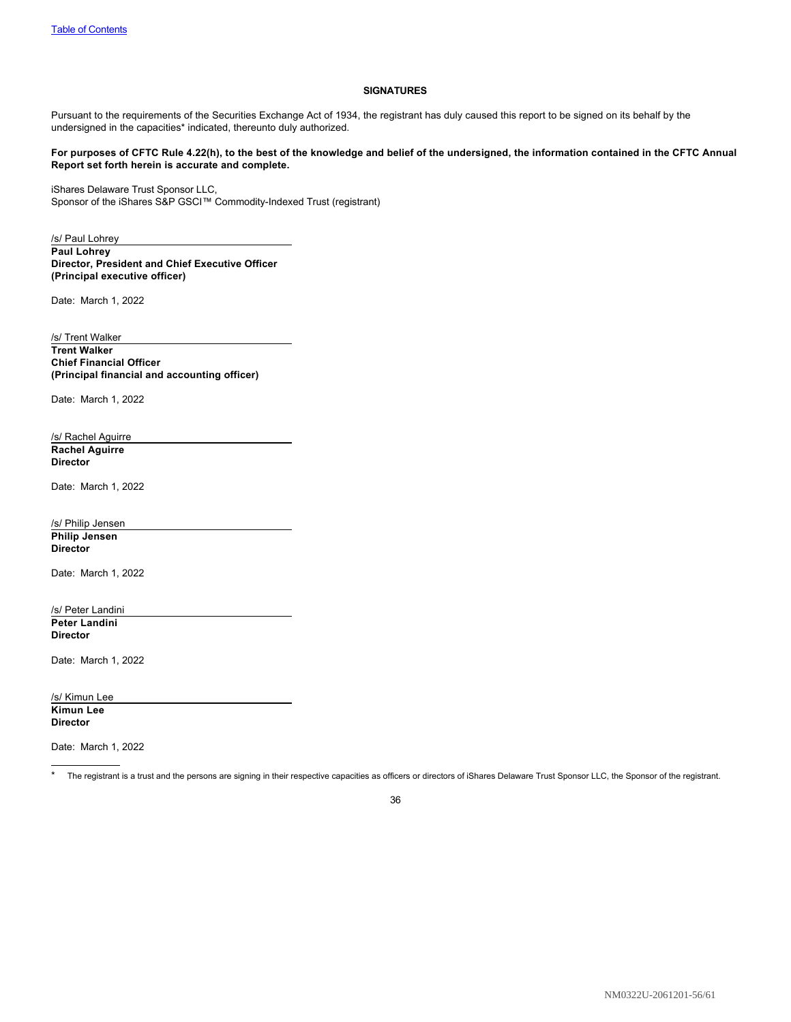# **SIGNATURES**

Pursuant to the requirements of the Securities Exchange Act of 1934, the registrant has duly caused this report to be signed on its behalf by the undersigned in the capacities\* indicated, thereunto duly authorized.

# **For purposes of CFTC Rule 4.22(h), to the best of the knowledge and belief of the undersigned, the information contained in the CFTC Annual Report set forth herein is accurate and complete.**

iShares Delaware Trust Sponsor LLC, Sponsor of the iShares S&P GSCI™ Commodity-Indexed Trust (registrant)

/s/ Paul Lohrey **Paul Lohrey Director, President and Chief Executive Officer (Principal executive officer)**

Date: March 1, 2022

/s/ Trent Walker

**Trent Walker Chief Financial Officer (Principal financial and accounting officer)**

Date: March 1, 2022

/s/ Rachel Aguirre **Rachel Aguirre Director**

Date: March 1, 2022

/s/ Philip Jensen **Philip Jensen Director**

Date: March 1, 2022

/s/ Peter Landini **Peter Landini Director**

Date: March 1, 2022

/s/ Kimun Lee **Kimun Lee Director**

Date: March 1, 2022

The registrant is a trust and the persons are signing in their respective capacities as officers or directors of iShares Delaware Trust Sponsor LLC, the Sponsor of the registrant.

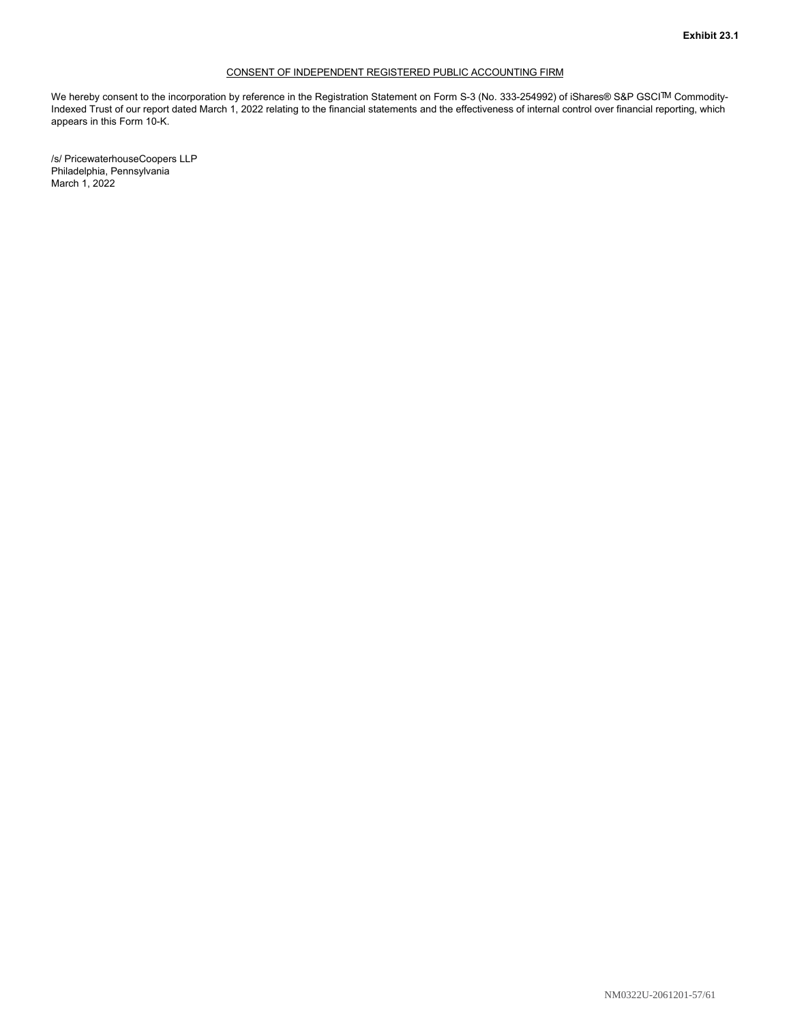# CONSENT OF INDEPENDENT REGISTERED PUBLIC ACCOUNTING FIRM

<span id="page-56-0"></span>We hereby consent to the incorporation by reference in the Registration Statement on Form S-3 (No. 333-254992) of iShares® S&P GSCI™ Commodity-Indexed Trust of our report dated March 1, 2022 relating to the financial statements and the effectiveness of internal control over financial reporting, which appears in this Form 10-K.

/s/ PricewaterhouseCoopers LLP Philadelphia, Pennsylvania March 1, 2022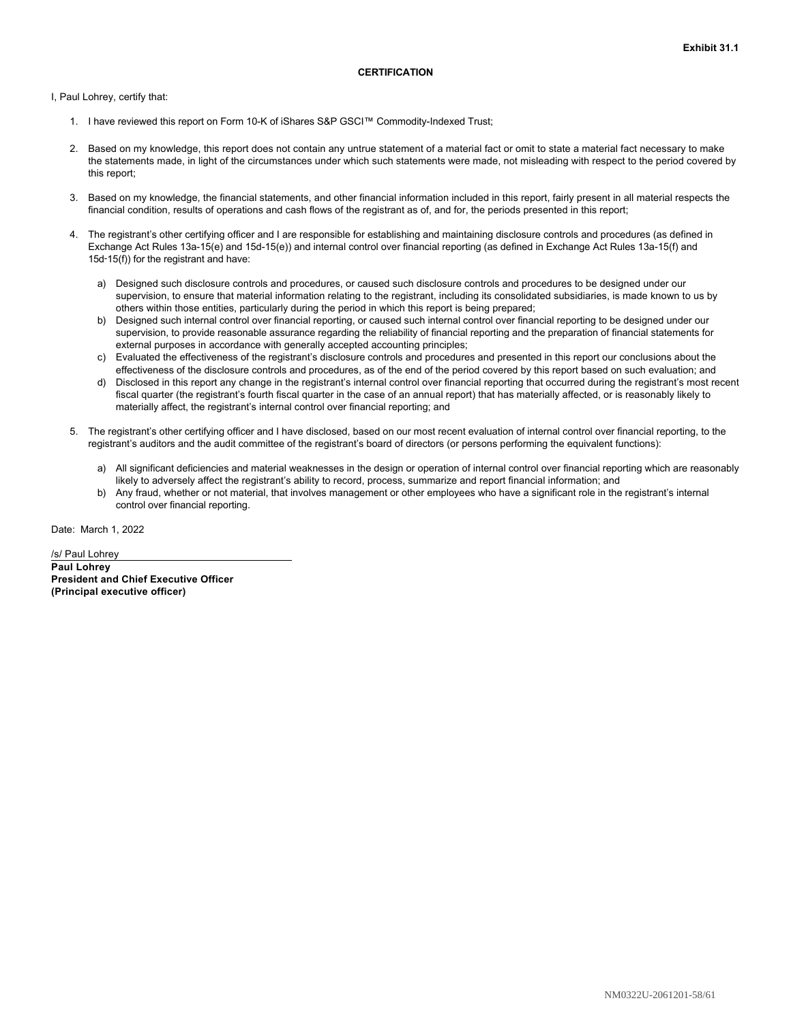# **CERTIFICATION**

<span id="page-57-0"></span>I, Paul Lohrey, certify that:

- 1. I have reviewed this report on Form 10-K of iShares S&P GSCI™ Commodity-Indexed Trust;
- 2. Based on my knowledge, this report does not contain any untrue statement of a material fact or omit to state a material fact necessary to make the statements made, in light of the circumstances under which such statements were made, not misleading with respect to the period covered by this report;
- 3. Based on my knowledge, the financial statements, and other financial information included in this report, fairly present in all material respects the financial condition, results of operations and cash flows of the registrant as of, and for, the periods presented in this report;
- 4. The registrant's other certifying officer and I are responsible for establishing and maintaining disclosure controls and procedures (as defined in Exchange Act Rules 13a-15(e) and 15d-15(e)) and internal control over financial reporting (as defined in Exchange Act Rules 13a-15(f) and 15d‑15(f)) for the registrant and have:
	- a) Designed such disclosure controls and procedures, or caused such disclosure controls and procedures to be designed under our supervision, to ensure that material information relating to the registrant, including its consolidated subsidiaries, is made known to us by others within those entities, particularly during the period in which this report is being prepared;
	- b) Designed such internal control over financial reporting, or caused such internal control over financial reporting to be designed under our supervision, to provide reasonable assurance regarding the reliability of financial reporting and the preparation of financial statements for external purposes in accordance with generally accepted accounting principles;
	- c) Evaluated the effectiveness of the registrant's disclosure controls and procedures and presented in this report our conclusions about the effectiveness of the disclosure controls and procedures, as of the end of the period covered by this report based on such evaluation; and
	- d) Disclosed in this report any change in the registrant's internal control over financial reporting that occurred during the registrant's most recent fiscal quarter (the registrant's fourth fiscal quarter in the case of an annual report) that has materially affected, or is reasonably likely to materially affect, the registrant's internal control over financial reporting; and
- 5. The registrant's other certifying officer and I have disclosed, based on our most recent evaluation of internal control over financial reporting, to the registrant's auditors and the audit committee of the registrant's board of directors (or persons performing the equivalent functions):
	- a) All significant deficiencies and material weaknesses in the design or operation of internal control over financial reporting which are reasonably likely to adversely affect the registrant's ability to record, process, summarize and report financial information; and
	- b) Any fraud, whether or not material, that involves management or other employees who have a significant role in the registrant's internal control over financial reporting.

Date: March 1, 2022

/s/ Paul Lohrey **Paul Lohrey**

**President and Chief Executive Officer (Principal executive officer)**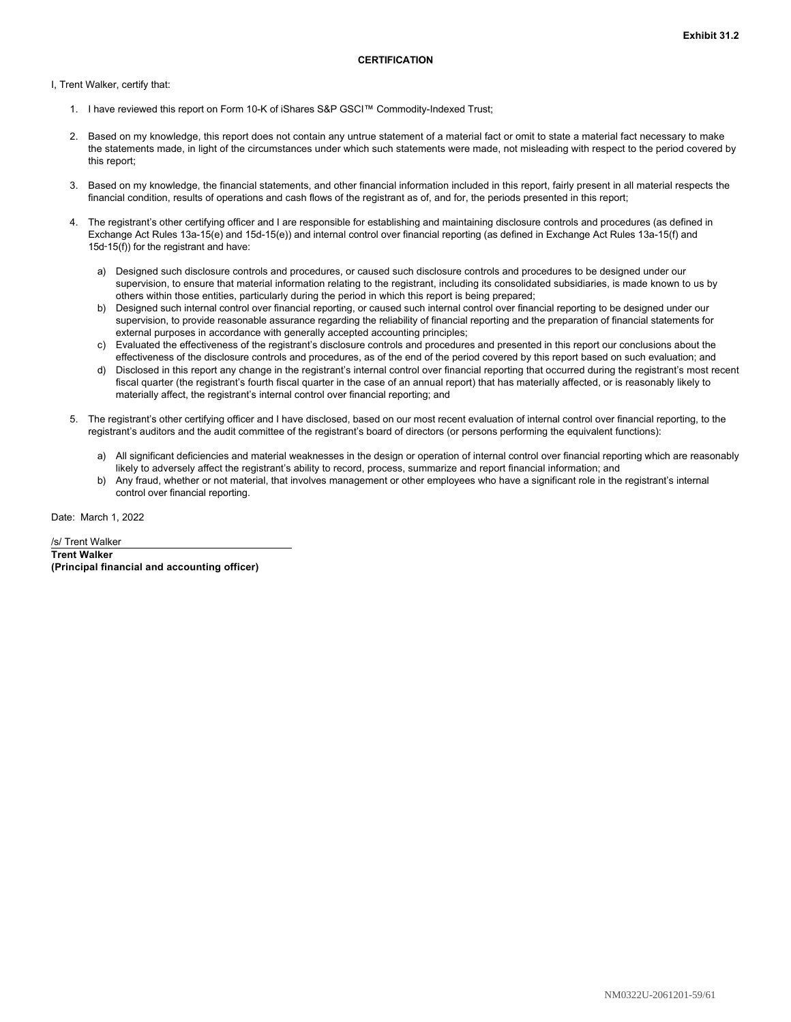# **CERTIFICATION**

#### <span id="page-58-0"></span>I, Trent Walker, certify that:

- 1. I have reviewed this report on Form 10-K of iShares S&P GSCI™ Commodity-Indexed Trust;
- 2. Based on my knowledge, this report does not contain any untrue statement of a material fact or omit to state a material fact necessary to make the statements made, in light of the circumstances under which such statements were made, not misleading with respect to the period covered by this report;
- 3. Based on my knowledge, the financial statements, and other financial information included in this report, fairly present in all material respects the financial condition, results of operations and cash flows of the registrant as of, and for, the periods presented in this report;
- 4. The registrant's other certifying officer and I are responsible for establishing and maintaining disclosure controls and procedures (as defined in Exchange Act Rules 13a-15(e) and 15d-15(e)) and internal control over financial reporting (as defined in Exchange Act Rules 13a-15(f) and 15d‑15(f)) for the registrant and have:
	- a) Designed such disclosure controls and procedures, or caused such disclosure controls and procedures to be designed under our supervision, to ensure that material information relating to the registrant, including its consolidated subsidiaries, is made known to us by others within those entities, particularly during the period in which this report is being prepared;
	- b) Designed such internal control over financial reporting, or caused such internal control over financial reporting to be designed under our supervision, to provide reasonable assurance regarding the reliability of financial reporting and the preparation of financial statements for external purposes in accordance with generally accepted accounting principles;
	- c) Evaluated the effectiveness of the registrant's disclosure controls and procedures and presented in this report our conclusions about the effectiveness of the disclosure controls and procedures, as of the end of the period covered by this report based on such evaluation; and
	- d) Disclosed in this report any change in the registrant's internal control over financial reporting that occurred during the registrant's most recent fiscal quarter (the registrant's fourth fiscal quarter in the case of an annual report) that has materially affected, or is reasonably likely to materially affect, the registrant's internal control over financial reporting; and
- 5. The registrant's other certifying officer and I have disclosed, based on our most recent evaluation of internal control over financial reporting, to the registrant's auditors and the audit committee of the registrant's board of directors (or persons performing the equivalent functions):
	- a) All significant deficiencies and material weaknesses in the design or operation of internal control over financial reporting which are reasonably likely to adversely affect the registrant's ability to record, process, summarize and report financial information; and
	- b) Any fraud, whether or not material, that involves management or other employees who have a significant role in the registrant's internal control over financial reporting.

Date: March 1, 2022

/s/ Trent Walker **Trent Walker (Principal financial and accounting officer)**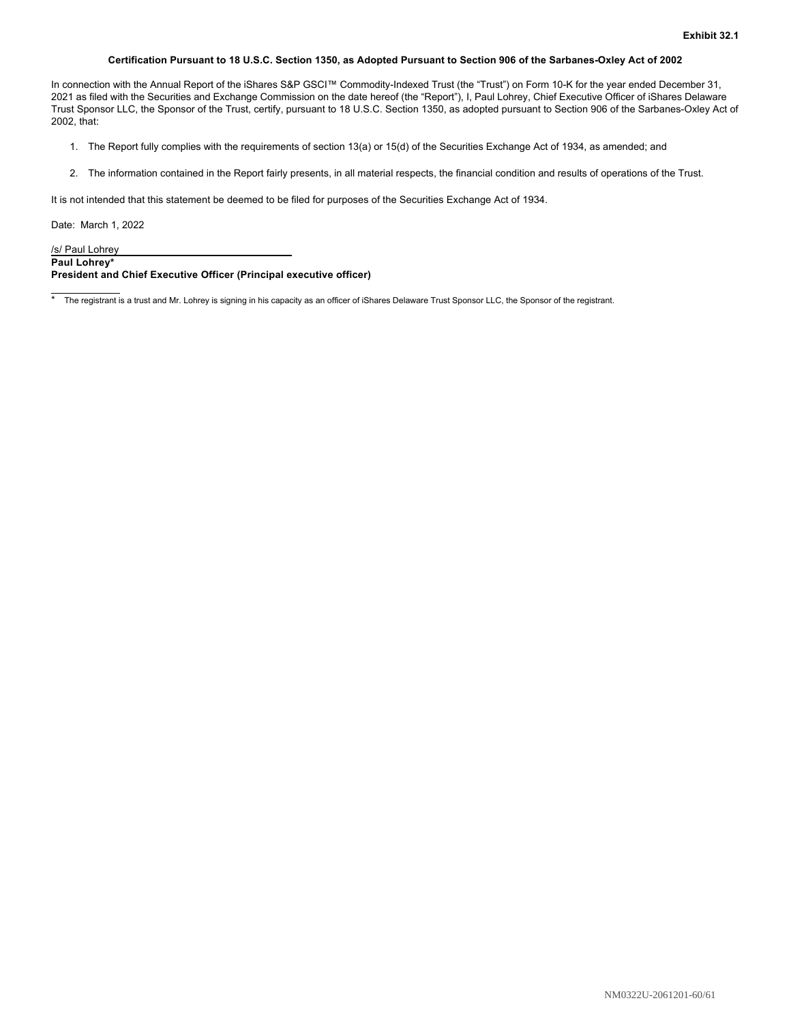# **Certification Pursuant to 18 U.S.C. Section 1350, as Adopted Pursuant to Section 906 of the Sarbanes-Oxley Act of 2002**

<span id="page-59-0"></span>In connection with the Annual Report of the iShares S&P GSCI™ Commodity-Indexed Trust (the "Trust") on Form 10-K for the year ended December 31, 2021 as filed with the Securities and Exchange Commission on the date hereof (the "Report"), I, Paul Lohrey, Chief Executive Officer of iShares Delaware Trust Sponsor LLC, the Sponsor of the Trust, certify, pursuant to 18 U.S.C. Section 1350, as adopted pursuant to Section 906 of the Sarbanes-Oxley Act of 2002, that:

- 1. The Report fully complies with the requirements of section 13(a) or 15(d) of the Securities Exchange Act of 1934, as amended; and
- 2. The information contained in the Report fairly presents, in all material respects, the financial condition and results of operations of the Trust.

It is not intended that this statement be deemed to be filed for purposes of the Securities Exchange Act of 1934.

#### Date: March 1, 2022

# /s/ Paul Lohrey **Paul Lohrey\* President and Chief Executive Officer (Principal executive officer)**

The registrant is a trust and Mr. Lohrey is signing in his capacity as an officer of iShares Delaware Trust Sponsor LLC, the Sponsor of the registrant.